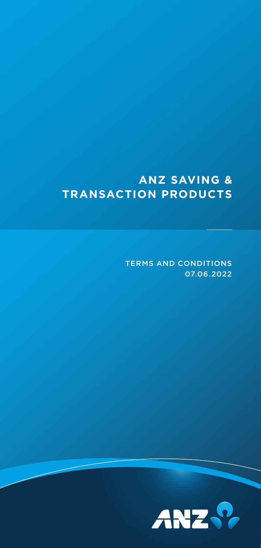# **ANZ SAVING & TRANSACTION PRODUCTS**

TERMS AND CONDITIONS 07.06.2022

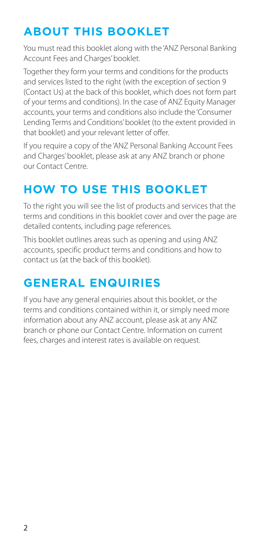# **ABOUT THIS BOOKLET**

You must read this booklet along with the 'ANZ Personal Banking Account Fees and Charges' booklet.

Together they form your terms and conditions for the products and services listed to the right (with the exception of section 9 (Contact Us) at the back of this booklet, which does not form part of your terms and conditions). In the case of ANZ Equity Manager accounts, your terms and conditions also include the 'Consumer Lending Terms and Conditions' booklet (to the extent provided in that booklet) and your relevant letter of offer.

If you require a copy of the 'ANZ Personal Banking Account Fees and Charges' booklet, please ask at any ANZ branch or phone our Contact Centre.

# **HOW TO USE THIS BOOKLET**

To the right you will see the list of products and services that the terms and conditions in this booklet cover and over the page are detailed contents, including page references.

This booklet outlines areas such as opening and using ANZ accounts, specific product terms and conditions and how to contact us (at the back of this booklet).

# **GENERAL ENQUIRIES**

If you have any general enquiries about this booklet, or the terms and conditions contained within it, or simply need more information about any ANZ account, please ask at any ANZ branch or phone our Contact Centre. Information on current fees, charges and interest rates is available on request.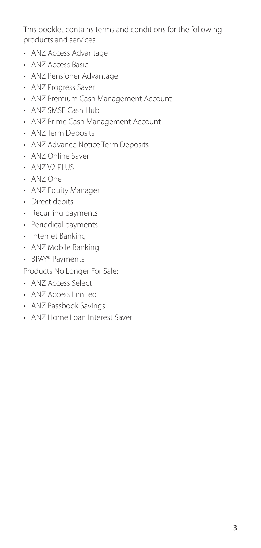This booklet contains terms and conditions for the following products and services:

- ANZ Access Advantage
- ANZ Access Basic
- ANZ Pensioner Advantage
- ANZ Progress Saver
- ANZ Premium Cash Management Account
- ANZ SMSF Cash Hub
- ANZ Prime Cash Management Account
- ANZ Term Deposits
- ANZ Advance Notice Term Deposits
- ANZ Online Saver
- ANZ V2 PLUS
- ANZ One
- ANZ Equity Manager
- Direct debits
- Recurring payments
- Periodical payments
- Internet Banking
- ANZ Mobile Banking
- BPAY® Payments

Products No Longer For Sale:

- ANZ Access Select
- ANZ Access Limited
- ANZ Passbook Savings
- ANZ Home Loan Interest Saver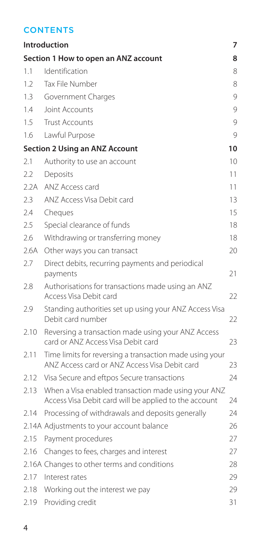## **CONTENTS**

|                                      | <b>Introduction</b>                                                                                          | 7  |
|--------------------------------------|--------------------------------------------------------------------------------------------------------------|----|
| Section 1 How to open an ANZ account |                                                                                                              |    |
| 1.1                                  | Identification                                                                                               | 8  |
| 1.2                                  | Tax File Number                                                                                              | 8  |
| 1.3                                  | Government Charges                                                                                           | 9  |
| 1.4                                  | <b>Joint Accounts</b>                                                                                        | 9  |
| 1.5                                  | <b>Trust Accounts</b>                                                                                        | 9  |
| 1.6                                  | Lawful Purpose                                                                                               | 9  |
|                                      | <b>Section 2 Using an ANZ Account</b>                                                                        | 10 |
| 2.1                                  | Authority to use an account                                                                                  | 10 |
| 2.2                                  | Deposits                                                                                                     | 11 |
| 2.2A                                 | ANZ Access card                                                                                              | 11 |
| 2.3                                  | ANZ Access Visa Debit card                                                                                   | 13 |
| 2.4                                  | Cheques                                                                                                      | 15 |
| 2.5                                  | Special clearance of funds                                                                                   | 18 |
| 2.6                                  | Withdrawing or transferring money                                                                            | 18 |
| 2.6A                                 | Other ways you can transact                                                                                  | 20 |
| 2.7                                  | Direct debits, recurring payments and periodical                                                             |    |
|                                      | payments                                                                                                     | 21 |
| 2.8                                  | Authorisations for transactions made using an ANZ<br>Access Visa Debit card                                  | 22 |
| 2.9                                  | Standing authorities set up using your ANZ Access Visa<br>Debit card number                                  | 22 |
| 2.10                                 | Reversing a transaction made using your ANZ Access<br>card or ANZ Access Visa Debit card                     | 23 |
| 2.11                                 | Time limits for reversing a transaction made using your<br>ANZ Access card or ANZ Access Visa Debit card     | 23 |
| 2.12                                 | Visa Secure and eftpos Secure transactions                                                                   | 24 |
| 2.13                                 | When a Visa enabled transaction made using your ANZ<br>Access Visa Debit card will be applied to the account | 24 |
| 2.14                                 | Processing of withdrawals and deposits generally                                                             | 24 |
|                                      | 2.14A Adjustments to your account balance                                                                    | 26 |
| 2.15                                 | Payment procedures                                                                                           | 27 |
| 2.16                                 | Changes to fees, charges and interest                                                                        | 27 |
|                                      | 2.16A Changes to other terms and conditions                                                                  | 28 |
| 2.17                                 | Interest rates                                                                                               | 29 |
| 2.18                                 | Working out the interest we pay                                                                              | 29 |
| 2.19                                 | Providing credit                                                                                             | 31 |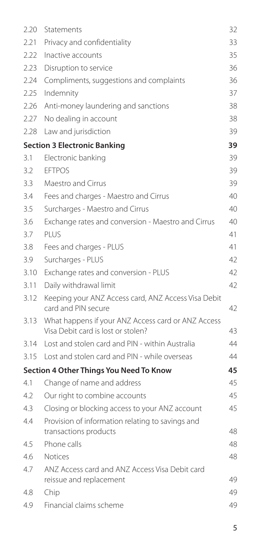| 2.20                                      | Statements                                                                               | 32 |  |  |
|-------------------------------------------|------------------------------------------------------------------------------------------|----|--|--|
| 2.21                                      | Privacy and confidentiality                                                              | 33 |  |  |
| 2.22                                      | Inactive accounts                                                                        | 35 |  |  |
| 2.23                                      | Disruption to service                                                                    | 36 |  |  |
| 2.24                                      | Compliments, suggestions and complaints                                                  | 36 |  |  |
| 2.25                                      | Indemnity                                                                                | 37 |  |  |
| 2.26                                      | Anti-money laundering and sanctions                                                      | 38 |  |  |
| 2.27                                      | No dealing in account                                                                    | 38 |  |  |
| 2.28                                      | Law and jurisdiction                                                                     | 39 |  |  |
| <b>Section 3 Electronic Banking</b><br>39 |                                                                                          |    |  |  |
| 3.1                                       | Electronic banking                                                                       | 39 |  |  |
| 3.2                                       | <b>FFTPOS</b>                                                                            | 39 |  |  |
| 3.3                                       | Maestro and Cirrus                                                                       | 39 |  |  |
| 3.4                                       | Fees and charges - Maestro and Cirrus                                                    | 40 |  |  |
| 3.5                                       | Surcharges - Maestro and Cirrus                                                          | 40 |  |  |
| 3.6                                       | Exchange rates and conversion - Maestro and Cirrus                                       | 40 |  |  |
| 3.7                                       | PLUS                                                                                     | 41 |  |  |
| 3.8                                       | Fees and charges - PLUS                                                                  | 41 |  |  |
| 3.9                                       | Surcharges - PLUS                                                                        | 42 |  |  |
| 3.10                                      | Exchange rates and conversion - PLUS                                                     | 42 |  |  |
| 3.11                                      | Daily withdrawal limit                                                                   | 42 |  |  |
| 3.12                                      | Keeping your ANZ Access card, ANZ Access Visa Debit<br>card and PIN secure               | 42 |  |  |
| 3.13                                      | What happens if your ANZ Access card or ANZ Access<br>Visa Debit card is lost or stolen? | 43 |  |  |
| 3.14                                      | Lost and stolen card and PIN - within Australia                                          | 44 |  |  |
| 3.15                                      | Lost and stolen card and PIN - while overseas                                            | 44 |  |  |
|                                           | Section 4 Other Things You Need To Know                                                  | 45 |  |  |
| 4.1                                       | Change of name and address                                                               | 45 |  |  |
| 4.2                                       | Our right to combine accounts                                                            | 45 |  |  |
| 4.3                                       | Closing or blocking access to your ANZ account                                           | 45 |  |  |
| 4.4                                       | Provision of information relating to savings and<br>transactions products                | 48 |  |  |
| 4.5                                       | Phone calls                                                                              | 48 |  |  |
| 4.6                                       | <b>Notices</b>                                                                           | 48 |  |  |
| 4.7                                       | ANZ Access card and ANZ Access Visa Debit card<br>reissue and replacement                | 49 |  |  |
| 4.8                                       | Chip                                                                                     | 49 |  |  |
| 4.9                                       | Financial claims scheme                                                                  | 49 |  |  |
|                                           |                                                                                          |    |  |  |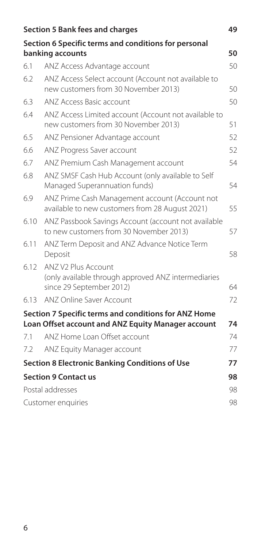| Section 5 Bank fees and charges<br>49 |                                                                                                        |    |  |
|---------------------------------------|--------------------------------------------------------------------------------------------------------|----|--|
|                                       | Section 6 Specific terms and conditions for personal                                                   |    |  |
|                                       | banking accounts                                                                                       | 50 |  |
| 6.1                                   | ANZ Access Advantage account                                                                           | 50 |  |
| 6.2                                   | ANZ Access Select account (Account not available to<br>new customers from 30 November 2013)            | 50 |  |
| 6.3                                   | ANZ Access Basic account                                                                               | 50 |  |
| 6.4                                   | ANZ Access Limited account (Account not available to<br>new customers from 30 November 2013)           | 51 |  |
| 6.5                                   | ANZ Pensioner Advantage account                                                                        | 52 |  |
| 6.6                                   | ANZ Progress Saver account                                                                             | 52 |  |
| 6.7                                   | ANZ Premium Cash Management account                                                                    | 54 |  |
| 68                                    | ANZ SMSF Cash Hub Account (only available to Self<br>Managed Superannuation funds)                     | 54 |  |
| 6.9                                   | ANZ Prime Cash Management account (Account not<br>available to new customers from 28 August 2021)      | 55 |  |
| 6.10                                  | ANZ Passbook Savings Account (account not available<br>to new customers from 30 November 2013)         | 57 |  |
| 6.11                                  | ANZ Term Deposit and ANZ Advance Notice Term<br>Deposit                                                | 58 |  |
| 6.12                                  | ANZ V2 Plus Account<br>(only available through approved ANZ intermediaries<br>since 29 September 2012) | 64 |  |
| 6.13                                  | ANZ Online Saver Account                                                                               | 72 |  |
|                                       | Section 7 Specific terms and conditions for ANZ Home                                                   |    |  |
|                                       | Loan Offset account and ANZ Equity Manager account                                                     | 74 |  |
| 7.1                                   | ANZ Home Loan Offset account                                                                           | 74 |  |
| 7.2                                   | ANZ Equity Manager account                                                                             | 77 |  |
|                                       | <b>Section 8 Electronic Banking Conditions of Use</b>                                                  | 77 |  |
|                                       | <b>Section 9 Contact us</b>                                                                            | 98 |  |
|                                       | Postal addresses                                                                                       | 98 |  |
|                                       | Customer enquiries                                                                                     | 98 |  |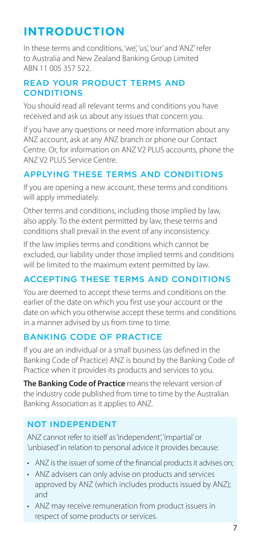# <span id="page-6-0"></span>**INTRODUCTION**

In these terms and conditions, 'we', 'us', 'our' and 'ANZ' refer to Australia and New Zealand Banking Group Limited ABN 11 005 357 522.

### READ YOUR PRODUCT TERMS AND **CONDITIONS**

You should read all relevant terms and conditions you have received and ask us about any issues that concern you.

If you have any questions or need more information about any ANZ account, ask at any ANZ branch or phone our Contact Centre. Or, for information on ANZ V2 PLUS accounts, phone the ANZ V2 PLUS Service Centre.

## APPLYING THESE TERMS AND CONDITIONS

If you are opening a new account, these terms and conditions will apply immediately.

Other terms and conditions, including those implied by law, also apply. To the extent permitted by law, these terms and conditions shall prevail in the event of any inconsistency.

If the law implies terms and conditions which cannot be excluded, our liability under those implied terms and conditions will be limited to the maximum extent permitted by law.

# ACCEPTING THESE TERMS AND CONDITIONS

You are deemed to accept these terms and conditions on the earlier of the date on which you first use your account or the date on which you otherwise accept these terms and conditions in a manner advised by us from time to time.

## BANKING CODE OF PRACTICE

If you are an individual or a small business (as defined in the Banking Code of Practice) ANZ is bound by the Banking Code of Practice when it provides its products and services to you.

**The Banking Code of Practice** means the relevant version of the industry code published from time to time by the Australian Banking Association as it applies to ANZ.

## NOT INDEPENDENT

ANZ cannot refer to itself as 'independent', 'impartial' or 'unbiased' in relation to personal advice it provides because:

- ANZ is the issuer of some of the fnancial products it advises on;
- ANZ advisers can only advise on products and services approved by ANZ (which includes products issued by ANZ); and
- ANZ may receive remuneration from product issuers in respect of some products or services.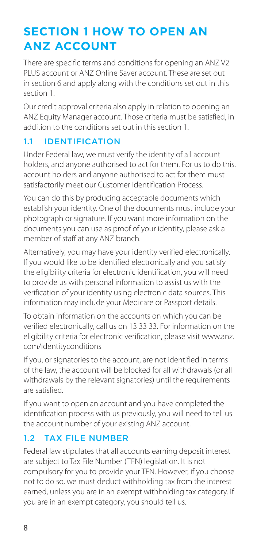# <span id="page-7-0"></span>**SECTION 1 HOW TO OPEN AN ANZ ACCOUNT**

There are specific terms and conditions for opening an ANZ V2 PLUS account or ANZ Online Saver account. These are set out in section 6 and apply along with the conditions set out in this section 1.

Our credit approval criteria also apply in relation to opening an ANZ Equity Manager account. Those criteria must be satisfied, in addition to the conditions set out in this section 1.

## 1.1 IDENTIFICATION

Under Federal law, we must verify the identity of all account holders, and anyone authorised to act for them. For us to do this, account holders and anyone authorised to act for them must satisfactorily meet our Customer Identification Process.

You can do this by producing acceptable documents which establish your identity. One of the documents must include your photograph or signature. If you want more information on the documents you can use as proof of your identity, please ask a member of staff at any ANZ branch.

Alternatively, you may have your identity verified electronically. If you would like to be identified electronically and you satisfy the eligibility criteria for electronic identification, you will need to provide us with personal information to assist us with the verification of your identity using electronic data sources. This information may include your Medicare or Passport details.

To obtain information on the accounts on which you can be verified electronically, call us on 13 33 33. For information on the eligibility criteria for electronic verification, please visit [www.anz.](http://www.anz.com/identityconditions) [com/identityconditions](http://www.anz.com/identityconditions)

If you, or signatories to the account, are not identified in terms of the law, the account will be blocked for all withdrawals (or all withdrawals by the relevant signatories) until the requirements are satisfied.

If you want to open an account and you have completed the identification process with us previously, you will need to tell us the account number of your existing ANZ account.

## 12 TAX FILE NUMBER

Federal law stipulates that all accounts earning deposit interest are subject to Tax File Number (TFN) legislation. It is not compulsory for you to provide your TFN. However, if you choose not to do so, we must deduct withholding tax from the interest earned, unless you are in an exempt withholding tax category. If you are in an exempt category, you should tell us.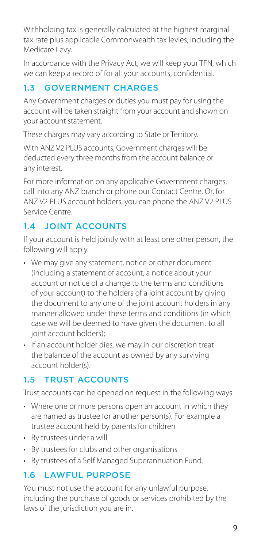<span id="page-8-0"></span>Withholding tax is generally calculated at the highest marginal tax rate plus applicable Commonwealth tax levies, including the Medicare Levy.

In accordance with the Privacy Act, we will keep your TFN, which we can keep a record of for all your accounts, confidential.

# 1.3 GOVERNMENT CHARGES

Any Government charges or duties you must pay for using the account will be taken straight from your account and shown on your account statement.

These charges may vary according to State or Territory.

With ANZ V2 PLUS accounts, Government charges will be deducted every three months from the account balance or any interest.

For more information on any applicable Government charges, call into any ANZ branch or phone our Contact Centre. Or, for ANZ V2 PLUS account holders, you can phone the ANZ V2 PLUS Service Centre.

# 1.4 JOINT ACCOUNTS

If your account is held jointly with at least one other person, the following will apply.

- We may give any statement, notice or other document (including a statement of account, a notice about your account or notice of a change to the terms and conditions of your account) to the holders of a joint account by giving the document to any one of the joint account holders in any manner allowed under these terms and conditions (in which case we will be deemed to have given the document to all joint account holders);
- If an account holder dies, we may in our discretion treat the balance of the account as owned by any surviving account holder(s).

# 1.5 TRUST ACCOUNTS

Trust accounts can be opened on request in the following ways.

- Where one or more persons open an account in which they are named as trustee for another person(s). For example a trustee account held by parents for children
- By trustees under a will
- By trustees for clubs and other organisations
- By trustees of a Self Managed Superannuation Fund.

# 1.6 LAWFUL PURPOSE

You must not use the account for any unlawful purpose, including the purchase of goods or services prohibited by the laws of the jurisdiction you are in.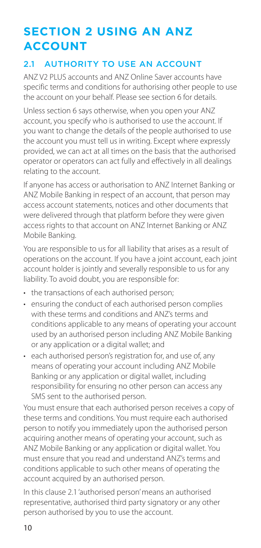# <span id="page-9-0"></span>**SECTION 2 USING AN ANZ ACCOUNT**

## 2.1 AUTHORITY TO USE AN ACCOUNT

ANZ V2 PLUS accounts and ANZ Online Saver accounts have specific terms and conditions for authorising other people to use the account on your behalf. Please see section 6 for details.

Unless section 6 says otherwise, when you open your ANZ account, you specify who is authorised to use the account. If you want to change the details of the people authorised to use the account you must tell us in writing. Except where expressly provided, we can act at all times on the basis that the authorised operator or operators can act fully and effectively in all dealings relating to the account.

If anyone has access or authorisation to ANZ Internet Banking or ANZ Mobile Banking in respect of an account, that person may access account statements, notices and other documents that were delivered through that platform before they were given access rights to that account on ANZ Internet Banking or ANZ Mobile Banking.

You are responsible to us for all liability that arises as a result of operations on the account. If you have a joint account, each joint account holder is jointly and severally responsible to us for any liability. To avoid doubt, you are responsible for:

- the transactions of each authorised person;
- ensuring the conduct of each authorised person complies with these terms and conditions and ANZ's terms and conditions applicable to any means of operating your account used by an authorised person including ANZ Mobile Banking or any application or a digital wallet; and
- each authorised person's registration for, and use of, any means of operating your account including ANZ Mobile Banking or any application or digital wallet, including responsibility for ensuring no other person can access any SMS sent to the authorised person.

You must ensure that each authorised person receives a copy of these terms and conditions. You must require each authorised person to notify you immediately upon the authorised person acquiring another means of operating your account, such as ANZ Mobile Banking or any application or digital wallet. You must ensure that you read and understand ANZ's terms and conditions applicable to such other means of operating the account acquired by an authorised person.

In this clause 2.1 'authorised person' means an authorised representative, authorised third party signatory or any other person authorised by you to use the account.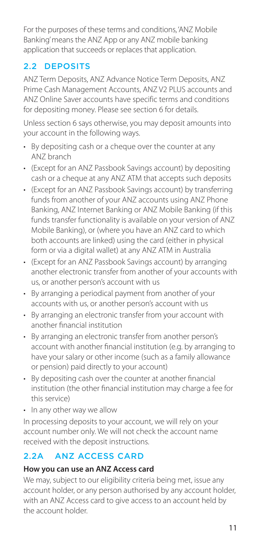<span id="page-10-0"></span>For the purposes of these terms and conditions, 'ANZ Mobile Banking' means the ANZ App or any ANZ mobile banking application that succeeds or replaces that application.

## 2.2 DEPOSITS

ANZ Term Deposits, ANZ Advance Notice Term Deposits, ANZ Prime Cash Management Accounts, ANZ V2 PLUS accounts and ANZ Online Saver accounts have specific terms and conditions for depositing money. Please see section 6 for details.

Unless section 6 says otherwise, you may deposit amounts into your account in the following ways.

- By depositing cash or a cheque over the counter at any ANZ branch
- (Except for an ANZ Passbook Savings account) by depositing cash or a cheque at any ANZ ATM that accepts such deposits
- (Except for an ANZ Passbook Savings account) by transferring funds from another of your ANZ accounts using ANZ Phone Banking, ANZ Internet Banking or ANZ Mobile Banking (if this funds transfer functionality is available on your version of ANZ Mobile Banking), or (where you have an ANZ card to which both accounts are linked) using the card (either in physical form or via a digital wallet) at any ANZ ATM in Australia
- (Except for an ANZ Passbook Savings account) by arranging another electronic transfer from another of your accounts with us, or another person's account with us
- By arranging a periodical payment from another of your accounts with us, or another person's account with us
- By arranging an electronic transfer from your account with another fnancial institution
- By arranging an electronic transfer from another person's account with another fnancial institution (e.g. by arranging to have your salary or other income (such as a family allowance or pension) paid directly to your account)
- By depositing cash over the counter at another fnancial institution (the other fnancial institution may charge a fee for this service)
- In any other way we allow

In processing deposits to your account, we will rely on your account number only. We will not check the account name received with the deposit instructions.

# 2.2A ANZ ACCESS CARD

### **How you can use an ANZ Access card**

We may, subject to our eligibility criteria being met, issue any account holder, or any person authorised by any account holder, with an ANZ Access card to give access to an account held by the account holder.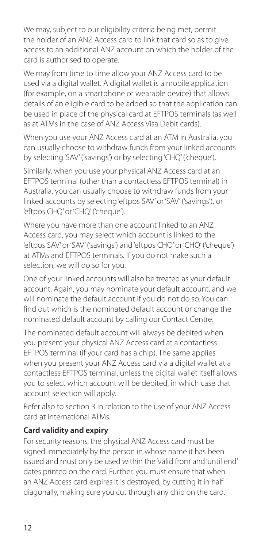We may, subject to our eligibility criteria being met, permit the holder of an ANZ Access card to link that card so as to give access to an additional ANZ account on which the holder of the card is authorised to operate.

We may from time to time allow your ANZ Access card to be used via a digital wallet. A digital wallet is a mobile application (for example, on a smartphone or wearable device) that allows details of an eligible card to be added so that the application can be used in place of the physical card at EFTPOS terminals (as well as at ATMs in the case of ANZ Access Visa Debit cards).

When you use your ANZ Access card at an ATM in Australia, you can usually choose to withdraw funds from your linked accounts by selecting 'SAV' ('savings') or by selecting 'CHQ' ('cheque').

Similarly, when you use your physical ANZ Access card at an EFTPOS terminal (other than a contactless EFTPOS terminal) in Australia, you can usually choose to withdraw funds from your linked accounts by selecting 'eftpos SAV' or 'SAV' ('savings'), or 'eftpos CHQ' or 'CHQ' ('cheque').

Where you have more than one account linked to an ANZ Access card, you may select which account is linked to the 'eftpos SAV' or 'SAV' ('savings') and 'eftpos CHQ' or 'CHQ' ('cheque') at ATMs and EFTPOS terminals. If you do not make such a selection, we will do so for you.

One of your linked accounts will also be treated as your default account. Again, you may nominate your default account, and we will nominate the default account if you do not do so. You can find out which is the nominated default account or change the nominated default account by calling our Contact Centre.

The nominated default account will always be debited when you present your physical ANZ Access card at a contactless EFTPOS terminal (if your card has a chip). The same applies when you present your ANZ Access card via a digital wallet at a contactless EFTPOS terminal, unless the digital wallet itself allows you to select which account will be debited, in which case that account selection will apply.

Refer also to section 3 in relation to the use of your ANZ Access card at international ATMs.

## **Card validity and expiry**

For security reasons, the physical ANZ Access card must be signed immediately by the person in whose name it has been issued and must only be used within the 'valid from' and 'until end' dates printed on the card. Further, you must ensure that when an ANZ Access card expires it is destroyed, by cutting it in half diagonally, making sure you cut through any chip on the card.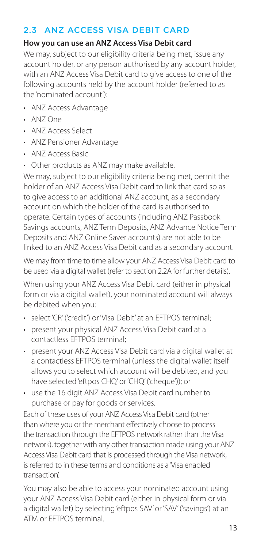## <span id="page-12-0"></span>2.3 ANZ ACCESS VISA DEBIT CARD

#### **How you can use an ANZ Access Visa Debit card**

We may, subject to our eligibility criteria being met, issue any account holder, or any person authorised by any account holder, with an ANZ Access Visa Debit card to give access to one of the following accounts held by the account holder (referred to as the 'nominated account'):

- ANZ Access Advantage
- ANZ One
- ANZ Access Select
- ANZ Pensioner Advantage
- ANZ Access Basic
- Other products as ANZ may make available.

We may, subject to our eligibility criteria being met, permit the holder of an ANZ Access Visa Debit card to link that card so as to give access to an additional ANZ account, as a secondary account on which the holder of the card is authorised to operate. Certain types of accounts (including ANZ Passbook Savings accounts, ANZ Term Deposits, ANZ Advance Notice Term Deposits and ANZ Online Saver accounts) are not able to be linked to an ANZ Access Visa Debit card as a secondary account.

We may from time to time allow your ANZ Access Visa Debit card to be used via a digital wallet (refer to section 2.2A for further details).

When using your ANZ Access Visa Debit card (either in physical form or via a digital wallet), your nominated account will always be debited when you:

- select 'CR' ('credit') or 'Visa Debit' at an EFTPOS terminal;
- present your physical ANZ Access Visa Debit card at a contactless EFTPOS terminal;
- present your ANZ Access Visa Debit card via a digital wallet at a contactless EFTPOS terminal (unless the digital wallet itself allows you to select which account will be debited, and you have selected 'eftpos CHQ' or 'CHQ' ('cheque')); or
- use the 16 digit ANZ Access Visa Debit card number to purchase or pay for goods or services.

Each of these uses of your ANZ Access Visa Debit card (other than where you or the merchant effectively choose to process the transaction through the EFTPOS network rather than the Visa network), together with any other transaction made using your ANZ Access Visa Debit card that is processed through the Visa network, is referred to in these terms and conditions as a 'Visa enabled transaction'.

You may also be able to access your nominated account using your ANZ Access Visa Debit card (either in physical form or via a digital wallet) by selecting 'eftpos SAV' or 'SAV' ('savings') at an ATM or EFTPOS terminal.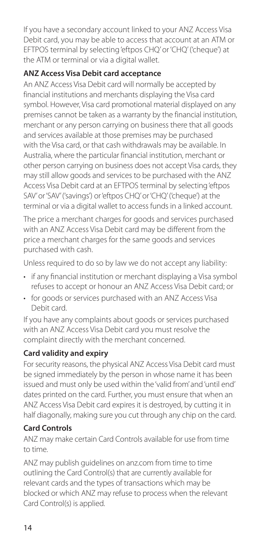If you have a secondary account linked to your ANZ Access Visa Debit card, you may be able to access that account at an ATM or EFTPOS terminal by selecting 'eftpos CHQ' or 'CHQ' ('cheque') at the ATM or terminal or via a digital wallet.

## **ANZ Access Visa Debit card acceptance**

An ANZ Access Visa Debit card will normally be accepted by financial institutions and merchants displaying the Visa card symbol. However, Visa card promotional material displayed on any premises cannot be taken as a warranty by the financial institution, merchant or any person carrying on business there that all goods and services available at those premises may be purchased with the Visa card, or that cash withdrawals may be available. In Australia, where the particular financial institution, merchant or other person carrying on business does not accept Visa cards, they may still allow goods and services to be purchased with the ANZ Access Visa Debit card at an EFTPOS terminal by selecting 'eftpos SAV' or 'SAV' ('savings') or 'eftpos CHQ' or 'CHQ' ('cheque') at the terminal or via a digital wallet to access funds in a linked account.

The price a merchant charges for goods and services purchased with an ANZ Access Visa Debit card may be different from the price a merchant charges for the same goods and services purchased with cash.

Unless required to do so by law we do not accept any liability:

- if any fnancial institution or merchant displaying a Visa symbol refuses to accept or honour an ANZ Access Visa Debit card; or
- for goods or services purchased with an ANZ Access Visa Debit card.

If you have any complaints about goods or services purchased with an ANZ Access Visa Debit card you must resolve the complaint directly with the merchant concerned.

## **Card validity and expiry**

For security reasons, the physical ANZ Access Visa Debit card must be signed immediately by the person in whose name it has been issued and must only be used within the 'valid from' and 'until end' dates printed on the card. Further, you must ensure that when an ANZ Access Visa Debit card expires it is destroyed, by cutting it in half diagonally, making sure you cut through any chip on the card.

## **Card Controls**

to time. ANZ may make certain Card Controls available for use from time

ANZ may publish guidelines on [anz.com](http://anz.com) from time to time outlining the Card Control(s) that are currently available for relevant cards and the types of transactions which may be blocked or which ANZ may refuse to process when the relevant Card Control(s) is applied.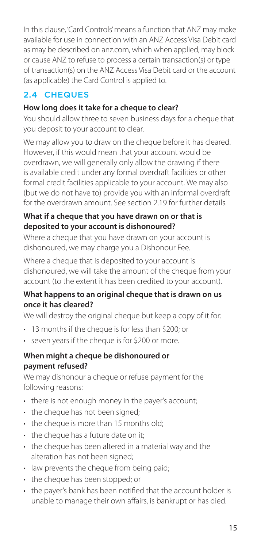<span id="page-14-0"></span>In this clause, 'Card Controls' means a function that ANZ may make available for use in connection with an ANZ Access Visa Debit card as may be described on [anz.com](http://anz.com), which when applied, may block or cause ANZ to refuse to process a certain transaction(s) or type of transaction(s) on the ANZ Access Visa Debit card or the account (as applicable) the Card Control is applied to.

# 2.4 CHEQUES

## **How long does it take for a cheque to clear?**

You should allow three to seven business days for a cheque that you deposit to your account to clear.

We may allow you to draw on the cheque before it has cleared. However, if this would mean that your account would be overdrawn, we will generally only allow the drawing if there is available credit under any formal overdraft facilities or other formal credit facilities applicable to your account. We may also (but we do not have to) provide you with an informal overdraft for the overdrawn amount. See section 2.19 for further details.

#### **What if a cheque that you have drawn on or that is deposited to your account is dishonoured?**

Where a cheque that you have drawn on your account is dishonoured, we may charge you a Dishonour Fee.

Where a cheque that is deposited to your account is dishonoured, we will take the amount of the cheque from your account (to the extent it has been credited to your account).

#### **What happens to an original cheque that is drawn on us once it has cleared?**

We will destroy the original cheque but keep a copy of it for:

- 13 months if the cheque is for less than \$200; or
- seven years if the cheque is for \$200 or more.

#### **When might a cheque be dishonoured or payment refused?**

We may dishonour a cheque or refuse payment for the following reasons:

- there is not enough money in the payer's account;
- the cheque has not been signed;
- the cheque is more than 15 months old;
- the cheque has a future date on it;
- the cheque has been altered in a material way and the alteration has not been signed;
- law prevents the cheque from being paid;
- the cheque has been stopped; or
- the payer's bank has been notifed that the account holder is unable to manage their own affairs, is bankrupt or has died.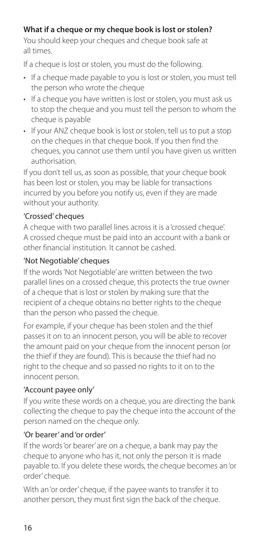## **What if a cheque or my cheque book is lost or stolen?**

You should keep your cheques and cheque book safe at all times.

If a cheque is lost or stolen, you must do the following.

- If a cheque made payable to you is lost or stolen, you must tell the person who wrote the cheque
- If a cheque you have written is lost or stolen, you must ask us to stop the cheque and you must tell the person to whom the cheque is payable
- If your ANZ cheque book is lost or stolen, tell us to put a stop on the cheques in that cheque book. If you then fnd the cheques, you cannot use them until you have given us written authorisation.

If you don't tell us, as soon as possible, that your cheque book has been lost or stolen, you may be liable for transactions incurred by you before you notify us, even if they are made without your authority.

#### 'Crossed' cheques

A cheque with two parallel lines across it is a 'crossed cheque'. A crossed cheque must be paid into an account with a bank or other financial institution. It cannot be cashed.

## 'Not Negotiable' cheques

If the words 'Not Negotiable' are written between the two parallel lines on a crossed cheque, this protects the true owner of a cheque that is lost or stolen by making sure that the recipient of a cheque obtains no better rights to the cheque than the person who passed the cheque.

For example, if your cheque has been stolen and the thief passes it on to an innocent person, you will be able to recover the amount paid on your cheque from the innocent person (or the thief if they are found). This is because the thief had no right to the cheque and so passed no rights to it on to the innocent person.

### 'Account payee only'

If you write these words on a cheque, you are directing the bank collecting the cheque to pay the cheque into the account of the person named on the cheque only.

### 'Or bearer' and 'or order'

If the words 'or bearer' are on a cheque, a bank may pay the cheque to anyone who has it, not only the person it is made payable to. If you delete these words, the cheque becomes an 'or order' cheque.

With an 'or order' cheque, if the payee wants to transfer it to another person, they must first sign the back of the cheque.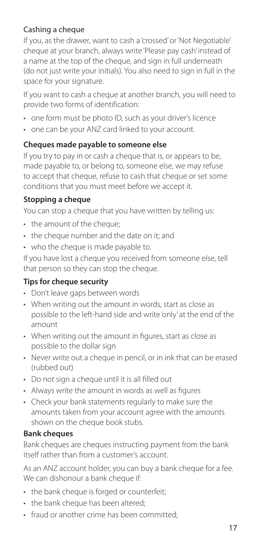## Cashing a cheque

If you, as the drawer, want to cash a 'crossed' or 'Not Negotiable' cheque at your branch, always write 'Please pay cash' instead of a name at the top of the cheque, and sign in full underneath (do not just write your initials). You also need to sign in full in the space for your signature.

If you want to cash a cheque at another branch, you will need to provide two forms of identification:

- one form must be photo ID, such as your driver's licence
- one can be your ANZ card linked to your account.

### **Cheques made payable to someone else**

If you try to pay in or cash a cheque that is, or appears to be, made payable to, or belong to, someone else, we may refuse to accept that cheque, refuse to cash that cheque or set some conditions that you must meet before we accept it.

### **Stopping a cheque**

You can stop a cheque that you have written by telling us:

- the amount of the cheque;
- the cheque number and the date on it; and
- who the cheque is made payable to.

If you have lost a cheque you received from someone else, tell that person so they can stop the cheque.

### **Tips for cheque security**

- Don't leave gaps between words
- When writing out the amount in words, start as close as possible to the left-hand side and write 'only' at the end of the amount
- When writing out the amount in fgures, start as close as possible to the dollar sign
- Never write out a cheque in pencil, or in ink that can be erased (rubbed out)
- Do not sign a cheque until it is all flled out
- Always write the amount in words as well as figures
- Check your bank statements regularly to make sure the amounts taken from your account agree with the amounts shown on the cheque book stubs.

### **Bank cheques**

Bank cheques are cheques instructing payment from the bank itself rather than from a customer's account.

As an ANZ account holder, you can buy a bank cheque for a fee. We can dishonour a bank cheque if:

- the bank cheque is forged or counterfeit:
- the bank cheque has been altered:
- fraud or another crime has been committed;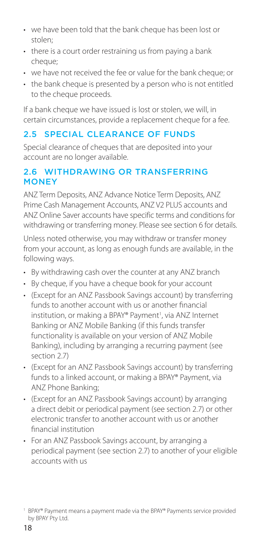- <span id="page-17-0"></span>• we have been told that the bank cheque has been lost or stolen;
- there is a court order restraining us from paying a bank cheque:
- we have not received the fee or value for the bank cheque; or
- the bank cheque is presented by a person who is not entitled to the cheque proceeds.

If a bank cheque we have issued is lost or stolen, we will, in certain circumstances, provide a replacement cheque for a fee.

## 2.5 SPECIAL CLEARANCE OF FUNDS

Special clearance of cheques that are deposited into your account are no longer available.

## 2.6 WITHDRAWING OR TRANSFERRING **MONEY**

ANZ Term Deposits, ANZ Advance Notice Term Deposits, ANZ Prime Cash Management Accounts, ANZ V2 PLUS accounts and ANZ Online Saver accounts have specific terms and conditions for withdrawing or transferring money. Please see section 6 for details.

Unless noted otherwise, you may withdraw or transfer money from your account, as long as enough funds are available, in the following ways.

- By withdrawing cash over the counter at any ANZ branch
- By cheque, if you have a cheque book for your account
- (Except for an ANZ Passbook Savings account) by transferring funds to another account with us or another fnancial institution, or making a BPAY® Payment<sup>1</sup>, via ANZ Internet Banking or ANZ Mobile Banking (if this funds transfer functionality is available on your version of ANZ Mobile Banking), including by arranging a recurring payment (see section 2.7)
- (Except for an ANZ Passbook Savings account) by transferring funds to a linked account, or making a BPAY® Payment, via ANZ Phone Banking;
- (Except for an ANZ Passbook Savings account) by arranging a direct debit or periodical payment (see section 2.7) or other electronic transfer to another account with us or another fnancial institution
- For an ANZ Passbook Savings account, by arranging a periodical payment (see section 2.7) to another of your eligible accounts with us

<sup>&</sup>lt;sup>1</sup> BPAY® Payment means a payment made via the BPAY® Payments service provided by BPAY Pty Ltd.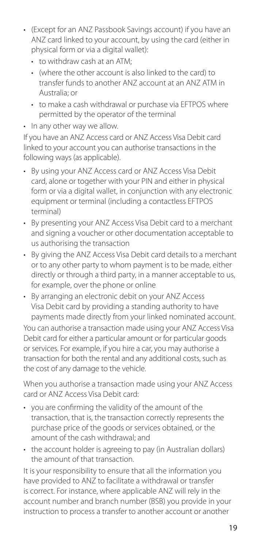- (Except for an ANZ Passbook Savings account) if you have an ANZ card linked to your account, by using the card (either in physical form or via a digital wallet):
	- to withdraw cash at an ATM;
	- (where the other account is also linked to the card) to transfer funds to another ANZ account at an ANZ ATM in Australia; or
	- to make a cash withdrawal or purchase via EFTPOS where permitted by the operator of the terminal
- In any other way we allow.

If you have an ANZ Access card or ANZ Access Visa Debit card linked to your account you can authorise transactions in the following ways (as applicable).

- By using your ANZ Access card or ANZ Access Visa Debit card, alone or together with your PIN and either in physical form or via a digital wallet, in conjunction with any electronic equipment or terminal (including a contactless EFTPOS terminal)
- By presenting your ANZ Access Visa Debit card to a merchant and signing a voucher or other documentation acceptable to us authorising the transaction
- By giving the ANZ Access Visa Debit card details to a merchant or to any other party to whom payment is to be made, either directly or through a third party, in a manner acceptable to us, for example, over the phone or online
- By arranging an electronic debit on your ANZ Access Visa Debit card by providing a standing authority to have payments made directly from your linked nominated account.

You can authorise a transaction made using your ANZ Access Visa Debit card for either a particular amount or for particular goods or services. For example, if you hire a car, you may authorise a transaction for both the rental and any additional costs, such as the cost of any damage to the vehicle.

When you authorise a transaction made using your ANZ Access card or ANZ Access Visa Debit card:

- you are confrming the validity of the amount of the transaction, that is, the transaction correctly represents the purchase price of the goods or services obtained, or the amount of the cash withdrawal; and
- the account holder is agreeing to pay (in Australian dollars) the amount of that transaction.

It is your responsibility to ensure that all the information you have provided to ANZ to facilitate a withdrawal or transfer is correct. For instance, where applicable ANZ will rely in the account number and branch number (BSB) you provide in your instruction to process a transfer to another account or another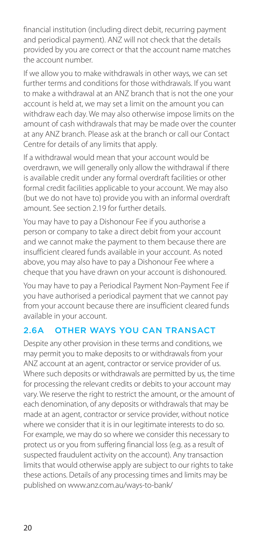<span id="page-19-0"></span>financial institution (including direct debit, recurring payment and periodical payment). ANZ will not check that the details provided by you are correct or that the account name matches the account number.

If we allow you to make withdrawals in other ways, we can set further terms and conditions for those withdrawals. If you want to make a withdrawal at an ANZ branch that is not the one your account is held at, we may set a limit on the amount you can withdraw each day. We may also otherwise impose limits on the amount of cash withdrawals that may be made over the counter at any ANZ branch. Please ask at the branch or call our Contact Centre for details of any limits that apply.

If a withdrawal would mean that your account would be overdrawn, we will generally only allow the withdrawal if there is available credit under any formal overdraft facilities or other formal credit facilities applicable to your account. We may also (but we do not have to) provide you with an informal overdraft amount. See section 2.19 for further details.

You may have to pay a Dishonour Fee if you authorise a person or company to take a direct debit from your account and we cannot make the payment to them because there are insufficient cleared funds available in your account. As noted above, you may also have to pay a Dishonour Fee where a cheque that you have drawn on your account is dishonoured.

You may have to pay a Periodical Payment Non-Payment Fee if you have authorised a periodical payment that we cannot pay from your account because there are insufficient cleared funds available in your account.

## 2.6A OTHER WAYS YOU CAN TRANSACT

Despite any other provision in these terms and conditions, we may permit you to make deposits to or withdrawals from your ANZ account at an agent, contractor or service provider of us. Where such deposits or withdrawals are permitted by us, the time for processing the relevant credits or debits to your account may vary. We reserve the right to restrict the amount, or the amount of each denomination, of any deposits or withdrawals that may be made at an agent, contractor or service provider, without notice where we consider that it is in our legitimate interests to do so. For example, we may do so where we consider this necessary to protect us or you from suffering financial loss (e.g. as a result of suspected fraudulent activity on the account). Any transaction limits that would otherwise apply are subject to our rights to take these actions. Details of any processing times and limits may be published on [www.anz.com.au/ways-to-bank/](http://www.anz.com.au/ways-to-bank/)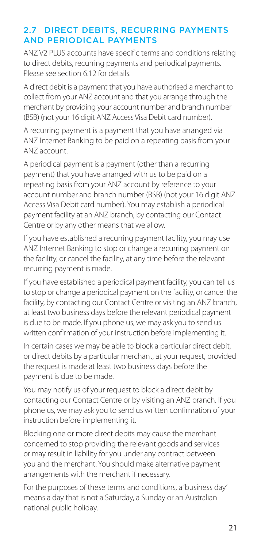## <span id="page-20-0"></span>2.7 DIRECT DEBITS, RECURRING PAYMENTS AND PERIODICAL PAYMENTS

ANZ V2 PLUS accounts have specific terms and conditions relating to direct debits, recurring payments and periodical payments. Please see section 6.12 for details.

A direct debit is a payment that you have authorised a merchant to collect from your ANZ account and that you arrange through the merchant by providing your account number and branch number (BSB) (not your 16 digit ANZ Access Visa Debit card number).

A recurring payment is a payment that you have arranged via ANZ Internet Banking to be paid on a repeating basis from your ANZ account.

A periodical payment is a payment (other than a recurring payment) that you have arranged with us to be paid on a repeating basis from your ANZ account by reference to your account number and branch number (BSB) (not your 16 digit ANZ Access Visa Debit card number). You may establish a periodical payment facility at an ANZ branch, by contacting our Contact Centre or by any other means that we allow.

If you have established a recurring payment facility, you may use ANZ Internet Banking to stop or change a recurring payment on the facility, or cancel the facility, at any time before the relevant recurring payment is made.

If you have established a periodical payment facility, you can tell us to stop or change a periodical payment on the facility, or cancel the facility, by contacting our Contact Centre or visiting an ANZ branch, at least two business days before the relevant periodical payment is due to be made. If you phone us, we may ask you to send us written confirmation of your instruction before implementing it.

In certain cases we may be able to block a particular direct debit, or direct debits by a particular merchant, at your request, provided the request is made at least two business days before the payment is due to be made.

You may notify us of your request to block a direct debit by contacting our Contact Centre or by visiting an ANZ branch. If you phone us, we may ask you to send us written confirmation of your instruction before implementing it.

Blocking one or more direct debits may cause the merchant concerned to stop providing the relevant goods and services or may result in liability for you under any contract between you and the merchant. You should make alternative payment arrangements with the merchant if necessary.

For the purposes of these terms and conditions, a 'business day' means a day that is not a Saturday, a Sunday or an Australian national public holiday.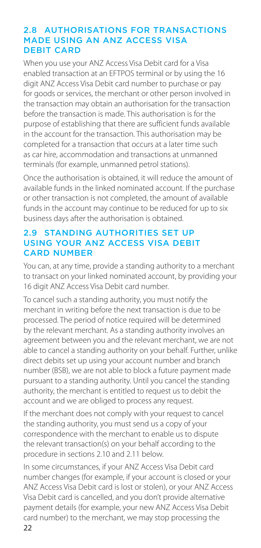#### <span id="page-21-0"></span>2.8 AUTHORISATIONS FOR TRANSACTIONS MADE USING AN ANZ ACCESS VISA DEBIT CARD

When you use your ANZ Access Visa Debit card for a Visa enabled transaction at an EFTPOS terminal or by using the 16 digit ANZ Access Visa Debit card number to purchase or pay for goods or services, the merchant or other person involved in the transaction may obtain an authorisation for the transaction before the transaction is made. This authorisation is for the purpose of establishing that there are sufficient funds available in the account for the transaction. This authorisation may be completed for a transaction that occurs at a later time such as car hire, accommodation and transactions at unmanned terminals (for example, unmanned petrol stations).

Once the authorisation is obtained, it will reduce the amount of available funds in the linked nominated account. If the purchase or other transaction is not completed, the amount of available funds in the account may continue to be reduced for up to six business days after the authorisation is obtained.

### 2.9 STANDING AUTHORITIES SET UP USING YOUR ANZ ACCESS VISA DEBIT CARD NUMBER

You can, at any time, provide a standing authority to a merchant to transact on your linked nominated account, by providing your 16 digit ANZ Access Visa Debit card number.

To cancel such a standing authority, you must notify the merchant in writing before the next transaction is due to be processed. The period of notice required will be determined by the relevant merchant. As a standing authority involves an agreement between you and the relevant merchant, we are not able to cancel a standing authority on your behalf. Further, unlike direct debits set up using your account number and branch number (BSB), we are not able to block a future payment made pursuant to a standing authority. Until you cancel the standing authority, the merchant is entitled to request us to debit the account and we are obliged to process any request.

If the merchant does not comply with your request to cancel the standing authority, you must send us a copy of your correspondence with the merchant to enable us to dispute the relevant transaction(s) on your behalf according to the procedure in sections 2.10 and 2.11 below.

In some circumstances, if your ANZ Access Visa Debit card number changes (for example, if your account is closed or your ANZ Access Visa Debit card is lost or stolen), or your ANZ Access Visa Debit card is cancelled, and you don't provide alternative payment details (for example, your new ANZ Access Visa Debit card number) to the merchant, we may stop processing the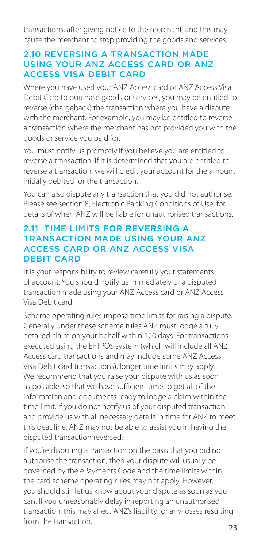<span id="page-22-0"></span>transactions, after giving notice to the merchant, and this may cause the merchant to stop providing the goods and services.

#### 2.10 REVERSING A TRANSACTION MADE USING YOUR ANZ ACCESS CARD OR ANZ ACCESS VISA DEBIT CARD

Where you have used your ANZ Access card or ANZ Access Visa Debit Card to purchase goods or services, you may be entitled to reverse (chargeback) the transaction where you have a dispute with the merchant. For example, you may be entitled to reverse a transaction where the merchant has not provided you with the goods or service you paid for.

You must notify us promptly if you believe you are entitled to reverse a transaction. If it is determined that you are entitled to reverse a transaction, we will credit your account for the amount initially debited for the transaction.

You can also dispute any transaction that you did not authorise. Please see section 8, Electronic Banking Conditions of Use, for details of when ANZ will be liable for unauthorised transactions.

#### 2.11 TIME LIMITS FOR REVERSING A TRANSACTION MADE USING YOUR ANZ ACCESS CARD OR ANZ ACCESS VISA DEBIT CARD

It is your responsibility to review carefully your statements of account. You should notify us immediately of a disputed transaction made using your ANZ Access card or ANZ Access Visa Debit card.

Scheme operating rules impose time limits for raising a dispute. Generally under these scheme rules ANZ must lodge a fully detailed claim on your behalf within 120 days. For transactions executed using the EFTPOS system (which will include all ANZ Access card transactions and may include some ANZ Access Visa Debit card transactions), longer time limits may apply. We recommend that you raise your dispute with us as soon as possible, so that we have sufficient time to get all of the information and documents ready to lodge a claim within the time limit. If you do not notify us of your disputed transaction and provide us with all necessary details in time for ANZ to meet this deadline, ANZ may not be able to assist you in having the disputed transaction reversed.

If you're disputing a transaction on the basis that you did not authorise the transaction, then your dispute will usually be governed by the ePayments Code and the time limits within the card scheme operating rules may not apply. However, you should still let us know about your dispute as soon as you can. If you unreasonably delay in reporting an unauthorised transaction, this may affect ANZ's liability for any losses resulting from the transaction.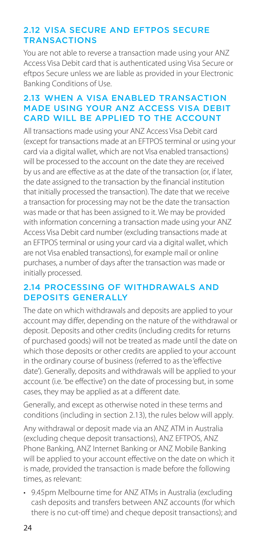## <span id="page-23-0"></span>2.12 VISA SECURE AND EFTPOS SECURE **TRANSACTIONS**

You are not able to reverse a transaction made using your ANZ Access Visa Debit card that is authenticated using Visa Secure or eftpos Secure unless we are liable as provided in your Electronic Banking Conditions of Use.

## 2.13 WHEN A VISA ENABLED TRANSACTION MADE USING YOUR ANZ ACCESS VISA DEBIT CARD WILL BE APPLIED TO THE ACCOUNT

All transactions made using your ANZ Access Visa Debit card (except for transactions made at an EFTPOS terminal or using your card via a digital wallet, which are not Visa enabled transactions) will be processed to the account on the date they are received by us and are effective as at the date of the transaction (or, if later, the date assigned to the transaction by the financial institution that initially processed the transaction). The date that we receive a transaction for processing may not be the date the transaction was made or that has been assigned to it. We may be provided with information concerning a transaction made using your ANZ Access Visa Debit card number (excluding transactions made at an EFTPOS terminal or using your card via a digital wallet, which are not Visa enabled transactions), for example mail or online purchases, a number of days after the transaction was made or initially processed.

#### 2.14 PROCESSING OF WITHDRAWALS AND DEPOSITS GENERALLY

The date on which withdrawals and deposits are applied to your account may differ, depending on the nature of the withdrawal or deposit. Deposits and other credits (including credits for returns of purchased goods) will not be treated as made until the date on which those deposits or other credits are applied to your account in the ordinary course of business (referred to as the 'effective date'). Generally, deposits and withdrawals will be applied to your account (i.e. 'be effective') on the date of processing but, in some cases, they may be applied as at a different date.

Generally, and except as otherwise noted in these terms and conditions (including in section 2.13), the rules below will apply.

Any withdrawal or deposit made via an ANZ ATM in Australia (excluding cheque deposit transactions), ANZ EFTPOS, ANZ Phone Banking, ANZ Internet Banking or ANZ Mobile Banking will be applied to your account effective on the date on which it is made, provided the transaction is made before the following times, as relevant:

• 9.45pm Melbourne time for ANZ ATMs in Australia (excluding cash deposits and transfers between ANZ accounts (for which there is no cut-off time) and cheque deposit transactions); and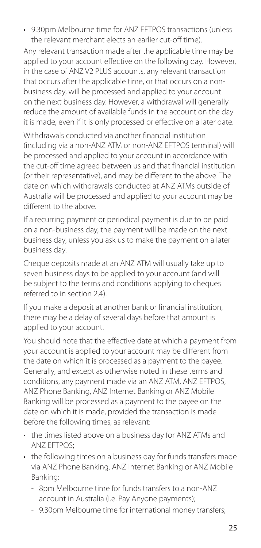• 9.30pm Melbourne time for ANZ EFTPOS transactions (unless the relevant merchant elects an earlier cut-off time).

Any relevant transaction made after the applicable time may be applied to your account effective on the following day. However, in the case of ANZ V2 PLUS accounts, any relevant transaction that occurs after the applicable time, or that occurs on a nonbusiness day, will be processed and applied to your account on the next business day. However, a withdrawal will generally reduce the amount of available funds in the account on the day it is made, even if it is only processed or effective on a later date.

Withdrawals conducted via another financial institution (including via a non-ANZ ATM or non-ANZ EFTPOS terminal) will be processed and applied to your account in accordance with the cut-off time agreed between us and that financial institution (or their representative), and may be different to the above. The date on which withdrawals conducted at ANZ ATMs outside of Australia will be processed and applied to your account may be different to the above.

If a recurring payment or periodical payment is due to be paid on a non-business day, the payment will be made on the next business day, unless you ask us to make the payment on a later business day.

Cheque deposits made at an ANZ ATM will usually take up to seven business days to be applied to your account (and will be subject to the terms and conditions applying to cheques referred to in section 2.4).

If you make a deposit at another bank or financial institution, there may be a delay of several days before that amount is applied to your account.

You should note that the effective date at which a payment from your account is applied to your account may be different from the date on which it is processed as a payment to the payee. Generally, and except as otherwise noted in these terms and conditions, any payment made via an ANZ ATM, ANZ EFTPOS, ANZ Phone Banking, ANZ Internet Banking or ANZ Mobile Banking will be processed as a payment to the payee on the date on which it is made, provided the transaction is made before the following times, as relevant:

- the times listed above on a business day for ANZ ATMs and ANZ EFTPOS;
- the following times on a business day for funds transfers made via ANZ Phone Banking, ANZ Internet Banking or ANZ Mobile Banking:
	- 8pm Melbourne time for funds transfers to a non-ANZ account in Australia (i.e. Pay Anyone payments);
	- 9.30pm Melbourne time for international money transfers;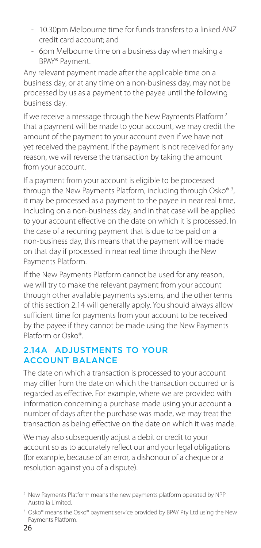- <span id="page-25-0"></span>- 10.30pm Melbourne time for funds transfers to a linked ANZ credit card account; and
- 6pm Melbourne time on a business day when making a BPAY® Payment.

Any relevant payment made after the applicable time on a business day, or at any time on a non-business day, may not be processed by us as a payment to the payee until the following business day.

If we receive a message through the New Payments Platform<sup>2</sup> that a payment will be made to your account, we may credit the amount of the payment to your account even if we have not yet received the payment. If the payment is not received for any reason, we will reverse the transaction by taking the amount from your account.

If a payment from your account is eligible to be processed through the New Payments Platform, including through Osko® 3 , it may be processed as a payment to the payee in near real time, including on a non-business day, and in that case will be applied to your account effective on the date on which it is processed. In the case of a recurring payment that is due to be paid on a non-business day, this means that the payment will be made on that day if processed in near real time through the New Payments Platform.

If the New Payments Platform cannot be used for any reason, we will try to make the relevant payment from your account through other available payments systems, and the other terms of this section 2.14 will generally apply. You should always allow sufficient time for payments from your account to be received by the payee if they cannot be made using the New Payments Platform or Osko®.

### 2.14A ADJUSTMENTS TO YOUR ACCOUNT BALANCE

The date on which a transaction is processed to your account may differ from the date on which the transaction occurred or is regarded as effective. For example, where we are provided with information concerning a purchase made using your account a number of days after the purchase was made, we may treat the transaction as being effective on the date on which it was made.

We may also subsequently adjust a debit or credit to your account so as to accurately reflect our and your legal obligations (for example, because of an error, a dishonour of a cheque or a resolution against you of a dispute).

 2 New Payments Platform means the new payments platform operated by NPP Australia Limited.

<sup>&</sup>lt;sup>3</sup> Osko® means the Osko® payment service provided by BPAY Pty Ltd using the New Payments Platform.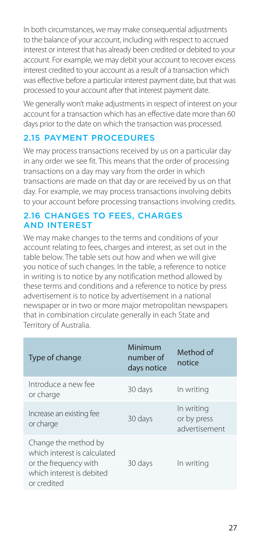<span id="page-26-0"></span>In both circumstances, we may make consequential adjustments to the balance of your account, including with respect to accrued interest or interest that has already been credited or debited to your account. For example, we may debit your account to recover excess interest credited to your account as a result of a transaction which was effective before a particular interest payment date, but that was processed to your account after that interest payment date.

We generally won't make adjustments in respect of interest on your account for a transaction which has an effective date more than 60 days prior to the date on which the transaction was processed.

## 2.15 PAYMENT PROCEDURES

We may process transactions received by us on a particular day in any order we see fit. This means that the order of processing transactions on a day may vary from the order in which transactions are made on that day or are received by us on that day. For example, we may process transactions involving debits to your account before processing transactions involving credits.

#### 2.16 CHANGES TO FEES, CHARGES AND INTEREST

We may make changes to the terms and conditions of your account relating to fees, charges and interest, as set out in the table below. The table sets out how and when we will give you notice of such changes. In the table, a reference to notice in writing is to notice by any notification method allowed by these terms and conditions and a reference to notice by press advertisement is to notice by advertisement in a national newspaper or in two or more major metropolitan newspapers that in combination circulate generally in each State and Territory of Australia.

| Type of change                                                                                                            | Minimum<br>number of<br>days notice | Method of<br>notice                        |
|---------------------------------------------------------------------------------------------------------------------------|-------------------------------------|--------------------------------------------|
| Introduce a new fee<br>or charge                                                                                          | 30 days                             | In writing                                 |
| Increase an existing fee<br>or charge                                                                                     | 30 days                             | In writing<br>or by press<br>advertisement |
| Change the method by<br>which interest is calculated<br>or the frequency with<br>which interest is debited<br>or credited | 30 days                             | In writing                                 |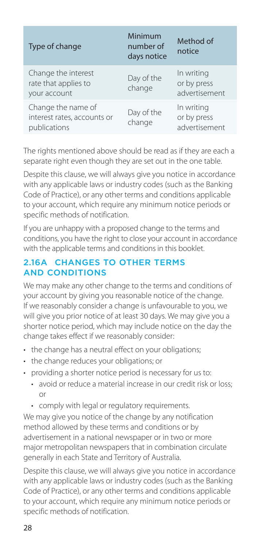<span id="page-27-0"></span>

| Type of change                                                    | Minimum<br>number of<br>days notice | Method of<br>notice                        |
|-------------------------------------------------------------------|-------------------------------------|--------------------------------------------|
| Change the interest<br>rate that applies to<br>your account       | Day of the<br>change                | In writing<br>or by press<br>advertisement |
| Change the name of<br>interest rates, accounts or<br>publications | Day of the<br>change                | In writing<br>or by press<br>advertisement |

The rights mentioned above should be read as if they are each a separate right even though they are set out in the one table.

Despite this clause, we will always give you notice in accordance with any applicable laws or industry codes (such as the Banking Code of Practice), or any other terms and conditions applicable to your account, which require any minimum notice periods or specific methods of notification.

If you are unhappy with a proposed change to the terms and conditions, you have the right to close your account in accordance with the applicable terms and conditions in this booklet.

## 2.16A CHANGES TO OTHER TERMS AND CONDITIONS

We may make any other change to the terms and conditions of your account by giving you reasonable notice of the change. If we reasonably consider a change is unfavourable to you, we will give you prior notice of at least 30 days. We may give you a shorter notice period, which may include notice on the day the change takes effect if we reasonably consider:

- the change has a neutral effect on your obligations;
- the change reduces your obligations; or
- providing a shorter notice period is necessary for us to:
	- avoid or reduce a material increase in our credit risk or loss; or
	- comply with legal or regulatory requirements.

We may give you notice of the change by any notification method allowed by these terms and conditions or by advertisement in a national newspaper or in two or more major metropolitan newspapers that in combination circulate generally in each State and Territory of Australia.

Despite this clause, we will always give you notice in accordance with any applicable laws or industry codes (such as the Banking Code of Practice), or any other terms and conditions applicable to your account, which require any minimum notice periods or specific methods of notification.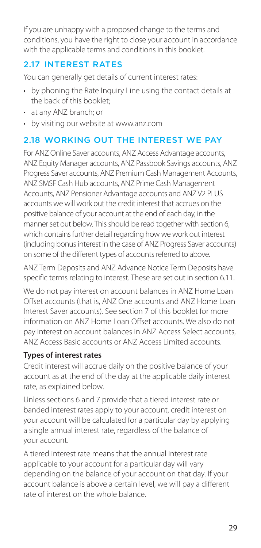<span id="page-28-0"></span>If you are unhappy with a proposed change to the terms and conditions, you have the right to close your account in accordance with the applicable terms and conditions in this booklet.

## 2.17 INTEREST RATES

You can generally get details of current interest rates:

- by phoning the Rate Inquiry Line using the contact details at the back of this booklet;
- at any ANZ branch; or
- by visiting our website at [www.anz.com](http://www.anz.com)

## 2.18 WORKING OUT THE INTEREST WE PAY

For ANZ Online Saver accounts, ANZ Access Advantage accounts, ANZ Equity Manager accounts, ANZ Passbook Savings accounts, ANZ Progress Saver accounts, ANZ Premium Cash Management Accounts, ANZ SMSF Cash Hub accounts, ANZ Prime Cash Management Accounts, ANZ Pensioner Advantage accounts and ANZ V2 PLUS accounts we will work out the credit interest that accrues on the positive balance of your account at the end of each day, in the manner set out below. This should be read together with section 6, which contains further detail regarding how we work out interest (including bonus interest in the case of ANZ Progress Saver accounts) on some of the different types of accounts referred to above.

ANZ Term Deposits and ANZ Advance Notice Term Deposits have specific terms relating to interest. These are set out in section 6.11.

We do not pay interest on account balances in ANZ Home Loan Offset accounts (that is, ANZ One accounts and ANZ Home Loan Interest Saver accounts). See section 7 of this booklet for more information on ANZ Home Loan Offset accounts. We also do not pay interest on account balances in ANZ Access Select accounts, ANZ Access Basic accounts or ANZ Access Limited accounts.

#### **Types of interest rates**

Credit interest will accrue daily on the positive balance of your account as at the end of the day at the applicable daily interest rate, as explained below.

Unless sections 6 and 7 provide that a tiered interest rate or banded interest rates apply to your account, credit interest on your account will be calculated for a particular day by applying a single annual interest rate, regardless of the balance of your account.

A tiered interest rate means that the annual interest rate applicable to your account for a particular day will vary depending on the balance of your account on that day. If your account balance is above a certain level, we will pay a different rate of interest on the whole balance.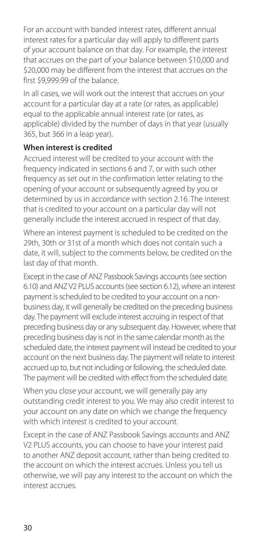For an account with banded interest rates, different annual interest rates for a particular day will apply to different parts of your account balance on that day. For example, the interest that accrues on the part of your balance between \$10,000 and \$20,000 may be different from the interest that accrues on the first \$9,999.99 of the balance.

In all cases, we will work out the interest that accrues on your account for a particular day at a rate (or rates, as applicable) equal to the applicable annual interest rate (or rates, as applicable) divided by the number of days in that year (usually 365, but 366 in a leap year).

### **When interest is credited**

Accrued interest will be credited to your account with the frequency indicated in sections 6 and 7, or with such other frequency as set out in the confirmation letter relating to the opening of your account or subsequently agreed by you or determined by us in accordance with section 2.16. The interest that is credited to your account on a particular day will not generally include the interest accrued in respect of that day.

Where an interest payment is scheduled to be credited on the 29th, 30th or 31st of a month which does not contain such a date, it will, subject to the comments below, be credited on the last day of that month.

Except in the case of ANZ Passbook Savings accounts (see section 6.10) and ANZ V2 PLUS accounts (see section 6.12), where an interest payment is scheduled to be credited to your account on a nonbusiness day, it will generally be credited on the preceding business day. The payment will exclude interest accruing in respect of that preceding business day or any subsequent day. However, where that preceding business day is not in the same calendar month as the scheduled date, the interest payment will instead be credited to your account on the next business day. The payment will relate to interest accrued up to, but not including or following, the scheduled date. The payment will be credited with effect from the scheduled date.

When you close your account, we will generally pay any outstanding credit interest to you. We may also credit interest to your account on any date on which we change the frequency with which interest is credited to your account.

Except in the case of ANZ Passbook Savings accounts and ANZ V2 PLUS accounts, you can choose to have your interest paid to another ANZ deposit account, rather than being credited to the account on which the interest accrues. Unless you tell us otherwise, we will pay any interest to the account on which the interest accrues.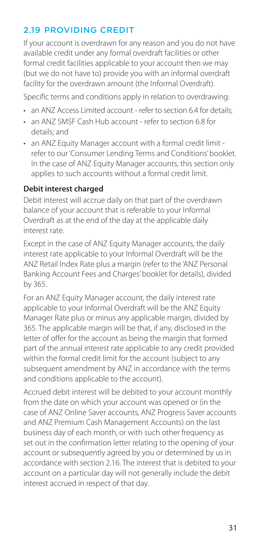## <span id="page-30-0"></span>2.19 PROVIDING CREDIT

If your account is overdrawn for any reason and you do not have available credit under any formal overdraft facilities or other formal credit facilities applicable to your account then we may (but we do not have to) provide you with an informal overdraft facility for the overdrawn amount (the Informal Overdraft).

Specific terms and conditions apply in relation to overdrawing:

- an ANZ Access Limited account refer to section 6.4 for details:
- an ANZ SMSE Cash Hub account refer to section 6.8 for details; and
- an ANZ Equity Manager account with a formal credit limit refer to our 'Consumer Lending Terms and Conditions' booklet. In the case of ANZ Equity Manager accounts, this section only applies to such accounts without a formal credit limit.

#### **Debit interest charged**

Debit interest will accrue daily on that part of the overdrawn balance of your account that is referable to your Informal Overdraft as at the end of the day at the applicable daily interest rate.

Except in the case of ANZ Equity Manager accounts, the daily interest rate applicable to your Informal Overdraft will be the ANZ Retail Index Rate plus a margin (refer to the 'ANZ Personal Banking Account Fees and Charges' booklet for details), divided by 365.

For an ANZ Equity Manager account, the daily interest rate applicable to your Informal Overdraft will be the ANZ Equity Manager Rate plus or minus any applicable margin, divided by 365. The applicable margin will be that, if any, disclosed in the letter of offer for the account as being the margin that formed part of the annual interest rate applicable to any credit provided within the formal credit limit for the account (subject to any subsequent amendment by ANZ in accordance with the terms and conditions applicable to the account).

Accrued debit interest will be debited to your account monthly from the date on which your account was opened or (in the case of ANZ Online Saver accounts, ANZ Progress Saver accounts and ANZ Premium Cash Management Accounts) on the last business day of each month, or with such other frequency as set out in the confirmation letter relating to the opening of your account or subsequently agreed by you or determined by us in accordance with section 2.16. The interest that is debited to your account on a particular day will not generally include the debit interest accrued in respect of that day.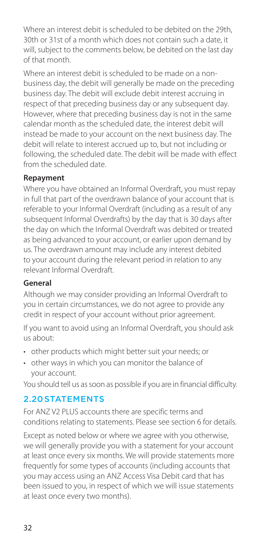<span id="page-31-0"></span>Where an interest debit is scheduled to be debited on the 29th, 30th or 31st of a month which does not contain such a date, it will, subject to the comments below, be debited on the last day of that month.

Where an interest debit is scheduled to be made on a nonbusiness day, the debit will generally be made on the preceding business day. The debit will exclude debit interest accruing in respect of that preceding business day or any subsequent day. However, where that preceding business day is not in the same calendar month as the scheduled date, the interest debit will instead be made to your account on the next business day. The debit will relate to interest accrued up to, but not including or following, the scheduled date. The debit will be made with effect from the scheduled date.

#### **Repayment**

Where you have obtained an Informal Overdraft, you must repay in full that part of the overdrawn balance of your account that is referable to your Informal Overdraft (including as a result of any subsequent Informal Overdrafts) by the day that is 30 days after the day on which the Informal Overdraft was debited or treated as being advanced to your account, or earlier upon demand by us. The overdrawn amount may include any interest debited to your account during the relevant period in relation to any relevant Informal Overdraft.

### **General**

Although we may consider providing an Informal Overdraft to you in certain circumstances, we do not agree to provide any credit in respect of your account without prior agreement.

If you want to avoid using an Informal Overdraft, you should ask us about:

- other products which might better suit your needs; or
- other ways in which you can monitor the balance of your account.

You should tell us as soon as possible if you are in financial difficulty.

## 2.20 STATEMENTS

For ANZ V2 PLUS accounts there are specific terms and conditions relating to statements. Please see section 6 for details.

Except as noted below or where we agree with you otherwise, we will generally provide you with a statement for your account at least once every six months. We will provide statements more frequently for some types of accounts (including accounts that you may access using an ANZ Access Visa Debit card that has been issued to you, in respect of which we will issue statements at least once every two months).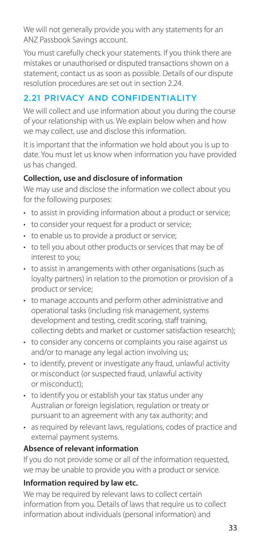<span id="page-32-0"></span>We will not generally provide you with any statements for an ANZ Passbook Savings account.

You must carefully check your statements. If you think there are mistakes or unauthorised or disputed transactions shown on a statement, contact us as soon as possible. Details of our dispute resolution procedures are set out in section 2.24.

# 2.21 PRIVACY AND CONFIDENTIALITY

We will collect and use information about you during the course of your relationship with us. We explain below when and how we may collect, use and disclose this information.

It is important that the information we hold about you is up to date. You must let us know when information you have provided us has changed.

## **Collection, use and disclosure of information**

We may use and disclose the information we collect about you for the following purposes:

- to assist in providing information about a product or service;
- to consider your request for a product or service;
- to enable us to provide a product or service;
- to tell you about other products or services that may be of interest to you;
- to assist in arrangements with other organisations (such as loyalty partners) in relation to the promotion or provision of a product or service;
- to manage accounts and perform other administrative and operational tasks (including risk management, systems development and testing, credit scoring, staff training, collecting debts and market or customer satisfaction research);
- to consider any concerns or complaints you raise against us and/or to manage any legal action involving us:
- to identify, prevent or investigate any fraud, unlawful activity or misconduct (or suspected fraud, unlawful activity or misconduct);
- to identify you or establish your tax status under any Australian or foreign legislation, regulation or treaty or pursuant to an agreement with any tax authority; and
- as required by relevant laws, regulations, codes of practice and external payment systems.

### **Absence of relevant information**

If you do not provide some or all of the information requested, we may be unable to provide you with a product or service.

### **Information required by law etc.**

We may be required by relevant laws to collect certain information from you. Details of laws that require us to collect information about individuals (personal information) and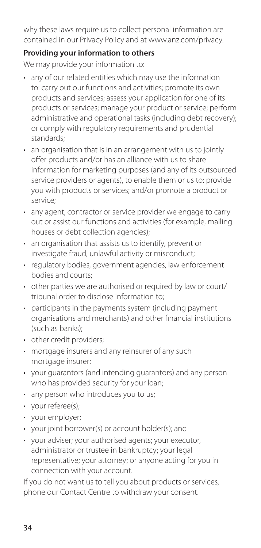why these laws require us to collect personal information are contained in our Privacy Policy and at [www.anz.com/privacy](http://www.anz.com/privacy).

#### **Providing your information to others**

We may provide your information to:

- any of our related entities which may use the information to: carry out our functions and activities; promote its own products and services; assess your application for one of its products or services; manage your product or service; perform administrative and operational tasks (including debt recovery); or comply with regulatory requirements and prudential standards;
- an organisation that is in an arrangement with us to jointly offer products and/or has an alliance with us to share information for marketing purposes (and any of its outsourced service providers or agents), to enable them or us to: provide you with products or services; and/or promote a product or service;
- any agent, contractor or service provider we engage to carry out or assist our functions and activities (for example, mailing houses or debt collection agencies);
- an organisation that assists us to identify, prevent or investigate fraud, unlawful activity or misconduct;
- regulatory bodies, government agencies, law enforcement bodies and courts;
- other parties we are authorised or required by law or court/ tribunal order to disclose information to;
- participants in the payments system (including payment organisations and merchants) and other fnancial institutions (such as banks);
- other credit providers;
- mortgage insurers and any reinsurer of any such mortgage insurer;
- your guarantors (and intending guarantors) and any person who has provided security for your loan;
- any person who introduces you to us;
- your referee(s);
- your employer;
- your joint borrower(s) or account holder(s); and
- your adviser; your authorised agents; your executor, administrator or trustee in bankruptcy; your legal representative; your attorney; or anyone acting for you in connection with your account.

If you do not want us to tell you about products or services, phone our Contact Centre to withdraw your consent.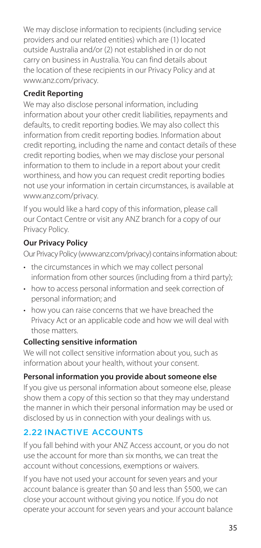<span id="page-34-0"></span>We may disclose information to recipients (including service providers and our related entities) which are (1) located outside Australia and/or (2) not established in or do not carry on business in Australia. You can find details about the location of these recipients in our Privacy Policy and at [www.anz.com/privacy](http://www.anz.com/privacy).

## **Credit Reporting**

We may also disclose personal information, including information about your other credit liabilities, repayments and defaults, to credit reporting bodies. We may also collect this information from credit reporting bodies. Information about credit reporting, including the name and contact details of these credit reporting bodies, when we may disclose your personal information to them to include in a report about your credit worthiness, and how you can request credit reporting bodies not use your information in certain circumstances, is available at [www.anz.com/privacy](http://www.anz.com/privacy).

If you would like a hard copy of this information, please call our Contact Centre or visit any ANZ branch for a copy of our Privacy Policy.

## **Our Privacy Policy**

Our Privacy Policy [\(www.anz.com/privacy](http://www.anz.com/privacy)) contains information about:

- the circumstances in which we may collect personal information from other sources (including from a third party);
- how to access personal information and seek correction of personal information; and
- how you can raise concerns that we have breached the Privacy Act or an applicable code and how we will deal with those matters.

### **Collecting sensitive information**

We will not collect sensitive information about you, such as information about your health, without your consent.

#### **Personal information you provide about someone else**

If you give us personal information about someone else, please show them a copy of this section so that they may understand the manner in which their personal information may be used or disclosed by us in connection with your dealings with us.

## 2.22 INACTIVE ACCOUNTS

If you fall behind with your ANZ Access account, or you do not use the account for more than six months, we can treat the account without concessions, exemptions or waivers.

If you have not used your account for seven years and your account balance is greater than \$0 and less than \$500, we can close your account without giving you notice. If you do not operate your account for seven years and your account balance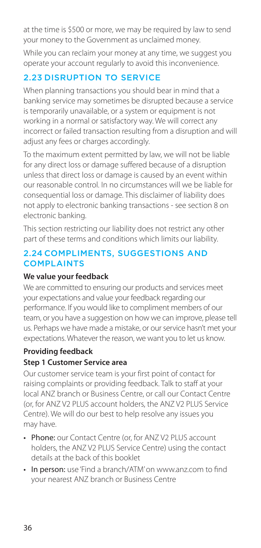<span id="page-35-0"></span>at the time is \$500 or more, we may be required by law to send your money to the Government as unclaimed money.

While you can reclaim your money at any time, we suggest you operate your account regularly to avoid this inconvenience.

# 2.23 DISRUPTION TO SERVICE

When planning transactions you should bear in mind that a banking service may sometimes be disrupted because a service is temporarily unavailable, or a system or equipment is not working in a normal or satisfactory way. We will correct any incorrect or failed transaction resulting from a disruption and will adjust any fees or charges accordingly.

To the maximum extent permitted by law, we will not be liable for any direct loss or damage suffered because of a disruption unless that direct loss or damage is caused by an event within our reasonable control. In no circumstances will we be liable for consequential loss or damage. This disclaimer of liability does not apply to electronic banking transactions - see section 8 on electronic banking.

This section restricting our liability does not restrict any other part of these terms and conditions which limits our liability.

## 2.24 COMPLIMENTS, SUGGESTIONS AND **COMPLAINTS**

## **We value your feedback**

We are committed to ensuring our products and services meet your expectations and value your feedback regarding our performance. If you would like to compliment members of our team, or you have a suggestion on how we can improve, please tell us. Perhaps we have made a mistake, or our service hasn't met your expectations. Whatever the reason, we want you to let us know.

## **Providing feedback**

## **Step 1 Customer Service area**

Our customer service team is your first point of contact for raising complaints or providing feedback. Talk to staff at your local ANZ branch or Business Centre, or call our Contact Centre (or, for ANZ V2 PLUS account holders, the ANZ V2 PLUS Service Centre). We will do our best to help resolve any issues you may have.

- Phone: our Contact Centre (or, for ANZ V2 PLUS account holders, the ANZ V2 PLUS Service Centre) using the contact details at the back of this booklet
- In person: use 'Find a branch/ATM' on [www.anz.com](http://www.anz.com) to find your nearest ANZ branch or Business Centre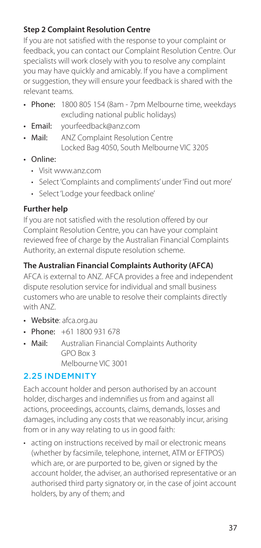### **Step 2 Complaint Resolution Centre**

If you are not satisfied with the response to your complaint or feedback, you can contact our Complaint Resolution Centre. Our specialists will work closely with you to resolve any complaint you may have quickly and amicably. If you have a compliment or suggestion, they will ensure your feedback is shared with the relevant teams.

- Phone: 1800 805 154 (8am 7pm Melbourne time, weekdays excluding national public holidays)
- · Email: • Email: [yourfeedback@anz.com](mailto:yourfeedback@anz.com)
- $Mail$ **ANZ Complaint Resolution Centre** Locked Bag 4050, South Melbourne VIC 3205
- Online:
	- Visit [www.anz.com](http://www.anz.com)
	- Select 'Complaints and compliments' under 'Find out more'
	- Select 'Lodge your feedback online'

#### **Further help**

If you are not satisfied with the resolution offered by our Complaint Resolution Centre, you can have your complaint reviewed free of charge by the Australian Financial Complaints Authority, an external dispute resolution scheme.

#### **The Australian Financial Complaints Authority (AFCA)**

AFCA is external to ANZ. AFCA provides a free and independent dispute resolution service for individual and small business customers who are unable to resolve their complaints directly with ANZ.

- Website: [afca.org.au](http://afca.org.au)
- Phone: +61 1800 931 678
- $Mail$ Australian Financial Complaints Authority GPO Box 3 Melbourne VIC 3001

#### 2.25 INDEMNITY

Each account holder and person authorised by an account holder, discharges and indemnifies us from and against all actions, proceedings, accounts, claims, demands, losses and damages, including any costs that we reasonably incur, arising from or in any way relating to us in good faith:

• acting on instructions received by mail or electronic means (whether by facsimile, telephone, internet, ATM or EFTPOS) which are, or are purported to be, given or signed by the account holder, the adviser, an authorised representative or an authorised third party signatory or, in the case of joint account holders, by any of them; and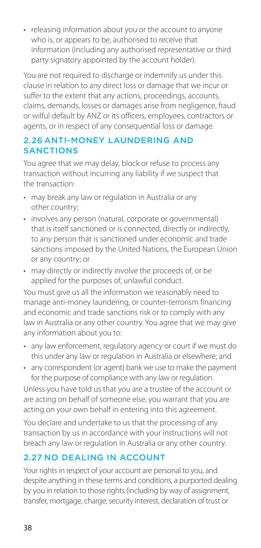• releasing information about you or the account to anyone who is, or appears to be, authorised to receive that information (including any authorised representative or third party signatory appointed by the account holder).

You are not required to discharge or indemnify us under this clause in relation to any direct loss or damage that we incur or suffer to the extent that any actions, proceedings, accounts, claims, demands, losses or damages arise from negligence, fraud or wilful default by ANZ or its officers, employees, contractors or agents, or in respect of any consequential loss or damage.

### 2.26 ANTI-MONEY LAUNDERING AND **SANCTIONS**

You agree that we may delay, block or refuse to process any transaction without incurring any liability if we suspect that the transaction:

- may break any law or regulation in Australia or any other country;
- involves any person (natural, corporate or governmental) that is itself sanctioned or is connected, directly or indirectly, to any person that is sanctioned under economic and trade sanctions imposed by the United Nations, the European Union or any country; or
- may directly or indirectly involve the proceeds of, or be applied for the purposes of, unlawful conduct.

You must give us all the information we reasonably need to manage anti-money laundering, or counter-terrorism financing and economic and trade sanctions risk or to comply with any law in Australia or any other country. You agree that we may give any information about you to:

- any law enforcement, regulatory agency or court if we must do this under any law or regulation in Australia or elsewhere; and
- any correspondent (or agent) bank we use to make the payment for the purpose of compliance with any law or regulation.

Unless you have told us that you are a trustee of the account or are acting on behalf of someone else, you warrant that you are acting on your own behalf in entering into this agreement.

You declare and undertake to us that the processing of any transaction by us in accordance with your instructions will not breach any law or regulation in Australia or any other country.

# 2.27 NO DEALING IN ACCOUNT

Your rights in respect of your account are personal to you, and despite anything in these terms and conditions, a purported dealing by you in relation to those rights (including by way of assignment, transfer, mortgage, charge, security interest, declaration of trust or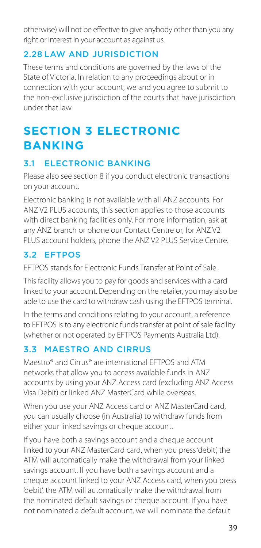otherwise) will not be effective to give anybody other than you any right or interest in your account as against us.

# 2.28 LAW AND JURISDICTION

These terms and conditions are governed by the laws of the State of Victoria. In relation to any proceedings about or in connection with your account, we and you agree to submit to the non-exclusive jurisdiction of the courts that have jurisdiction under that law.

# **SECTION 3 ELECTRONIC BANKING**

# 3.1 ELECTRONIC BANKING

Please also see section 8 if you conduct electronic transactions on your account.

Electronic banking is not available with all ANZ accounts. For ANZ V2 PLUS accounts, this section applies to those accounts with direct banking facilities only. For more information, ask at any ANZ branch or phone our Contact Centre or, for ANZ V2 PLUS account holders, phone the ANZ V2 PLUS Service Centre.

# 3.2 EFTPOS

EFTPOS stands for Electronic Funds Transfer at Point of Sale.

This facility allows you to pay for goods and services with a card linked to your account. Depending on the retailer, you may also be able to use the card to withdraw cash using the EFTPOS terminal.

In the terms and conditions relating to your account, a reference to EFTPOS is to any electronic funds transfer at point of sale facility (whether or not operated by EFTPOS Payments Australia Ltd).

# 3.3 MAESTRO AND CIRRUS

Maestro® and Cirrus® are international EFTPOS and ATM networks that allow you to access available funds in ANZ accounts by using your ANZ Access card (excluding ANZ Access Visa Debit) or linked ANZ MasterCard while overseas.

When you use your ANZ Access card or ANZ MasterCard card, you can usually choose (in Australia) to withdraw funds from either your linked savings or cheque account.

If you have both a savings account and a cheque account linked to your ANZ MasterCard card, when you press 'debit', the ATM will automatically make the withdrawal from your linked savings account. If you have both a savings account and a cheque account linked to your ANZ Access card, when you press 'debit', the ATM will automatically make the withdrawal from the nominated default savings or cheque account. If you have not nominated a default account, we will nominate the default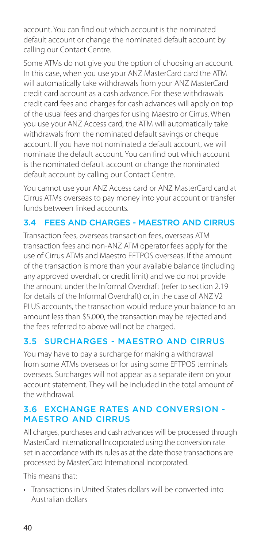account. You can find out which account is the nominated default account or change the nominated default account by calling our Contact Centre.

Some ATMs do not give you the option of choosing an account. In this case, when you use your ANZ MasterCard card the ATM will automatically take withdrawals from your ANZ MasterCard credit card account as a cash advance. For these withdrawals credit card fees and charges for cash advances will apply on top of the usual fees and charges for using Maestro or Cirrus. When you use your ANZ Access card, the ATM will automatically take withdrawals from the nominated default savings or cheque account. If you have not nominated a default account, we will nominate the default account. You can find out which account is the nominated default account or change the nominated default account by calling our Contact Centre.

You cannot use your ANZ Access card or ANZ MasterCard card at Cirrus ATMs overseas to pay money into your account or transfer funds between linked accounts.

### 3.4 FEES AND CHARGES - MAESTRO AND CIRRUS

Transaction fees, overseas transaction fees, overseas ATM transaction fees and non-ANZ ATM operator fees apply for the use of Cirrus ATMs and Maestro EFTPOS overseas. If the amount of the transaction is more than your available balance (including any approved overdraft or credit limit) and we do not provide the amount under the Informal Overdraft (refer to section 2.19 for details of the Informal Overdraft) or, in the case of ANZ V2 PLUS accounts, the transaction would reduce your balance to an amount less than \$5,000, the transaction may be rejected and the fees referred to above will not be charged.

# 3.5 SURCHARGES - MAESTRO AND CIRRUS

You may have to pay a surcharge for making a withdrawal from some ATMs overseas or for using some EFTPOS terminals overseas. Surcharges will not appear as a separate item on your account statement. They will be included in the total amount of the withdrawal.

#### 3.6 EXCHANGE RATES AND CONVERSION - MAESTRO AND CIRRUS

All charges, purchases and cash advances will be processed through MasterCard International Incorporated using the conversion rate set in accordance with its rules as at the date those transactions are processed by MasterCard International Incorporated.

This means that:

• Transactions in United States dollars will be converted into Australian dollars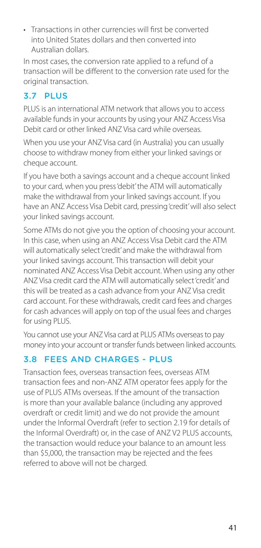• Transactions in other currencies will frst be converted into United States dollars and then converted into Australian dollars.

In most cases, the conversion rate applied to a refund of a transaction will be different to the conversion rate used for the original transaction.

# 3.7 PLUS

PLUS is an international ATM network that allows you to access available funds in your accounts by using your ANZ Access Visa Debit card or other linked ANZ Visa card while overseas.

When you use your ANZ Visa card (in Australia) you can usually choose to withdraw money from either your linked savings or cheque account.

If you have both a savings account and a cheque account linked to your card, when you press 'debit' the ATM will automatically make the withdrawal from your linked savings account. If you have an ANZ Access Visa Debit card, pressing 'credit' will also select your linked savings account.

Some ATMs do not give you the option of choosing your account. In this case, when using an ANZ Access Visa Debit card the ATM will automatically select 'credit' and make the withdrawal from your linked savings account. This transaction will debit your nominated ANZ Access Visa Debit account. When using any other ANZ Visa credit card the ATM will automatically select 'credit' and this will be treated as a cash advance from your ANZ Visa credit card account. For these withdrawals, credit card fees and charges for cash advances will apply on top of the usual fees and charges for using PLUS.

You cannot use your ANZ Visa card at PLUS ATMs overseas to pay money into your account or transfer funds between linked accounts.

# 3.8 FEES AND CHARGES - PLUS

Transaction fees, overseas transaction fees, overseas ATM transaction fees and non-ANZ ATM operator fees apply for the use of PLUS ATMs overseas. If the amount of the transaction is more than your available balance (including any approved overdraft or credit limit) and we do not provide the amount under the Informal Overdraft (refer to section 2.19 for details of the Informal Overdraft) or, in the case of ANZ V2 PLUS accounts. the transaction would reduce your balance to an amount less than \$5,000, the transaction may be rejected and the fees referred to above will not be charged.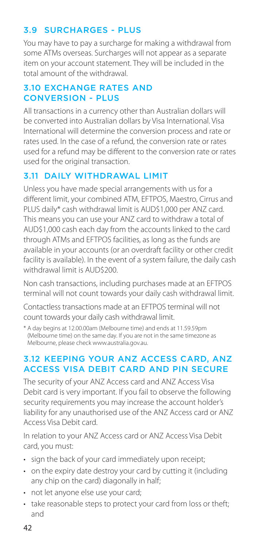# 3.9 SURCHARGES - PLUS

You may have to pay a surcharge for making a withdrawal from some ATMs overseas. Surcharges will not appear as a separate item on your account statement. They will be included in the total amount of the withdrawal.

#### 3.10 EXCHANGE RATES AND CONVERSION - PLUS

All transactions in a currency other than Australian dollars will be converted into Australian dollars by Visa International. Visa International will determine the conversion process and rate or rates used. In the case of a refund, the conversion rate or rates used for a refund may be different to the conversion rate or rates used for the original transaction.

# 3.11 DAILY WITHDRAWAL LIMIT

Unless you have made special arrangements with us for a different limit, your combined ATM, EFTPOS, Maestro, Cirrus and PLUS daily\* cash withdrawal limit is AUD\$1,000 per ANZ card. This means you can use your ANZ card to withdraw a total of AUD\$1,000 cash each day from the accounts linked to the card through ATMs and EFTPOS facilities, as long as the funds are available in your accounts (or an overdraft facility or other credit facility is available). In the event of a system failure, the daily cash withdrawal limit is AUD\$200.

Non cash transactions, including purchases made at an EFTPOS terminal will not count towards your daily cash withdrawal limit.

Contactless transactions made at an EFTPOS terminal will not count towards your daily cash withdrawal limit.

\* A day begins at 12.00.00am (Melbourne time) and ends at 11.59.59pm (Melbourne time) on the same day. If you are not in the same timezone as Melbourne, please check [www.australia.gov.au.](http://www.australia.gov.au)

### 3.12 KEEPING YOUR ANZ ACCESS CARD, ANZ ACCESS VISA DEBIT CARD AND PIN SECURE

The security of your ANZ Access card and ANZ Access Visa Debit card is very important. If you fail to observe the following security requirements you may increase the account holder's liability for any unauthorised use of the ANZ Access card or ANZ Access Visa Debit card.

In relation to your ANZ Access card or ANZ Access Visa Debit card, you must:

- sign the back of your card immediately upon receipt:
- on the expiry date destroy your card by cutting it (including any chip on the card) diagonally in half;
- not let anyone else use your card;
- take reasonable steps to protect your card from loss or theft; and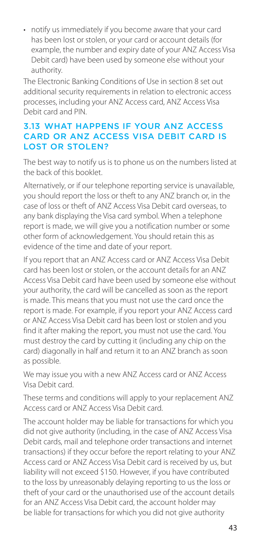• notify us immediately if you become aware that your card has been lost or stolen, or your card or account details (for example, the number and expiry date of your ANZ Access Visa Debit card) have been used by someone else without your authority.

The Electronic Banking Conditions of Use in section 8 set out additional security requirements in relation to electronic access processes, including your ANZ Access card, ANZ Access Visa Debit card and PIN.

#### 3.13 WHAT HAPPENS IF YOUR ANZ ACCESS CARD OR ANZ ACCESS VISA DEBIT CARD IS LOST OR STOLEN?

The best way to notify us is to phone us on the numbers listed at the back of this booklet.

Alternatively, or if our telephone reporting service is unavailable, you should report the loss or theft to any ANZ branch or, in the case of loss or theft of ANZ Access Visa Debit card overseas, to any bank displaying the Visa card symbol. When a telephone report is made, we will give you a notification number or some other form of acknowledgement. You should retain this as evidence of the time and date of your report.

If you report that an ANZ Access card or ANZ Access Visa Debit card has been lost or stolen, or the account details for an ANZ Access Visa Debit card have been used by someone else without your authority, the card will be cancelled as soon as the report is made. This means that you must not use the card once the report is made. For example, if you report your ANZ Access card or ANZ Access Visa Debit card has been lost or stolen and you find it after making the report, you must not use the card. You must destroy the card by cutting it (including any chip on the card) diagonally in half and return it to an ANZ branch as soon as possible.

We may issue you with a new ANZ Access card or ANZ Access Visa Debit card.

These terms and conditions will apply to your replacement ANZ Access card or ANZ Access Visa Debit card.

The account holder may be liable for transactions for which you did not give authority (including, in the case of ANZ Access Visa Debit cards, mail and telephone order transactions and internet transactions) if they occur before the report relating to your ANZ Access card or ANZ Access Visa Debit card is received by us, but liability will not exceed \$150. However, if you have contributed to the loss by unreasonably delaying reporting to us the loss or theft of your card or the unauthorised use of the account details for an ANZ Access Visa Debit card, the account holder may be liable for transactions for which you did not give authority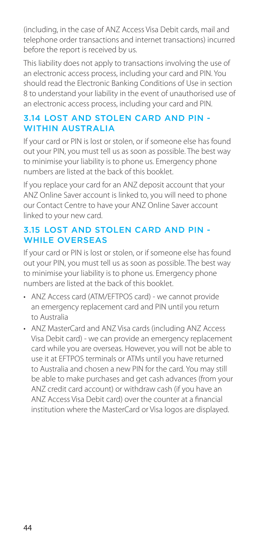(including, in the case of ANZ Access Visa Debit cards, mail and telephone order transactions and internet transactions) incurred before the report is received by us.

This liability does not apply to transactions involving the use of an electronic access process, including your card and PIN. You should read the Electronic Banking Conditions of Use in section 8 to understand your liability in the event of unauthorised use of an electronic access process, including your card and PIN.

#### 3.14 LOST AND STOLEN CARD AND PIN - WITHIN AUSTRALIA

If your card or PIN is lost or stolen, or if someone else has found out your PIN, you must tell us as soon as possible. The best way to minimise your liability is to phone us. Emergency phone numbers are listed at the back of this booklet.

If you replace your card for an ANZ deposit account that your ANZ Online Saver account is linked to, you will need to phone our Contact Centre to have your ANZ Online Saver account linked to your new card.

# 3.15 LOST AND STOLEN CARD AND PIN - WHILE OVERSEAS

If your card or PIN is lost or stolen, or if someone else has found out your PIN, you must tell us as soon as possible. The best way to minimise your liability is to phone us. Emergency phone numbers are listed at the back of this booklet.

- ANZ Access card (ATM/EFTPOS card) we cannot provide an emergency replacement card and PIN until you return to Australia
- ANZ MasterCard and ANZ Visa cards (including ANZ Access Visa Debit card) - we can provide an emergency replacement card while you are overseas. However, you will not be able to use it at EFTPOS terminals or ATMs until you have returned to Australia and chosen a new PIN for the card. You may still be able to make purchases and get cash advances (from your ANZ credit card account) or withdraw cash (if you have an ANZ Access Visa Debit card) over the counter at a fnancial institution where the MasterCard or Visa logos are displayed.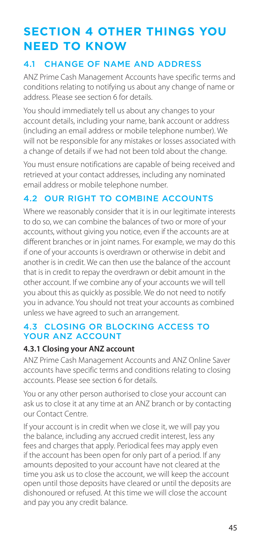# **SECTION 4 OTHER THINGS YOU NEED TO KNOW**

# 4.1 CHANGE OF NAME AND ADDRESS

ANZ Prime Cash Management Accounts have specific terms and conditions relating to notifying us about any change of name or address. Please see section 6 for details.

You should immediately tell us about any changes to your account details, including your name, bank account or address (including an email address or mobile telephone number). We will not be responsible for any mistakes or losses associated with a change of details if we had not been told about the change.

You must ensure notifications are capable of being received and retrieved at your contact addresses, including any nominated email address or mobile telephone number.

# 4.2 OUR RIGHT TO COMBINE ACCOUNTS

Where we reasonably consider that it is in our legitimate interests to do so, we can combine the balances of two or more of your accounts, without giving you notice, even if the accounts are at different branches or in joint names. For example, we may do this if one of your accounts is overdrawn or otherwise in debit and another is in credit. We can then use the balance of the account that is in credit to repay the overdrawn or debit amount in the other account. If we combine any of your accounts we will tell you about this as quickly as possible. We do not need to notify you in advance. You should not treat your accounts as combined unless we have agreed to such an arrangement.

#### 4.3 CLOSING OR BLOCKING ACCESS TO YOUR ANZ ACCOUNT

#### **4.3.1 Closing your ANZ account**

ANZ Prime Cash Management Accounts and ANZ Online Saver accounts have specific terms and conditions relating to closing accounts. Please see section 6 for details.

You or any other person authorised to close your account can ask us to close it at any time at an ANZ branch or by contacting our Contact Centre.

If your account is in credit when we close it, we will pay you the balance, including any accrued credit interest, less any fees and charges that apply. Periodical fees may apply even if the account has been open for only part of a period. If any amounts deposited to your account have not cleared at the time you ask us to close the account, we will keep the account open until those deposits have cleared or until the deposits are dishonoured or refused. At this time we will close the account and pay you any credit balance.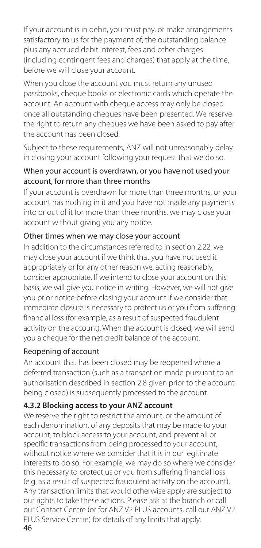If your account is in debit, you must pay, or make arrangements satisfactory to us for the payment of, the outstanding balance plus any accrued debit interest, fees and other charges (including contingent fees and charges) that apply at the time, before we will close your account.

When you close the account you must return any unused passbooks, cheque books or electronic cards which operate the account. An account with cheque access may only be closed once all outstanding cheques have been presented. We reserve the right to return any cheques we have been asked to pay after the account has been closed.

Subject to these requirements, ANZ will not unreasonably delay in closing your account following your request that we do so.

#### When your account is overdrawn, or you have not used your account, for more than three months

If your account is overdrawn for more than three months, or your account has nothing in it and you have not made any payments into or out of it for more than three months, we may close your account without giving you any notice.

# Other times when we may close your account

In addition to the circumstances referred to in section 2.22, we may close your account if we think that you have not used it appropriately or for any other reason we, acting reasonably, consider appropriate. If we intend to close your account on this basis, we will give you notice in writing. However, we will not give you prior notice before closing your account if we consider that immediate closure is necessary to protect us or you from suffering financial loss (for example, as a result of suspected fraudulent activity on the account). When the account is closed, we will send you a cheque for the net credit balance of the account.

#### Reopening of account

An account that has been closed may be reopened where a deferred transaction (such as a transaction made pursuant to an authorisation described in section 2.8 given prior to the account being closed) is subsequently processed to the account.

#### **4.3.2 Blocking access to your ANZ account**

We reserve the right to restrict the amount, or the amount of each denomination, of any deposits that may be made to your account, to block access to your account, and prevent all or specific transactions from being processed to your account, without notice where we consider that it is in our legitimate interests to do so. For example, we may do so where we consider this necessary to protect us or you from suffering financial loss (e.g. as a result of suspected fraudulent activity on the account). Any transaction limits that would otherwise apply are subject to our rights to take these actions. Please ask at the branch or call our Contact Centre (or for ANZ V2 PLUS accounts, call our ANZ V2 PLUS Service Centre) for details of any limits that apply.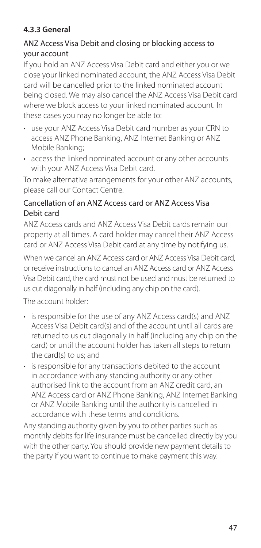# **4.3.3 General**

#### ANZ Access Visa Debit and closing or blocking access to your account

If you hold an ANZ Access Visa Debit card and either you or we close your linked nominated account, the ANZ Access Visa Debit card will be cancelled prior to the linked nominated account being closed. We may also cancel the ANZ Access Visa Debit card where we block access to your linked nominated account. In these cases you may no longer be able to:

- use your ANZ Access Visa Debit card number as your CRN to access ANZ Phone Banking, ANZ Internet Banking or ANZ Mobile Banking;
- access the linked nominated account or any other accounts with your ANZ Access Visa Debit card.

To make alternative arrangements for your other ANZ accounts, please call our Contact Centre.

#### Cancellation of an ANZ Access card or ANZ Access Visa Debit card

ANZ Access cards and ANZ Access Visa Debit cards remain our property at all times. A card holder may cancel their ANZ Access card or ANZ Access Visa Debit card at any time by notifying us.

When we cancel an ANZ Access card or ANZ Access Visa Debit card, or receive instructions to cancel an ANZ Access card or ANZ Access Visa Debit card, the card must not be used and must be returned to us cut diagonally in half (including any chip on the card).

The account holder:

- is responsible for the use of any ANZ Access card(s) and ANZ Access Visa Debit card(s) and of the account until all cards are returned to us cut diagonally in half (including any chip on the card) or until the account holder has taken all steps to return the card(s) to us; and
- is responsible for any transactions debited to the account in accordance with any standing authority or any other authorised link to the account from an ANZ credit card, an ANZ Access card or ANZ Phone Banking, ANZ Internet Banking or ANZ Mobile Banking until the authority is cancelled in accordance with these terms and conditions.

Any standing authority given by you to other parties such as monthly debits for life insurance must be cancelled directly by you with the other party. You should provide new payment details to the party if you want to continue to make payment this way.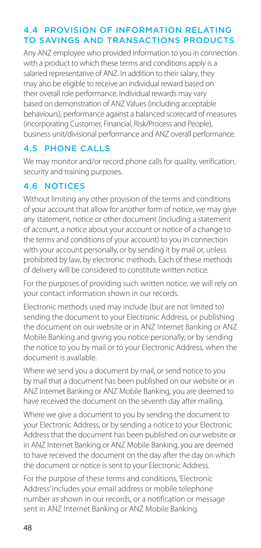### 4.4 PROVISION OF INFORMATION RELATING TO SAVINGS AND TRANSACTIONS PRODUCTS

Any ANZ employee who provided information to you in connection with a product to which these terms and conditions apply is a salaried representative of ANZ. In addition to their salary, they may also be eligible to receive an individual reward based on their overall role performance. Individual rewards may vary based on demonstration of ANZ Values (including acceptable behaviours), performance against a balanced scorecard of measures (incorporating Customer, Financial, Risk/Process and People), business unit/divisional performance and ANZ overall performance.

# 4.5 PHONE CALLS

We may monitor and/or record phone calls for quality, verification, security and training purposes.

# 4.6 NOTICES

Without limiting any other provision of the terms and conditions of your account that allow for another form of notice, we may give any statement, notice or other document (including a statement of account, a notice about your account or notice of a change to the terms and conditions of your account) to you in connection with your account personally, or by sending it by mail or, unless prohibited by law, by electronic methods. Each of these methods of delivery will be considered to constitute written notice.

For the purposes of providing such written notice, we will rely on your contact information shown in our records.

Electronic methods used may include (but are not limited to) sending the document to your Electronic Address, or publishing the document on our website or in ANZ Internet Banking or ANZ Mobile Banking and giving you notice personally, or by sending the notice to you by mail or to your Electronic Address, when the document is available.

Where we send you a document by mail, or send notice to you by mail that a document has been published on our website or in ANZ Internet Banking or ANZ Mobile Banking, you are deemed to have received the document on the seventh day after mailing.

Where we give a document to you by sending the document to your Electronic Address, or by sending a notice to your Electronic Address that the document has been published on our website or in ANZ Internet Banking or ANZ Mobile Banking, you are deemed to have received the document on the day after the day on which the document or notice is sent to your Electronic Address.

For the purpose of these terms and conditions, 'Electronic Address' includes your email address or mobile telephone number as shown in our records, or a notification or message sent in ANZ Internet Banking or ANZ Mobile Banking.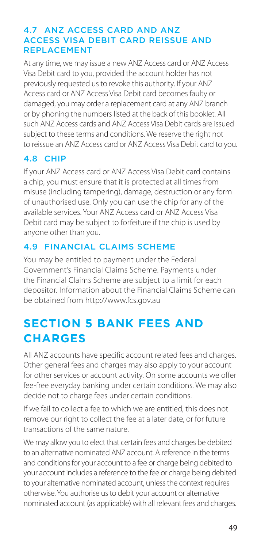#### 4.7 ANZ ACCESS CARD AND ANZ ACCESS VISA DEBIT CARD REISSUE AND REPLACEMENT

At any time, we may issue a new ANZ Access card or ANZ Access Visa Debit card to you, provided the account holder has not previously requested us to revoke this authority. If your ANZ Access card or ANZ Access Visa Debit card becomes faulty or damaged, you may order a replacement card at any ANZ branch or by phoning the numbers listed at the back of this booklet. All such ANZ Access cards and ANZ Access Visa Debit cards are issued subject to these terms and conditions. We reserve the right not to reissue an ANZ Access card or ANZ Access Visa Debit card to you.

# 4.8 CHIP

If your ANZ Access card or ANZ Access Visa Debit card contains a chip, you must ensure that it is protected at all times from misuse (including tampering), damage, destruction or any form of unauthorised use. Only you can use the chip for any of the available services. Your ANZ Access card or ANZ Access Visa Debit card may be subject to forfeiture if the chip is used by anyone other than you.

# 4.9 FINANCIAL CLAIMS SCHEME

You may be entitled to payment under the Federal Government's Financial Claims Scheme. Payments under the Financial Claims Scheme are subject to a limit for each depositor. Information about the Financial Claims Scheme can be obtained from <http://www.fcs.gov.au>

# **SECTION 5 BANK FEES AND CHARGES**

All ANZ accounts have specific account related fees and charges. Other general fees and charges may also apply to your account for other services or account activity. On some accounts we offer fee-free everyday banking under certain conditions. We may also decide not to charge fees under certain conditions.

If we fail to collect a fee to which we are entitled, this does not remove our right to collect the fee at a later date, or for future transactions of the same nature.

We may allow you to elect that certain fees and charges be debited to an alternative nominated ANZ account. A reference in the terms and conditions for your account to a fee or charge being debited to your account includes a reference to the fee or charge being debited to your alternative nominated account, unless the context requires otherwise. You authorise us to debit your account or alternative nominated account (as applicable) with all relevant fees and charges.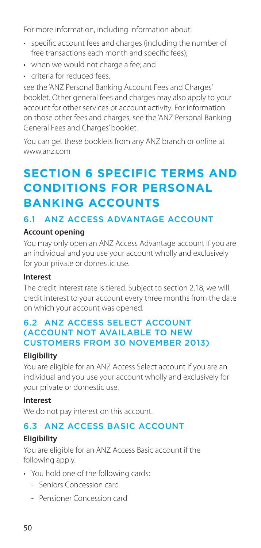For more information, including information about:

- specifc account fees and charges (including the number of free transactions each month and specific fees);
- when we would not charge a fee; and
- criteria for reduced fees,

see the 'ANZ Personal Banking Account Fees and Charges' booklet. Other general fees and charges may also apply to your account for other services or account activity. For information on those other fees and charges, see the 'ANZ Personal Banking General Fees and Charges' booklet.

You can get these booklets from any ANZ branch or online at [www.anz.com](http://www.anz.com) 

# **SECTION 6 SPECIFIC TERMS AND CONDITIONS FOR PERSONAL BANKING ACCOUNTS**

# 6.1 ANZ ACCESS ADVANTAGE ACCOUNT

#### **Account opening**

You may only open an ANZ Access Advantage account if you are an individual and you use your account wholly and exclusively for your private or domestic use.

#### **Interest**

The credit interest rate is tiered. Subject to section 2.18, we will credit interest to your account every three months from the date on which your account was opened.

#### 6.2 ANZ ACCESS SELECT ACCOUNT (ACCOUNT NOT AVAILABLE TO NEW CUSTOMERS FROM 30 NOVEMBER 2013)

#### **Eligibility**

You are eligible for an ANZ Access Select account if you are an individual and you use your account wholly and exclusively for your private or domestic use.

#### **Interest**

We do not pay interest on this account.

# 6.3 ANZ ACCESS BASIC ACCOUNT

# **Eligibility**

You are eligible for an ANZ Access Basic account if the following apply.

- You hold one of the following cards:
	- Seniors Concession card
	- Pensioner Concession card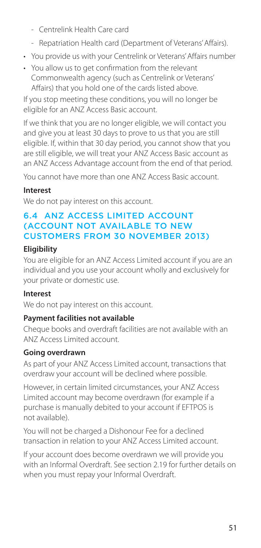- Centrelink Health Care card
- Repatriation Health card (Department of Veterans' Affairs).
- You provide us with your Centrelink or Veterans' Affairs number
- You allow us to get confrmation from the relevant Commonwealth agency (such as Centrelink or Veterans' Afairs) that you hold one of the cards listed above.

If you stop meeting these conditions, you will no longer be eligible for an ANZ Access Basic account.

If we think that you are no longer eligible, we will contact you and give you at least 30 days to prove to us that you are still eligible. If, within that 30 day period, you cannot show that you are still eligible, we will treat your ANZ Access Basic account as an ANZ Access Advantage account from the end of that period.

You cannot have more than one ANZ Access Basic account.

### **Interest**

We do not pay interest on this account.

### 6.4 ANZ ACCESS LIMITED ACCOUNT (ACCOUNT NOT AVAILABLE TO NEW CUSTOMERS FROM 30 NOVEMBER 2013)

### **Eligibility**

You are eligible for an ANZ Access Limited account if you are an individual and you use your account wholly and exclusively for your private or domestic use.

#### **Interest**

We do not pay interest on this account.

#### **Payment facilities not available**

Cheque books and overdraft facilities are not available with an ANZ Access Limited account.

#### **Going overdrawn**

As part of your ANZ Access Limited account, transactions that overdraw your account will be declined where possible.

However, in certain limited circumstances, your ANZ Access Limited account may become overdrawn (for example if a purchase is manually debited to your account if EFTPOS is not available).

You will not be charged a Dishonour Fee for a declined transaction in relation to your ANZ Access Limited account.

If your account does become overdrawn we will provide you with an Informal Overdraft. See section 2.19 for further details on when you must repay your Informal Overdraft.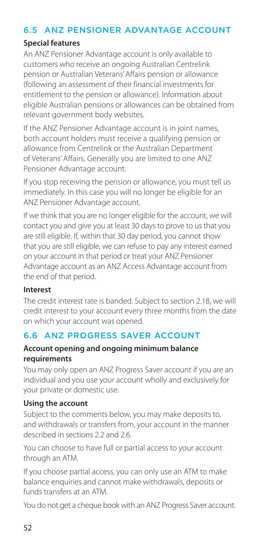## 6.5 ANZ PENSIONER ADVANTAGE ACCOUNT

#### **Special features**

An ANZ Pensioner Advantage account is only available to customers who receive an ongoing Australian Centrelink pension or Australian Veterans' Affairs pension or allowance (following an assessment of their financial investments for entitlement to the pension or allowance). Information about eligible Australian pensions or allowances can be obtained from relevant government body websites.

If the ANZ Pensioner Advantage account is in joint names, both account holders must receive a qualifying pension or allowance from Centrelink or the Australian Department of Veterans' Affairs. Generally you are limited to one ANZ Pensioner Advantage account.

If you stop receiving the pension or allowance, you must tell us immediately. In this case you will no longer be eligible for an ANZ Pensioner Advantage account.

If we think that you are no longer eligible for the account, we will contact you and give you at least 30 days to prove to us that you are still eligible. If, within that 30 day period, you cannot show that you are still eligible, we can refuse to pay any interest earned on your account in that period or treat your ANZ Pensioner Advantage account as an ANZ Access Advantage account from the end of that period.

#### **Interest**

The credit interest rate is banded. Subject to section 2.18, we will credit interest to your account every three months from the date on which your account was opened.

# 6.6 ANZ PROGRESS SAVER ACCOUNT

#### **Account opening and ongoing minimum balance requirements**

You may only open an ANZ Progress Saver account if you are an individual and you use your account wholly and exclusively for your private or domestic use.

#### **Using the account**

Subject to the comments below, you may make deposits to, and withdrawals or transfers from, your account in the manner described in sections 2.2 and 2.6.

You can choose to have full or partial access to your account through an ATM.

If you choose partial access, you can only use an ATM to make balance enquiries and cannot make withdrawals, deposits or funds transfers at an ATM.

You do not get a cheque book with an ANZ Progress Saver account.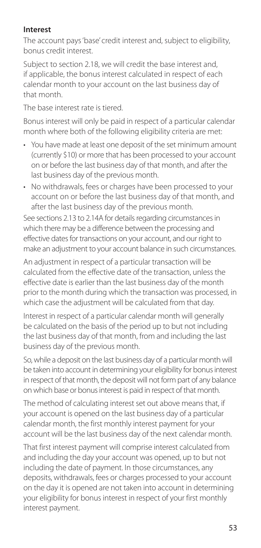#### **Interest**

The account pays 'base' credit interest and, subject to eligibility, bonus credit interest.

Subject to section 2.18, we will credit the base interest and, if applicable, the bonus interest calculated in respect of each calendar month to your account on the last business day of that month.

The base interest rate is tiered.

Bonus interest will only be paid in respect of a particular calendar month where both of the following eligibility criteria are met:

- You have made at least one deposit of the set minimum amount (currently \$10) or more that has been processed to your account on or before the last business day of that month, and after the last business day of the previous month.
- No withdrawals, fees or charges have been processed to your account on or before the last business day of that month, and after the last business day of the previous month.

See sections 2.13 to 2.14A for details regarding circumstances in which there may be a difference between the processing and effective dates for transactions on your account, and our right to make an adjustment to your account balance in such circumstances.

An adjustment in respect of a particular transaction will be calculated from the effective date of the transaction, unless the effective date is earlier than the last business day of the month prior to the month during which the transaction was processed, in which case the adjustment will be calculated from that day.

Interest in respect of a particular calendar month will generally be calculated on the basis of the period up to but not including the last business day of that month, from and including the last business day of the previous month.

So, while a deposit on the last business day of a particular month will be taken into account in determining your eligibility for bonus interest in respect of that month, the deposit will not form part of any balance on which base or bonus interest is paid in respect of that month.

The method of calculating interest set out above means that, if your account is opened on the last business day of a particular calendar month, the first monthly interest payment for your account will be the last business day of the next calendar month.

That first interest payment will comprise interest calculated from and including the day your account was opened, up to but not including the date of payment. In those circumstances, any deposits, withdrawals, fees or charges processed to your account on the day it is opened are not taken into account in determining your eligibility for bonus interest in respect of your first monthly interest payment.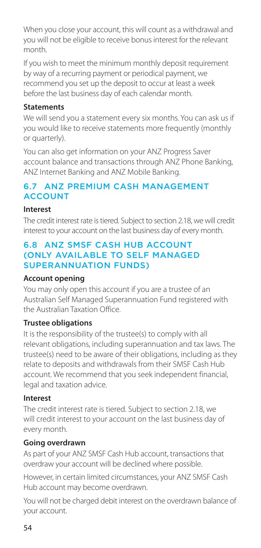When you close your account, this will count as a withdrawal and you will not be eligible to receive bonus interest for the relevant month.

If you wish to meet the minimum monthly deposit requirement by way of a recurring payment or periodical payment, we recommend you set up the deposit to occur at least a week before the last business day of each calendar month.

#### **Statements**

We will send you a statement every six months. You can ask us if you would like to receive statements more frequently (monthly or quarterly).

You can also get information on your ANZ Progress Saver account balance and transactions through ANZ Phone Banking, ANZ Internet Banking and ANZ Mobile Banking.

## 6.7 ANZ PREMIUM CASH MANAGEMENT ACCOUNT

#### **Interest**

The credit interest rate is tiered. Subject to section 2.18, we will credit interest to your account on the last business day of every month.

#### 6.8 ANZ SMSF CASH HUB ACCOUNT (ONLY AVAILABLE TO SELF MANAGED SUPERANNUATION FUNDS)

#### **Account opening**

You may only open this account if you are a trustee of an Australian Self Managed Superannuation Fund registered with the Australian Taxation Office.

#### **Trustee obligations**

It is the responsibility of the trustee(s) to comply with all relevant obligations, including superannuation and tax laws. The trustee(s) need to be aware of their obligations, including as they relate to deposits and withdrawals from their SMSF Cash Hub account. We recommend that you seek independent financial, legal and taxation advice.

#### **Interest**

The credit interest rate is tiered. Subject to section 2.18, we will credit interest to your account on the last business day of every month.

#### **Going overdrawn**

As part of your ANZ SMSF Cash Hub account, transactions that overdraw your account will be declined where possible.

However, in certain limited circumstances, your ANZ SMSF Cash Hub account may become overdrawn.

You will not be charged debit interest on the overdrawn balance of your account.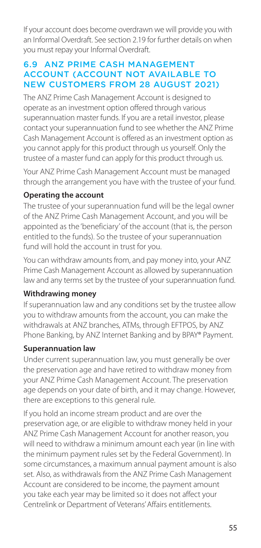If your account does become overdrawn we will provide you with an Informal Overdraft. See section 2.19 for further details on when you must repay your Informal Overdraft.

### 6.9 ANZ PRIME CASH MANAGEMENT ACCOUNT (ACCOUNT NOT AVAILABLE TO NEW CUSTOMERS FROM 28 AUGUST 2021)

The ANZ Prime Cash Management Account is designed to operate as an investment option offered through various superannuation master funds. If you are a retail investor, please contact your superannuation fund to see whether the ANZ Prime Cash Management Account is offered as an investment option as you cannot apply for this product through us yourself. Only the trustee of a master fund can apply for this product through us.

Your ANZ Prime Cash Management Account must be managed through the arrangement you have with the trustee of your fund.

#### **Operating the account**

The trustee of your superannuation fund will be the legal owner of the ANZ Prime Cash Management Account, and you will be appointed as the 'beneficiary' of the account (that is, the person entitled to the funds). So the trustee of your superannuation fund will hold the account in trust for you.

You can withdraw amounts from, and pay money into, your ANZ Prime Cash Management Account as allowed by superannuation law and any terms set by the trustee of your superannuation fund.

#### **Withdrawing money**

If superannuation law and any conditions set by the trustee allow you to withdraw amounts from the account, you can make the withdrawals at ANZ branches, ATMs, through EFTPOS, by ANZ Phone Banking, by ANZ Internet Banking and by BPAY® Payment.

#### **Superannuation law**

Under current superannuation law, you must generally be over the preservation age and have retired to withdraw money from your ANZ Prime Cash Management Account. The preservation age depends on your date of birth, and it may change. However, there are exceptions to this general rule.

If you hold an income stream product and are over the preservation age, or are eligible to withdraw money held in your ANZ Prime Cash Management Account for another reason, you will need to withdraw a minimum amount each year (in line with the minimum payment rules set by the Federal Government). In some circumstances, a maximum annual payment amount is also set. Also, as withdrawals from the ANZ Prime Cash Management Account are considered to be income, the payment amount you take each year may be limited so it does not affect your Centrelink or Department of Veterans' Affairs entitlements.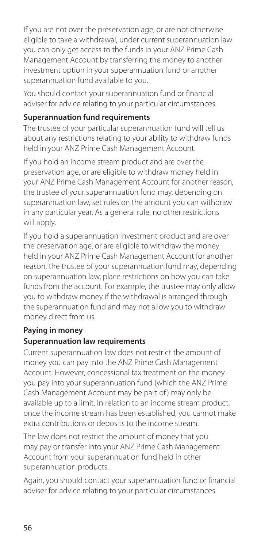If you are not over the preservation age, or are not otherwise eligible to take a withdrawal, under current superannuation law you can only get access to the funds in your ANZ Prime Cash Management Account by transferring the money to another investment option in your superannuation fund or another superannuation fund available to you.

You should contact your superannuation fund or financial adviser for advice relating to your particular circumstances.

#### **Superannuation fund requirements**

The trustee of your particular superannuation fund will tell us about any restrictions relating to your ability to withdraw funds held in your ANZ Prime Cash Management Account.

If you hold an income stream product and are over the preservation age, or are eligible to withdraw money held in your ANZ Prime Cash Management Account for another reason, the trustee of your superannuation fund may, depending on superannuation law, set rules on the amount you can withdraw in any particular year. As a general rule, no other restrictions will apply.

If you hold a superannuation investment product and are over the preservation age, or are eligible to withdraw the money held in your ANZ Prime Cash Management Account for another reason, the trustee of your superannuation fund may, depending on superannuation law, place restrictions on how you can take funds from the account. For example, the trustee may only allow you to withdraw money if the withdrawal is arranged through the superannuation fund and may not allow you to withdraw money direct from us.

# **Paying in money**

#### **Superannuation law requirements**

Current superannuation law does not restrict the amount of money you can pay into the ANZ Prime Cash Management Account. However, concessional tax treatment on the money you pay into your superannuation fund (which the ANZ Prime Cash Management Account may be part of ) may only be available up to a limit. In relation to an income stream product, once the income stream has been established, you cannot make extra contributions or deposits to the income stream.

The law does not restrict the amount of money that you may pay or transfer into your ANZ Prime Cash Management Account from your superannuation fund held in other superannuation products.

Again, you should contact your superannuation fund or financial adviser for advice relating to your particular circumstances.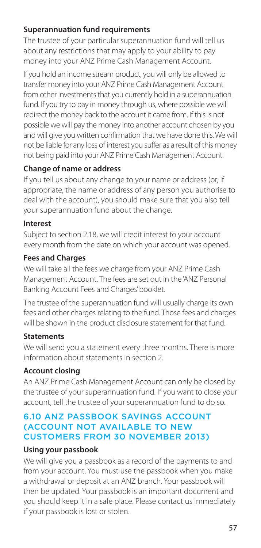#### **Superannuation fund requirements**

The trustee of your particular superannuation fund will tell us about any restrictions that may apply to your ability to pay money into your ANZ Prime Cash Management Account.

If you hold an income stream product, you will only be allowed to transfer money into your ANZ Prime Cash Management Account from other investments that you currently hold in a superannuation fund. If you try to pay in money through us, where possible we will redirect the money back to the account it came from. If this is not possible we will pay the money into another account chosen by you and will give you written confirmation that we have done this. We will not be liable for any loss of interest you suffer as a result of this money not being paid into your ANZ Prime Cash Management Account.

### **Change of name or address**

If you tell us about any change to your name or address (or, if appropriate, the name or address of any person you authorise to deal with the account), you should make sure that you also tell your superannuation fund about the change.

#### **Interest**

Subject to section 2.18, we will credit interest to your account every month from the date on which your account was opened.

### **Fees and Charges**

We will take all the fees we charge from your ANZ Prime Cash Management Account. The fees are set out in the 'ANZ Personal Banking Account Fees and Charges' booklet.

The trustee of the superannuation fund will usually charge its own fees and other charges relating to the fund. Those fees and charges will be shown in the product disclosure statement for that fund.

#### **Statements**

We will send you a statement every three months. There is more information about statements in section 2.

#### **Account closing**

An ANZ Prime Cash Management Account can only be closed by the trustee of your superannuation fund. If you want to close your account, tell the trustee of your superannuation fund to do so.

#### 6.10 ANZ PASSBOOK SAVINGS ACCOUNT (ACCOUNT NOT AVAILABLE TO NEW CUSTOMERS FROM 30 NOVEMBER 2013)

#### **Using your passbook**

We will give you a passbook as a record of the payments to and from your account. You must use the passbook when you make a withdrawal or deposit at an ANZ branch. Your passbook will then be updated. Your passbook is an important document and you should keep it in a safe place. Please contact us immediately if your passbook is lost or stolen.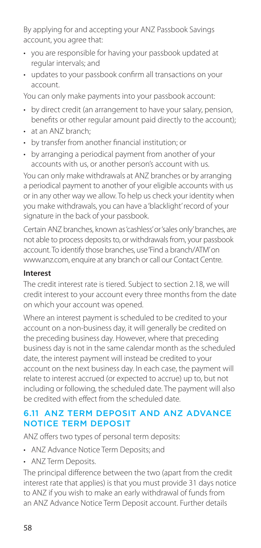By applying for and accepting your ANZ Passbook Savings account, you agree that:

- you are responsible for having your passbook updated at regular intervals; and
- updates to your passbook confrm all transactions on your account.

You can only make payments into your passbook account:

- by direct credit (an arrangement to have your salary, pension, benefts or other regular amount paid directly to the account);
- at an ANZ branch;
- by transfer from another fnancial institution; or
- by arranging a periodical payment from another of your accounts with us, or another person's account with us.

You can only make withdrawals at ANZ branches or by arranging a periodical payment to another of your eligible accounts with us or in any other way we allow. To help us check your identity when you make withdrawals, you can have a 'blacklight' record of your signature in the back of your passbook.

Certain ANZ branches, known as 'cashless'or'sales only' branches, are not able to process deposits to, or withdrawals from, your passbook account. To identify those branches, use 'Find a branch/ATM'on [www.anz.com,](http://www.anz.com) enquire at any branch or call our Contact Centre.

#### **Interest**

The credit interest rate is tiered. Subject to section 2.18, we will credit interest to your account every three months from the date on which your account was opened.

Where an interest payment is scheduled to be credited to your account on a non-business day, it will generally be credited on the preceding business day. However, where that preceding business day is not in the same calendar month as the scheduled date, the interest payment will instead be credited to your account on the next business day. In each case, the payment will relate to interest accrued (or expected to accrue) up to, but not including or following, the scheduled date. The payment will also be credited with effect from the scheduled date.

# 6.11 ANZ TERM DEPOSIT AND ANZ ADVANCE NOTICE TERM DEPOSIT

ANZ offers two types of personal term deposits:

- ANZ Advance Notice Term Deposits; and
- ANZ Term Deposits

The principal difference between the two (apart from the credit interest rate that applies) is that you must provide 31 days notice to ANZ if you wish to make an early withdrawal of funds from an ANZ Advance Notice Term Deposit account. Further details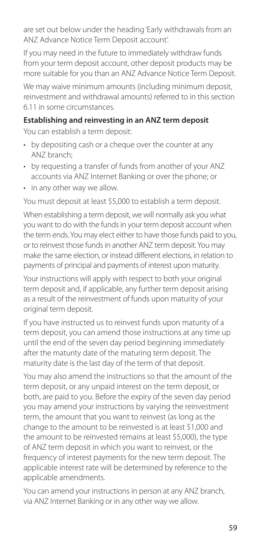are set out below under the heading 'Early withdrawals from an ANZ Advance Notice Term Deposit account'.

If you may need in the future to immediately withdraw funds from your term deposit account, other deposit products may be more suitable for you than an ANZ Advance Notice Term Deposit.

We may waive minimum amounts (including minimum deposit, reinvestment and withdrawal amounts) referred to in this section 6.11 in some circumstances.

### **Establishing and reinvesting in an ANZ term deposit**

You can establish a term deposit:

- by depositing cash or a cheque over the counter at any ANZ branch;
- by requesting a transfer of funds from another of your ANZ accounts via ANZ Internet Banking or over the phone; or
- in any other way we allow.

You must deposit at least \$5,000 to establish a term deposit.

When establishing a term deposit, we will normally ask you what you want to do with the funds in your term deposit account when the term ends. You may elect either to have those funds paid to you, or to reinvest those funds in another ANZ term deposit. You may make the same election, or instead different elections, in relation to payments of principal and payments of interest upon maturity.

Your instructions will apply with respect to both your original term deposit and, if applicable, any further term deposit arising as a result of the reinvestment of funds upon maturity of your original term deposit.

If you have instructed us to reinvest funds upon maturity of a term deposit, you can amend those instructions at any time up until the end of the seven day period beginning immediately after the maturity date of the maturing term deposit. The maturity date is the last day of the term of that deposit.

You may also amend the instructions so that the amount of the term deposit, or any unpaid interest on the term deposit, or both, are paid to you. Before the expiry of the seven day period you may amend your instructions by varying the reinvestment term, the amount that you want to reinvest (as long as the change to the amount to be reinvested is at least \$1,000 and the amount to be reinvested remains at least \$5,000), the type of ANZ term deposit in which you want to reinvest, or the frequency of interest payments for the new term deposit. The applicable interest rate will be determined by reference to the applicable amendments.

You can amend your instructions in person at any ANZ branch, via ANZ Internet Banking or in any other way we allow.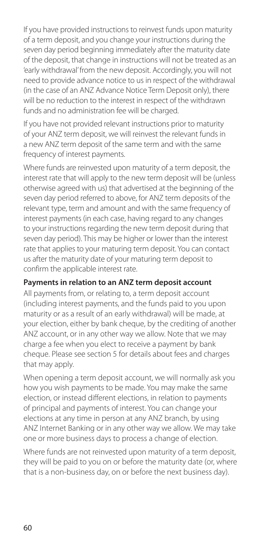If you have provided instructions to reinvest funds upon maturity of a term deposit, and you change your instructions during the seven day period beginning immediately after the maturity date of the deposit, that change in instructions will not be treated as an 'early withdrawal' from the new deposit. Accordingly, you will not need to provide advance notice to us in respect of the withdrawal (in the case of an ANZ Advance Notice Term Deposit only), there will be no reduction to the interest in respect of the withdrawn funds and no administration fee will be charged.

If you have not provided relevant instructions prior to maturity of your ANZ term deposit, we will reinvest the relevant funds in a new ANZ term deposit of the same term and with the same frequency of interest payments.

Where funds are reinvested upon maturity of a term deposit, the interest rate that will apply to the new term deposit will be (unless otherwise agreed with us) that advertised at the beginning of the seven day period referred to above, for ANZ term deposits of the relevant type, term and amount and with the same frequency of interest payments (in each case, having regard to any changes to your instructions regarding the new term deposit during that seven day period). This may be higher or lower than the interest rate that applies to your maturing term deposit. You can contact us after the maturity date of your maturing term deposit to confirm the applicable interest rate.

### **Payments in relation to an ANZ term deposit account**

All payments from, or relating to, a term deposit account (including interest payments, and the funds paid to you upon maturity or as a result of an early withdrawal) will be made, at your election, either by bank cheque, by the crediting of another ANZ account, or in any other way we allow. Note that we may charge a fee when you elect to receive a payment by bank cheque. Please see section 5 for details about fees and charges that may apply.

When opening a term deposit account, we will normally ask you how you wish payments to be made. You may make the same election, or instead different elections, in relation to payments of principal and payments of interest. You can change your elections at any time in person at any ANZ branch, by using ANZ Internet Banking or in any other way we allow. We may take one or more business days to process a change of election.

Where funds are not reinvested upon maturity of a term deposit, they will be paid to you on or before the maturity date (or, where that is a non-business day, on or before the next business day).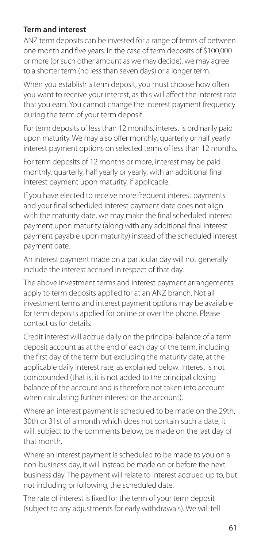#### **Term and interest**

ANZ term deposits can be invested for a range of terms of between one month and five years. In the case of term deposits of \$100,000 or more (or such other amount as we may decide), we may agree to a shorter term (no less than seven days) or a longer term.

When you establish a term deposit, you must choose how often you want to receive your interest, as this will affect the interest rate that you earn. You cannot change the interest payment frequency during the term of your term deposit.

For term deposits of less than 12 months, interest is ordinarily paid upon maturity. We may also offer monthly, quarterly or half yearly interest payment options on selected terms of less than 12 months.

For term deposits of 12 months or more, interest may be paid monthly, quarterly, half yearly or yearly, with an additional final interest payment upon maturity, if applicable.

If you have elected to receive more frequent interest payments and your final scheduled interest payment date does not align with the maturity date, we may make the final scheduled interest payment upon maturity (along with any additional final interest payment payable upon maturity) instead of the scheduled interest payment date.

An interest payment made on a particular day will not generally include the interest accrued in respect of that day.

The above investment terms and interest payment arrangements apply to term deposits applied for at an ANZ branch. Not all investment terms and interest payment options may be available for term deposits applied for online or over the phone. Please contact us for details.

Credit interest will accrue daily on the principal balance of a term deposit account as at the end of each day of the term, including the first day of the term but excluding the maturity date, at the applicable daily interest rate, as explained below. Interest is not compounded (that is, it is not added to the principal closing balance of the account and is therefore not taken into account when calculating further interest on the account).

Where an interest payment is scheduled to be made on the 29th, 30th or 31st of a month which does not contain such a date, it will, subject to the comments below, be made on the last day of that month.

Where an interest payment is scheduled to be made to you on a non-business day, it will instead be made on or before the next business day. The payment will relate to interest accrued up to, but not including or following, the scheduled date.

The rate of interest is fixed for the term of your term deposit (subject to any adjustments for early withdrawals). We will tell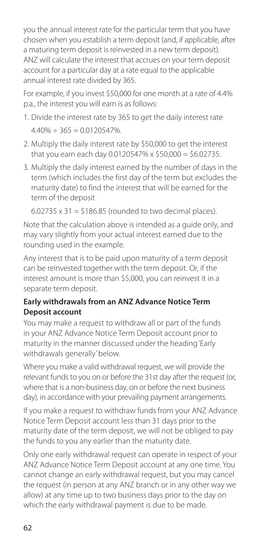you the annual interest rate for the particular term that you have chosen when you establish a term deposit (and, if applicable, after a maturing term deposit is reinvested in a new term deposit). ANZ will calculate the interest that accrues on your term deposit account for a particular day at a rate equal to the applicable annual interest rate divided by 365.

For example, if you invest \$50,000 for one month at a rate of 4.4% p.a., the interest you will earn is as follows:

- 1. Divide the interest rate by 365 to get the daily interest rate  $4.40\% \div 365 = 0.0120547\%$
- 2. Multiply the daily interest rate by \$50,000 to get the interest that you earn each day 0.0120547% x \$50,000 = \$6.02735.
- 3. Multiply the daily interest earned by the number of days in the term (which includes the first day of the term but excludes the maturity date) to find the interest that will be earned for the term of the deposit

```
6.02735 \times 31 = 5186.85 (rounded to two decimal places).
```
Note that the calculation above is intended as a guide only, and may vary slightly from your actual interest earned due to the rounding used in the example.

Any interest that is to be paid upon maturity of a term deposit can be reinvested together with the term deposit. Or, if the interest amount is more than \$5,000, you can reinvest it in a separate term deposit.

### **Early withdrawals from an ANZ Advance Notice Term Deposit account**

You may make a request to withdraw all or part of the funds in your ANZ Advance Notice Term Deposit account prior to maturity in the manner discussed under the heading 'Early withdrawals generally' below.

Where you make a valid withdrawal request, we will provide the relevant funds to you on or before the 31st day after the request (or, where that is a non-business day, on or before the next business day), in accordance with your prevailing payment arrangements.

If you make a request to withdraw funds from your ANZ Advance Notice Term Deposit account less than 31 days prior to the maturity date of the term deposit, we will not be obliged to pay the funds to you any earlier than the maturity date.

Only one early withdrawal request can operate in respect of your ANZ Advance Notice Term Deposit account at any one time. You cannot change an early withdrawal request, but you may cancel the request (in person at any ANZ branch or in any other way we allow) at any time up to two business days prior to the day on which the early withdrawal payment is due to be made.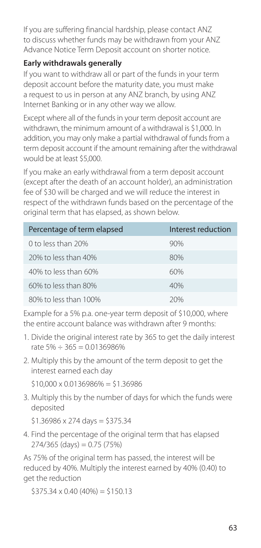If you are suffering financial hardship, please contact ANZ to discuss whether funds may be withdrawn from your ANZ Advance Notice Term Deposit account on shorter notice.

## **Early withdrawals generally**

If you want to withdraw all or part of the funds in your term deposit account before the maturity date, you must make a request to us in person at any ANZ branch, by using ANZ Internet Banking or in any other way we allow.

Except where all of the funds in your term deposit account are withdrawn, the minimum amount of a withdrawal is \$1,000. In addition, you may only make a partial withdrawal of funds from a term deposit account if the amount remaining after the withdrawal would be at least \$5,000.

If you make an early withdrawal from a term deposit account (except after the death of an account holder), an administration fee of \$30 will be charged and we will reduce the interest in respect of the withdrawn funds based on the percentage of the original term that has elapsed, as shown below.

| Percentage of term elapsed | Interest reduction |
|----------------------------|--------------------|
| 0 to less than $20\%$      | 90%                |
| 20% to less than 40%       | 80%                |
| 40% to less than 60%       | 60%                |
| 60% to less than 80%       | 40%                |
| 80% to less than 100%      | 20%                |

Example for a 5% p.a. one-year term deposit of \$10,000, where the entire account balance was withdrawn after 9 months:

- 1. Divide the original interest rate by 365 to get the daily interest rate  $5\% \div 365 = 0.0136986\%$
- 2. Multiply this by the amount of the term deposit to get the interest earned each day

 $$10,000 \times 0.0136986\% = $1.36986$ 

 3. Multiply this by the number of days for which the funds were deposited

 $$1.36986 \times 274 \text{ days} = $375.34$ 

 4. Find the percentage of the original term that has elapsed  $274/365$  (days) = 0.75 (75%)

As 75% of the original term has passed, the interest will be reduced by 40%. Multiply the interest earned by 40% (0.40) to get the reduction

 $$375.34 \times 0.40 (40\%) = $150.13$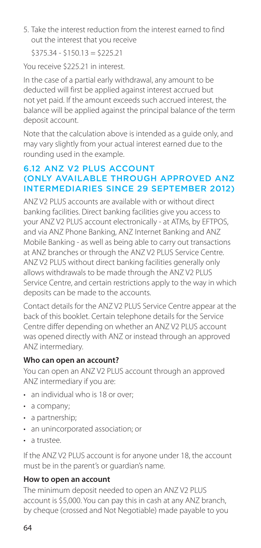5. Take the interest reduction from the interest earned to find out the interest that you receive

 $$375.34 - $150.13 = $225.21$ 

You receive \$225.21 in interest.

In the case of a partial early withdrawal, any amount to be deducted will first be applied against interest accrued but not yet paid. If the amount exceeds such accrued interest, the balance will be applied against the principal balance of the term deposit account.

Note that the calculation above is intended as a guide only, and may vary slightly from your actual interest earned due to the rounding used in the example.

#### 6.12 ANZ V2 PLUS ACCOUNT (ONLY AVAILABLE THROUGH APPROVED ANZ INTERMEDIARIES SINCE 29 SEPTEMBER 2012)

ANZ V2 PLUS accounts are available with or without direct banking facilities. Direct banking facilities give you access to your ANZ V2 PLUS account electronically - at ATMs, by EFTPOS, and via ANZ Phone Banking, ANZ Internet Banking and ANZ Mobile Banking - as well as being able to carry out transactions at ANZ branches or through the ANZ V2 PLUS Service Centre. ANZ V2 PLUS without direct banking facilities generally only allows withdrawals to be made through the ANZ V2 PLUS Service Centre, and certain restrictions apply to the way in which deposits can be made to the accounts.

Contact details for the ANZ V2 PLUS Service Centre appear at the back of this booklet. Certain telephone details for the Service Centre differ depending on whether an ANZ V2 PLUS account was opened directly with ANZ or instead through an approved ANZ intermediary.

#### **Who can open an account?**

You can open an ANZ V2 PLUS account through an approved ANZ intermediary if you are:

- an individual who is 18 or over;
- a company;
- a partnership;
- an unincorporated association; or
- a trustee.

If the ANZ V2 PLUS account is for anyone under 18, the account must be in the parent's or guardian's name.

#### **How to open an account**

The minimum deposit needed to open an ANZ V2 PLUS account is \$5,000. You can pay this in cash at any ANZ branch, by cheque (crossed and Not Negotiable) made payable to you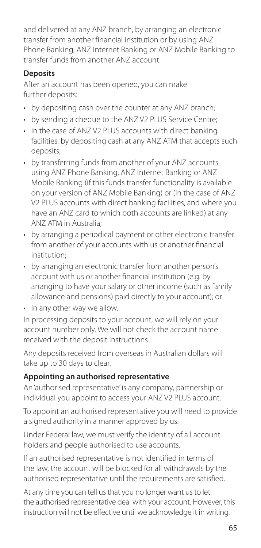and delivered at any ANZ branch, by arranging an electronic transfer from another financial institution or by using ANZ Phone Banking, ANZ Internet Banking or ANZ Mobile Banking to transfer funds from another ANZ account.

## **Deposits**

After an account has been opened, you can make further deposits:

- by depositing cash over the counter at any ANZ branch;
- by sending a cheque to the ANZ V2 PLUS Service Centre;
- in the case of ANZ V2 PLUS accounts with direct banking facilities, by depositing cash at any ANZ ATM that accepts such deposits;
- by transferring funds from another of your ANZ accounts using ANZ Phone Banking, ANZ Internet Banking or ANZ Mobile Banking (if this funds transfer functionality is available on your version of ANZ Mobile Banking) or (in the case of ANZ V2 PLUS accounts with direct banking facilities, and where you have an ANZ card to which both accounts are linked) at any ANZ ATM in Australia;
- by arranging a periodical payment or other electronic transfer from another of your accounts with us or another fnancial institution;
- by arranging an electronic transfer from another person's account with us or another fnancial institution (e.g. by arranging to have your salary or other income (such as family allowance and pensions) paid directly to your account); or
- in any other way we allow.

In processing deposits to your account, we will rely on your account number only. We will not check the account name received with the deposit instructions.

Any deposits received from overseas in Australian dollars will take up to 30 days to clear.

#### **Appointing an authorised representative**

An 'authorised representative' is any company, partnership or individual you appoint to access your ANZ V2 PLUS account.

To appoint an authorised representative you will need to provide a signed authority in a manner approved by us.

Under Federal law, we must verify the identity of all account holders and people authorised to use accounts.

If an authorised representative is not identified in terms of the law, the account will be blocked for all withdrawals by the authorised representative until the requirements are satisfied.

At any time you can tell us that you no longer want us to let the authorised representative deal with your account. However, this instruction will not be effective until we acknowledge it in writing.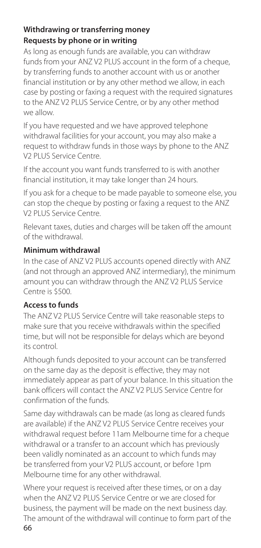#### **Withdrawing or transferring money Requests by phone or in writing**

As long as enough funds are available, you can withdraw funds from your ANZ V2 PLUS account in the form of a cheque. by transferring funds to another account with us or another financial institution or by any other method we allow, in each case by posting or faxing a request with the required signatures to the ANZ V2 PLUS Service Centre, or by any other method we allow.

If you have requested and we have approved telephone withdrawal facilities for your account, you may also make a request to withdraw funds in those ways by phone to the ANZ V2 PLUS Service Centre.

If the account you want funds transferred to is with another financial institution, it may take longer than 24 hours.

If you ask for a cheque to be made payable to someone else, you can stop the cheque by posting or faxing a request to the ANZ V2 PLUS Service Centre.

Relevant taxes, duties and charges will be taken off the amount of the withdrawal.

#### **Minimum withdrawal**

In the case of ANZ V2 PLUS accounts opened directly with ANZ (and not through an approved ANZ intermediary), the minimum amount you can withdraw through the ANZ V2 PLUS Service Centre is \$500.

#### **Access to funds**

The ANZ V2 PLUS Service Centre will take reasonable steps to make sure that you receive withdrawals within the specified time, but will not be responsible for delays which are beyond its control.

Although funds deposited to your account can be transferred on the same day as the deposit is effective, they may not immediately appear as part of your balance. In this situation the bank officers will contact the ANZ V2 PLUS Service Centre for confirmation of the funds.

Same day withdrawals can be made (as long as cleared funds are available) if the ANZ V2 PLUS Service Centre receives your withdrawal request before 11am Melbourne time for a cheque withdrawal or a transfer to an account which has previously been validly nominated as an account to which funds may be transferred from your V2 PLUS account, or before 1pm Melbourne time for any other withdrawal.

Where your request is received after these times, or on a day when the ANZ V2 PLUS Service Centre or we are closed for business, the payment will be made on the next business day. The amount of the withdrawal will continue to form part of the 66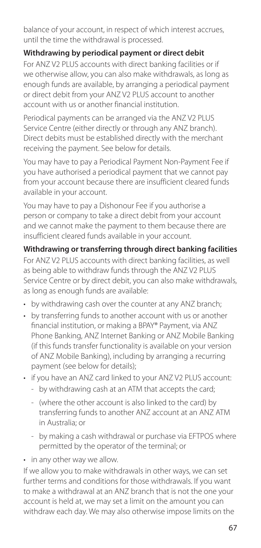balance of your account, in respect of which interest accrues, until the time the withdrawal is processed.

## **Withdrawing by periodical payment or direct debit**

For ANZ V2 PLUS accounts with direct banking facilities or if we otherwise allow, you can also make withdrawals, as long as enough funds are available, by arranging a periodical payment or direct debit from your ANZ V2 PLUS account to another account with us or another financial institution.

Periodical payments can be arranged via the ANZ V2 PLUS Service Centre (either directly or through any ANZ branch). Direct debits must be established directly with the merchant receiving the payment. See below for details.

You may have to pay a Periodical Payment Non-Payment Fee if you have authorised a periodical payment that we cannot pay from your account because there are insufficient cleared funds available in your account.

You may have to pay a Dishonour Fee if you authorise a person or company to take a direct debit from your account and we cannot make the payment to them because there are insufficient cleared funds available in your account.

**Withdrawing or transferring through direct banking facilities**  For ANZ V2 PLUS accounts with direct banking facilities, as well as being able to withdraw funds through the ANZ V2 PLUS Service Centre or by direct debit, you can also make withdrawals, as long as enough funds are available:

- by withdrawing cash over the counter at any ANZ branch;
- by transferring funds to another account with us or another fnancial institution, or making a BPAY® Payment, via ANZ Phone Banking, ANZ Internet Banking or ANZ Mobile Banking (if this funds transfer functionality is available on your version of ANZ Mobile Banking), including by arranging a recurring payment (see below for details);
- if you have an ANZ card linked to your ANZ V2 PLUS account:
	- by withdrawing cash at an ATM that accepts the card;
	- (where the other account is also linked to the card) by transferring funds to another ANZ account at an ANZ ATM in Australia; or
	- by making a cash withdrawal or purchase via EFTPOS where permitted by the operator of the terminal; or
- in any other way we allow.

If we allow you to make withdrawals in other ways, we can set further terms and conditions for those withdrawals. If you want to make a withdrawal at an ANZ branch that is not the one your account is held at, we may set a limit on the amount you can withdraw each day. We may also otherwise impose limits on the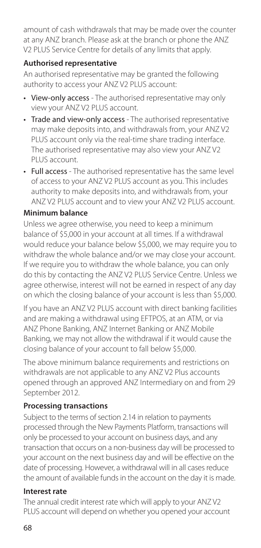amount of cash withdrawals that may be made over the counter at any ANZ branch. Please ask at the branch or phone the ANZ V2 PLUS Service Centre for details of any limits that apply.

#### **Authorised representative**

An authorised representative may be granted the following authority to access your ANZ V2 PLUS account:

- View-only access The authorised representative may only view your ANZ V2 PLUS account.
- Trade and view-only access The authorised representative may make deposits into, and withdrawals from, your ANZ V2 PLUS account only via the real-time share trading interface. The authorised representative may also view your ANZ V2 PLUS account.
- Full access The authorised representative has the same level of access to your ANZ V2 PLUS account as you. This includes authority to make deposits into, and withdrawals from, your ANZ V2 PLUS account and to view your ANZ V2 PLUS account.

#### **Minimum balance**

Unless we agree otherwise, you need to keep a minimum balance of \$5,000 in your account at all times. If a withdrawal would reduce your balance below \$5,000, we may require you to withdraw the whole balance and/or we may close your account. If we require you to withdraw the whole balance, you can only do this by contacting the ANZ V2 PLUS Service Centre. Unless we agree otherwise, interest will not be earned in respect of any day on which the closing balance of your account is less than \$5,000.

If you have an ANZ V2 PLUS account with direct banking facilities and are making a withdrawal using EFTPOS, at an ATM, or via ANZ Phone Banking, ANZ Internet Banking or ANZ Mobile Banking, we may not allow the withdrawal if it would cause the closing balance of your account to fall below \$5,000.

The above minimum balance requirements and restrictions on withdrawals are not applicable to any ANZ V2 Plus accounts opened through an approved ANZ Intermediary on and from 29 September 2012.

# **Processing transactions**

Subject to the terms of section 2.14 in relation to payments processed through the New Payments Platform, transactions will only be processed to your account on business days, and any transaction that occurs on a non-business day will be processed to your account on the next business day and will be effective on the date of processing. However, a withdrawal will in all cases reduce the amount of available funds in the account on the day it is made.

#### **Interest rate**

The annual credit interest rate which will apply to your ANZ V2 PLUS account will depend on whether you opened your account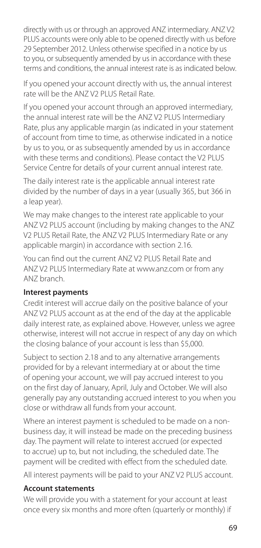directly with us or through an approved ANZ intermediary. ANZ V2 PLUS accounts were only able to be opened directly with us before 29 September 2012. Unless otherwise specified in a notice by us to you, or subsequently amended by us in accordance with these terms and conditions, the annual interest rate is as indicated below.

If you opened your account directly with us, the annual interest rate will be the ANZ V2 PLUS Retail Rate.

If you opened your account through an approved intermediary, the annual interest rate will be the ANZ V2 PLUS Intermediary Rate, plus any applicable margin (as indicated in your statement of account from time to time, as otherwise indicated in a notice by us to you, or as subsequently amended by us in accordance with these terms and conditions). Please contact the V2 PLUS Service Centre for details of your current annual interest rate.

The daily interest rate is the applicable annual interest rate divided by the number of days in a year (usually 365, but 366 in a leap year).

We may make changes to the interest rate applicable to your ANZ V2 PLUS account (including by making changes to the ANZ V2 PLUS Retail Rate, the ANZ V2 PLUS Intermediary Rate or any applicable margin) in accordance with section 2.16.

You can find out the current ANZ V2 PLUS Retail Rate and ANZ V2 PLUS Intermediary Rate at [www.anz.com](http://www.anz.com) or from any ANZ branch.

#### **Interest payments**

Credit interest will accrue daily on the positive balance of your ANZ V2 PLUS account as at the end of the day at the applicable daily interest rate, as explained above. However, unless we agree otherwise, interest will not accrue in respect of any day on which the closing balance of your account is less than \$5,000.

Subject to section 2.18 and to any alternative arrangements provided for by a relevant intermediary at or about the time of opening your account, we will pay accrued interest to you on the first day of January, April, July and October. We will also generally pay any outstanding accrued interest to you when you close or withdraw all funds from your account.

Where an interest payment is scheduled to be made on a nonbusiness day, it will instead be made on the preceding business day. The payment will relate to interest accrued (or expected to accrue) up to, but not including, the scheduled date. The payment will be credited with effect from the scheduled date.

All interest payments will be paid to your ANZ V2 PLUS account.

#### **Account statements**

We will provide you with a statement for your account at least once every six months and more often (quarterly or monthly) if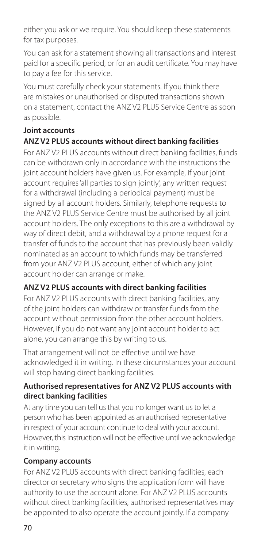either you ask or we require. You should keep these statements for tax purposes.

You can ask for a statement showing all transactions and interest paid for a specific period, or for an audit certificate. You may have to pay a fee for this service.

You must carefully check your statements. If you think there are mistakes or unauthorised or disputed transactions shown on a statement, contact the ANZ V2 PLUS Service Centre as soon as possible.

# **Joint accounts**

# **ANZ V2 PLUS accounts without direct banking facilities**

For ANZ V2 PLUS accounts without direct banking facilities, funds can be withdrawn only in accordance with the instructions the joint account holders have given us. For example, if your joint account requires 'all parties to sign jointly', any written request for a withdrawal (including a periodical payment) must be signed by all account holders. Similarly, telephone requests to the ANZ V2 PLUS Service Centre must be authorised by all joint account holders. The only exceptions to this are a withdrawal by way of direct debit, and a withdrawal by a phone request for a transfer of funds to the account that has previously been validly nominated as an account to which funds may be transferred from your ANZ V2 PLUS account, either of which any joint account holder can arrange or make.

# **ANZ V2 PLUS accounts with direct banking facilities**

For ANZ V2 PLUS accounts with direct banking facilities, any of the joint holders can withdraw or transfer funds from the account without permission from the other account holders. However, if you do not want any joint account holder to act alone, you can arrange this by writing to us.

That arrangement will not be effective until we have acknowledged it in writing. In these circumstances your account will stop having direct banking facilities.

#### **Authorised representatives for ANZ V2 PLUS accounts with direct banking facilities**

At any time you can tell us that you no longer want us to let a person who has been appointed as an authorised representative in respect of your account continue to deal with your account. However, this instruction will not be effective until we acknowledge it in writing.

#### **Company accounts**

For ANZ V2 PLUS accounts with direct banking facilities, each director or secretary who signs the application form will have authority to use the account alone. For ANZ V2 PLUS accounts without direct banking facilities, authorised representatives may be appointed to also operate the account jointly. If a company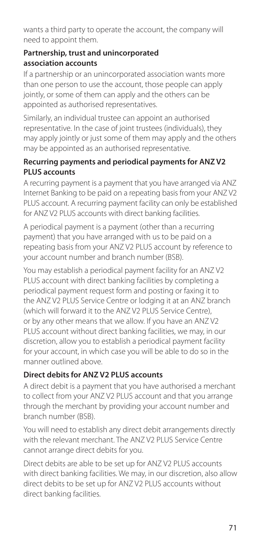wants a third party to operate the account, the company will need to appoint them.

#### **Partnership, trust and unincorporated association accounts**

If a partnership or an unincorporated association wants more than one person to use the account, those people can apply jointly, or some of them can apply and the others can be appointed as authorised representatives.

Similarly, an individual trustee can appoint an authorised representative. In the case of joint trustees (individuals), they may apply jointly or just some of them may apply and the others may be appointed as an authorised representative.

#### **Recurring payments and periodical payments for ANZ V2 PLUS accounts**

A recurring payment is a payment that you have arranged via ANZ Internet Banking to be paid on a repeating basis from your ANZ V2 PLUS account. A recurring payment facility can only be established for ANZ V2 PLUS accounts with direct banking facilities.

A periodical payment is a payment (other than a recurring payment) that you have arranged with us to be paid on a repeating basis from your ANZ V2 PLUS account by reference to your account number and branch number (BSB).

You may establish a periodical payment facility for an ANZ V2 PLUS account with direct banking facilities by completing a periodical payment request form and posting or faxing it to the ANZ V2 PLUS Service Centre or lodging it at an ANZ branch (which will forward it to the ANZ V2 PLUS Service Centre), or by any other means that we allow. If you have an ANZ V2 PLUS account without direct banking facilities, we may, in our discretion, allow you to establish a periodical payment facility for your account, in which case you will be able to do so in the manner outlined above.

# **Direct debits for ANZ V2 PLUS accounts**

A direct debit is a payment that you have authorised a merchant to collect from your ANZ V2 PLUS account and that you arrange through the merchant by providing your account number and branch number (BSB).

You will need to establish any direct debit arrangements directly with the relevant merchant. The ANZ V2 PLUS Service Centre cannot arrange direct debits for you.

Direct debits are able to be set up for ANZ V2 PLUS accounts with direct banking facilities. We may, in our discretion, also allow direct debits to be set up for ANZ V2 PLUS accounts without direct banking facilities.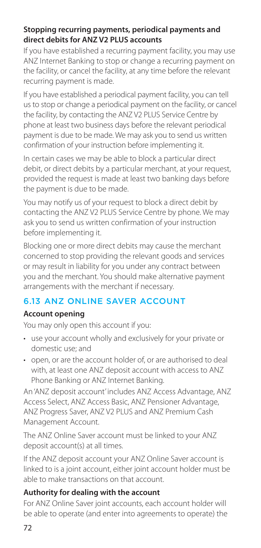#### **Stopping recurring payments, periodical payments and direct debits for ANZ V2 PLUS accounts**

If you have established a recurring payment facility, you may use ANZ Internet Banking to stop or change a recurring payment on the facility, or cancel the facility, at any time before the relevant recurring payment is made.

If you have established a periodical payment facility, you can tell us to stop or change a periodical payment on the facility, or cancel the facility, by contacting the ANZ V2 PLUS Service Centre by phone at least two business days before the relevant periodical payment is due to be made. We may ask you to send us written confirmation of your instruction before implementing it.

In certain cases we may be able to block a particular direct debit, or direct debits by a particular merchant, at your request, provided the request is made at least two banking days before the payment is due to be made.

You may notify us of your request to block a direct debit by contacting the ANZ V2 PLUS Service Centre by phone. We may ask you to send us written confirmation of your instruction before implementing it.

Blocking one or more direct debits may cause the merchant concerned to stop providing the relevant goods and services or may result in liability for you under any contract between you and the merchant. You should make alternative payment arrangements with the merchant if necessary.

# 6.13 ANZ ONLINE SAVER ACCOUNT

# **Account opening**

You may only open this account if you:

- use your account wholly and exclusively for your private or domestic use; and
- open, or are the account holder of, or are authorised to deal with, at least one ANZ deposit account with access to ANZ Phone Banking or ANZ Internet Banking.

An 'ANZ deposit account' includes ANZ Access Advantage, ANZ Access Select, ANZ Access Basic, ANZ Pensioner Advantage, ANZ Progress Saver, ANZ V2 PLUS and ANZ Premium Cash Management Account.

The ANZ Online Saver account must be linked to your ANZ deposit account(s) at all times.

If the ANZ deposit account your ANZ Online Saver account is linked to is a joint account, either joint account holder must be able to make transactions on that account.

# **Authority for dealing with the account**

For ANZ Online Saver joint accounts, each account holder will be able to operate (and enter into agreements to operate) the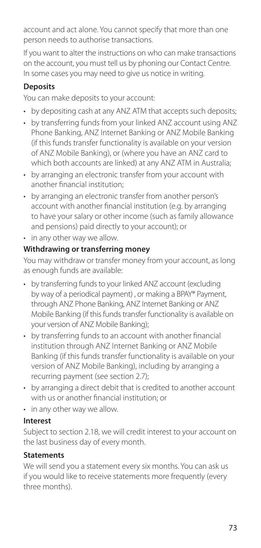account and act alone. You cannot specify that more than one person needs to authorise transactions.

If you want to alter the instructions on who can make transactions on the account, you must tell us by phoning our Contact Centre. In some cases you may need to give us notice in writing.

# **Deposits**

You can make deposits to your account:

- by depositing cash at any ANZ ATM that accepts such deposits;
- by transferring funds from your linked ANZ account using ANZ Phone Banking, ANZ Internet Banking or ANZ Mobile Banking (if this funds transfer functionality is available on your version of ANZ Mobile Banking), or (where you have an ANZ card to which both accounts are linked) at any ANZ ATM in Australia;
- by arranging an electronic transfer from your account with another fnancial institution;
- by arranging an electronic transfer from another person's account with another fnancial institution (e.g. by arranging to have your salary or other income (such as family allowance and pensions) paid directly to your account); or
- in any other way we allow.

# **Withdrawing or transferring money**

You may withdraw or transfer money from your account, as long as enough funds are available:

- by transferring funds to your linked ANZ account (excluding by way of a periodical payment) , or making a BPAY® Payment, through ANZ Phone Banking, ANZ Internet Banking or ANZ Mobile Banking (if this funds transfer functionality is available on your version of ANZ Mobile Banking);
- by transferring funds to an account with another fnancial institution through ANZ Internet Banking or ANZ Mobile Banking (if this funds transfer functionality is available on your version of ANZ Mobile Banking), including by arranging a recurring payment (see section 2.7);
- by arranging a direct debit that is credited to another account with us or another fnancial institution; or
- in any other way we allow.

# **Interest**

Subject to section 2.18, we will credit interest to your account on the last business day of every month.

# **Statements**

We will send you a statement every six months. You can ask us if you would like to receive statements more frequently (every three months).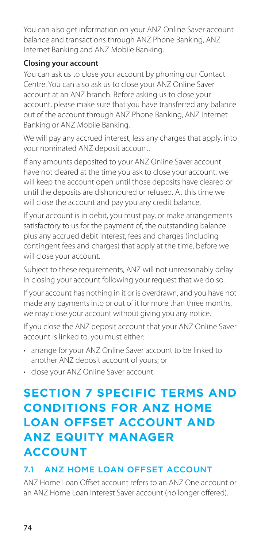You can also get information on your ANZ Online Saver account balance and transactions through ANZ Phone Banking, ANZ Internet Banking and ANZ Mobile Banking.

## **Closing your account**

You can ask us to close your account by phoning our Contact Centre. You can also ask us to close your ANZ Online Saver account at an ANZ branch. Before asking us to close your account, please make sure that you have transferred any balance out of the account through ANZ Phone Banking, ANZ Internet Banking or ANZ Mobile Banking.

We will pay any accrued interest, less any charges that apply, into your nominated ANZ deposit account.

If any amounts deposited to your ANZ Online Saver account have not cleared at the time you ask to close your account, we will keep the account open until those deposits have cleared or until the deposits are dishonoured or refused. At this time we will close the account and pay you any credit balance.

If your account is in debit, you must pay, or make arrangements satisfactory to us for the payment of, the outstanding balance plus any accrued debit interest, fees and charges (including contingent fees and charges) that apply at the time, before we will close your account.

Subject to these requirements, ANZ will not unreasonably delay in closing your account following your request that we do so.

If your account has nothing in it or is overdrawn, and you have not made any payments into or out of it for more than three months, we may close your account without giving you any notice.

If you close the ANZ deposit account that your ANZ Online Saver account is linked to, you must either:

- arrange for your ANZ Online Saver account to be linked to another ANZ deposit account of yours; or
- close your ANZ Online Saver account.

# **SECTION 7 SPECIFIC TERMS AND CONDITIONS FOR ANZ HOME LOAN OFFSET ACCOUNT AND ANZ EQUITY MANAGER ACCOUNT**

# 7.1 ANZ HOME LOAN OFFSET ACCOUNT

ANZ Home Loan Offset account refers to an ANZ One account or an ANZ Home Loan Interest Saver account (no longer offered).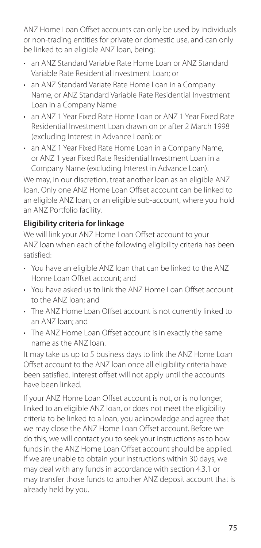ANZ Home Loan Offset accounts can only be used by individuals or non-trading entities for private or domestic use, and can only be linked to an eligible ANZ loan, being:

- an ANZ Standard Variable Rate Home Loan or ANZ Standard Variable Rate Residential Investment Loan; or
- an ANZ Standard Variate Rate Home Loan in a Company Name, or ANZ Standard Variable Rate Residential Investment Loan in a Company Name
- an ANZ 1 Year Fixed Rate Home Loan or ANZ 1 Year Fixed Rate Residential Investment Loan drawn on or after 2 March 1998 (excluding Interest in Advance Loan); or
- • an ANZ 1 Year Fixed Rate Home Loan in a Company Name, or ANZ 1 year Fixed Rate Residential Investment Loan in a Company Name (excluding Interest in Advance Loan).

We may, in our discretion, treat another loan as an eligible ANZ loan. Only one ANZ Home Loan Offset account can be linked to an eligible ANZ loan, or an eligible sub-account, where you hold an ANZ Portfolio facility.

# **Eligibility criteria for linkage**

We will link your ANZ Home Loan Offset account to your ANZ loan when each of the following eligibility criteria has been satisfied:

- You have an eligible ANZ loan that can be linked to the ANZ Home Loan Offset account: and
- You have asked us to link the ANZ Home Loan Offset account to the ANZ loan; and
- The ANZ Home Loan Offset account is not currently linked to an ANZ loan; and
- The ANZ Home Loan Offset account is in exactly the same name as the ANZ loan.

It may take us up to 5 business days to link the ANZ Home Loan Offset account to the ANZ loan once all eligibility criteria have been satisfied. Interest offset will not apply until the accounts have been linked.

If your ANZ Home Loan Offset account is not, or is no longer, linked to an eligible ANZ loan, or does not meet the eligibility criteria to be linked to a loan, you acknowledge and agree that we may close the ANZ Home Loan Offset account. Before we do this, we will contact you to seek your instructions as to how funds in the ANZ Home Loan Offset account should be applied. If we are unable to obtain your instructions within 30 days, we may deal with any funds in accordance with section 4.3.1 or may transfer those funds to another ANZ deposit account that is already held by you.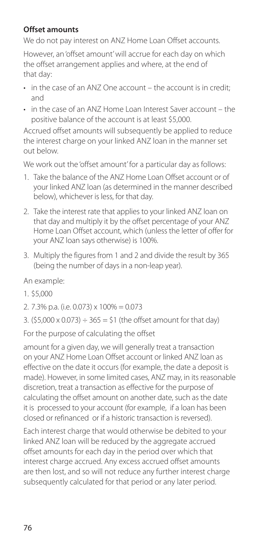# **Offset amounts**

We do not pay interest on ANZ Home Loan Offset accounts.

However, an 'offset amount' will accrue for each day on which the offset arrangement applies and where, at the end of that day:

- in the case of an ANZ One account the account is in credit; and
- in the case of an ANZ Home Loan Interest Saver account the positive balance of the account is at least \$5,000.

Accrued offset amounts will subsequently be applied to reduce the interest charge on your linked ANZ loan in the manner set out below.

We work out the 'offset amount' for a particular day as follows:

- 1. Take the balance of the ANZ Home Loan Offset account or of your linked ANZ loan (as determined in the manner described below), whichever is less, for that day.
- 2. Take the interest rate that applies to your linked ANZ loan on that day and multiply it by the offset percentage of your ANZ Home Loan Offset account, which (unless the letter of offer for your ANZ loan says otherwise) is 100%.
- 3. Multiply the figures from 1 and 2 and divide the result by 365 (being the number of days in a non-leap year).

An example:

- 1. \$5,000
- 2. 7.3% p.a. (i.e. 0.073) x 100% = 0.073
- 3. (\$5.000 x 0.073)  $\div$  365 = \$1 (the offset amount for that day)

For the purpose of calculating the offset

amount for a given day, we will generally treat a transaction on your ANZ Home Loan Offset account or linked ANZ loan as effective on the date it occurs (for example, the date a deposit is made). However, in some limited cases, ANZ may, in its reasonable discretion, treat a transaction as effective for the purpose of calculating the offset amount on another date, such as the date it is processed to your account (for example, if a loan has been closed or refinanced or if a historic transaction is reversed).

Each interest charge that would otherwise be debited to your linked ANZ loan will be reduced by the aggregate accrued offset amounts for each day in the period over which that interest charge accrued. Any excess accrued offset amounts are then lost, and so will not reduce any further interest charge subsequently calculated for that period or any later period.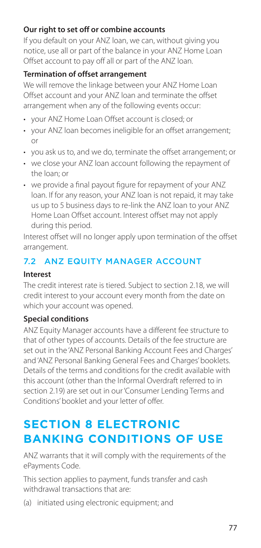# **Our right to set off or combine accounts**

If you default on your ANZ loan, we can, without giving you notice, use all or part of the balance in your ANZ Home Loan Offset account to pay off all or part of the ANZ loan.

# **Termination of offset arrangement**

We will remove the linkage between your ANZ Home Loan Offset account and your ANZ loan and terminate the offset arrangement when any of the following events occur:

- your ANZ Home Loan Offset account is closed; or
- your ANZ loan becomes ineligible for an offset arrangement; or
- you ask us to, and we do, terminate the offset arrangement; or
- we close your ANZ loan account following the repayment of the loan; or
- we provide a final payout figure for repayment of your ANZ loan. If for any reason, your ANZ loan is not repaid, it may take us up to 5 business days to re-link the ANZ loan to your ANZ Home Loan Offset account. Interest offset may not apply during this period.

Interest offset will no longer apply upon termination of the offset arrangement.

# 7.2 ANZ EQUITY MANAGER ACCOUNT

#### **Interest**

The credit interest rate is tiered. Subject to section 2.18, we will credit interest to your account every month from the date on which your account was opened.

# **Special conditions**

ANZ Equity Manager accounts have a different fee structure to that of other types of accounts. Details of the fee structure are set out in the 'ANZ Personal Banking Account Fees and Charges' and 'ANZ Personal Banking General Fees and Charges' booklets. Details of the terms and conditions for the credit available with this account (other than the Informal Overdraft referred to in section 2.19) are set out in our 'Consumer Lending Terms and Conditions' booklet and your letter of offer.

# **SECTION 8 ELECTRONIC BANKING CONDITIONS OF USE**

ANZ warrants that it will comply with the requirements of the ePayments Code.

This section applies to payment, funds transfer and cash withdrawal transactions that are:

(a) initiated using electronic equipment; and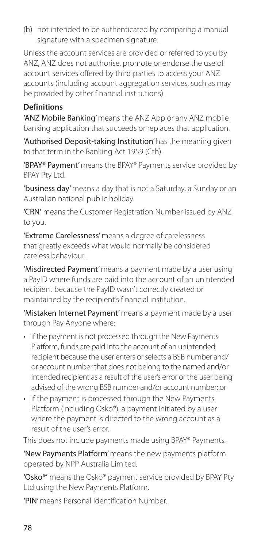(b) not intended to be authenticated by comparing a manual signature with a specimen signature.

Unless the account services are provided or referred to you by ANZ, ANZ does not authorise, promote or endorse the use of account services offered by third parties to access your ANZ accounts (including account aggregation services, such as may be provided by other financial institutions).

# **Definitions**

'ANZ Mobile Banking' means the ANZ App or any ANZ mobile banking application that succeeds or replaces that application.

'Authorised Deposit-taking Institution' has the meaning given to that term in the Banking Act 1959 (Cth).

'BPAY® Payment' means the BPAY® Payments service provided by BPAY Pty Ltd.

'business day' means a day that is not a Saturday, a Sunday or an Australian national public holiday.

'CRN' means the Customer Registration Number issued by ANZ to you.

'Extreme Carelessness' means a degree of carelessness that greatly exceeds what would normally be considered careless behaviour.

'Misdirected Payment' means a payment made by a user using a PayID where funds are paid into the account of an unintended recipient because the PayID wasn't correctly created or maintained by the recipient's financial institution.

'Mistaken Internet Payment' means a payment made by a user through Pay Anyone where:

- if the payment is not processed through the New Payments Platform, funds are paid into the account of an unintended recipient because the user enters or selects a BSB number and/ or account number that does not belong to the named and/or intended recipient as a result of the user's error or the user being advised of the wrong BSB number and/or account number; or
- if the payment is processed through the New Payments Platform (including Osko®), a payment initiated by a user where the payment is directed to the wrong account as a result of the user's error.

This does not include payments made using BPAY® Payments.

'New Payments Platform' means the new payments platform operated by NPP Australia Limited.

'Osko®' means the Osko® payment service provided by BPAY Pty Ltd using the New Payments Platform.

'PIN' means Personal Identification Number.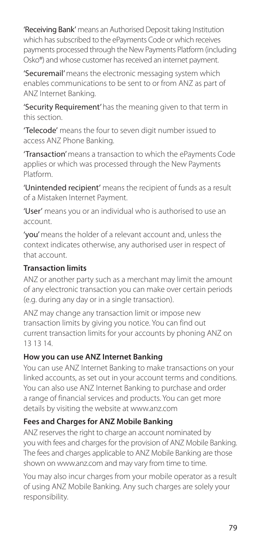'Receiving Bank' means an Authorised Deposit taking Institution which has subscribed to the ePayments Code or which receives payments processed through the New Payments Platform (including Osko®) and whose customer has received an internet payment.

'Securemail' means the electronic messaging system which enables communications to be sent to or from ANZ as part of ANZ Internet Banking.

'Security Requirement' has the meaning given to that term in this section.

'Telecode' means the four to seven digit number issued to access ANZ Phone Banking.

'Transaction' means a transaction to which the ePayments Code applies or which was processed through the New Payments Platform.

'Unintended recipient' means the recipient of funds as a result of a Mistaken Internet Payment.

'User' means you or an individual who is authorised to use an account.

'you' means the holder of a relevant account and, unless the context indicates otherwise, any authorised user in respect of that account.

# **Transaction limits**

ANZ or another party such as a merchant may limit the amount of any electronic transaction you can make over certain periods (e.g. during any day or in a single transaction).

ANZ may change any transaction limit or impose new transaction limits by giving you notice. You can find out current transaction limits for your accounts by phoning ANZ on 13 13 14.

# **How you can use ANZ Internet Banking**

You can use ANZ Internet Banking to make transactions on your linked accounts, as set out in your account terms and conditions. You can also use ANZ Internet Banking to purchase and order a range of financial services and products. You can get more details by visiting the website at [www.anz.com](http://www.anz.com)

# **Fees and Charges for ANZ Mobile Banking**

ANZ reserves the right to charge an account nominated by you with fees and charges for the provision of ANZ Mobile Banking. The fees and charges applicable to ANZ Mobile Banking are those shown on [www.anz.com](http://www.anz.com) and may vary from time to time.

You may also incur charges from your mobile operator as a result of using ANZ Mobile Banking. Any such charges are solely your responsibility.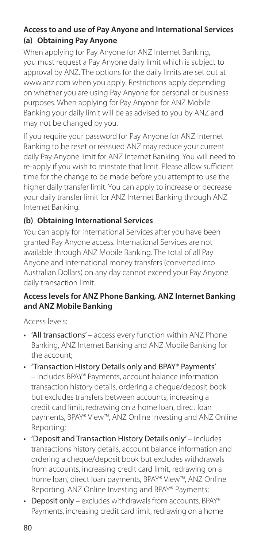# **Access to and use of Pay Anyone and International Services (a) Obtaining Pay Anyone**

When applying for Pay Anyone for ANZ Internet Banking. you must request a Pay Anyone daily limit which is subject to approval by ANZ. The options for the daily limits are set out at [www.anz.com](http://www.anz.com) when you apply. Restrictions apply depending on whether you are using Pay Anyone for personal or business purposes. When applying for Pay Anyone for ANZ Mobile Banking your daily limit will be as advised to you by ANZ and may not be changed by you.

If you require your password for Pay Anyone for ANZ Internet Banking to be reset or reissued ANZ may reduce your current daily Pay Anyone limit for ANZ Internet Banking. You will need to re-apply if you wish to reinstate that limit. Please allow sufficient time for the change to be made before you attempt to use the higher daily transfer limit. You can apply to increase or decrease your daily transfer limit for ANZ Internet Banking through ANZ Internet Banking.

# **(b) Obtaining International Services**

You can apply for International Services after you have been granted Pay Anyone access. International Services are not available through ANZ Mobile Banking. The total of all Pay Anyone and international money transfers (converted into Australian Dollars) on any day cannot exceed your Pay Anyone daily transaction limit.

# **Access levels for ANZ Phone Banking, ANZ Internet Banking and ANZ Mobile Banking**

Access levels:

- 'All transactions' access every function within ANZ Phone Banking, ANZ Internet Banking and ANZ Mobile Banking for the account;
- 'Transaction History Details only and BPAY® Payments' – includes BPAY® Payments, account balance information transaction history details, ordering a cheque/deposit book but excludes transfers between accounts, increasing a credit card limit, redrawing on a home loan, direct loan payments, BPAY® View™, ANZ Online Investing and ANZ Online Reporting;
- 'Deposit and Transaction History Details only' includes transactions history details, account balance information and ordering a cheque/deposit book but excludes withdrawals from accounts, increasing credit card limit, redrawing on a home loan, direct loan payments, BPAY® View™, ANZ Online Reporting, ANZ Online Investing and BPAY® Payments;
- Deposit only excludes withdrawals from accounts, BPAY® Payments, increasing credit card limit, redrawing on a home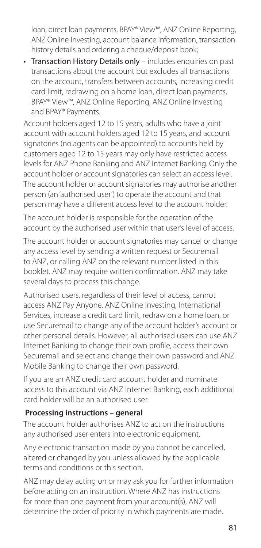loan, direct loan payments, BPAY® View™, ANZ Online Reporting, ANZ Online Investing, account balance information, transaction history details and ordering a cheque/deposit book;

• Transaction History Details only – includes enquiries on past transactions about the account but excludes all transactions on the account, transfers between accounts, increasing credit card limit, redrawing on a home loan, direct loan payments, BPAY® View™, ANZ Online Reporting, ANZ Online Investing and BPAY® Payments.

Account holders aged 12 to 15 years, adults who have a joint account with account holders aged 12 to 15 years, and account signatories (no agents can be appointed) to accounts held by customers aged 12 to 15 years may only have restricted access levels for ANZ Phone Banking and ANZ Internet Banking. Only the account holder or account signatories can select an access level. The account holder or account signatories may authorise another person (an 'authorised user') to operate the account and that person may have a different access level to the account holder.

The account holder is responsible for the operation of the account by the authorised user within that user's level of access.

The account holder or account signatories may cancel or change any access level by sending a written request or Securemail to ANZ, or calling ANZ on the relevant number listed in this booklet. ANZ may require written confirmation. ANZ may take several days to process this change.

Authorised users, regardless of their level of access, cannot access ANZ Pay Anyone, ANZ Online Investing, International Services, increase a credit card limit, redraw on a home loan, or use Securemail to change any of the account holder's account or other personal details. However, all authorised users can use ANZ Internet Banking to change their own profile, access their own Securemail and select and change their own password and ANZ Mobile Banking to change their own password.

If you are an ANZ credit card account holder and nominate access to this account via ANZ Internet Banking, each additional card holder will be an authorised user.

# **Processing instructions – general**

The account holder authorises ANZ to act on the instructions any authorised user enters into electronic equipment.

Any electronic transaction made by you cannot be cancelled, altered or changed by you unless allowed by the applicable terms and conditions or this section.

ANZ may delay acting on or may ask you for further information before acting on an instruction. Where ANZ has instructions for more than one payment from your account(s), ANZ will determine the order of priority in which payments are made.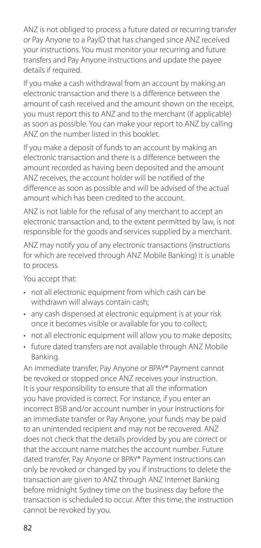ANZ is not obliged to process a future dated or recurring transfer or Pay Anyone to a PayID that has changed since ANZ received your instructions. You must monitor your recurring and future transfers and Pay Anyone instructions and update the payee details if required.

If you make a cash withdrawal from an account by making an electronic transaction and there is a difference between the amount of cash received and the amount shown on the receipt, you must report this to ANZ and to the merchant (if applicable) as soon as possible. You can make your report to ANZ by calling ANZ on the number listed in this booklet.

If you make a deposit of funds to an account by making an electronic transaction and there is a difference between the amount recorded as having been deposited and the amount ANZ receives, the account holder will be notified of the difference as soon as possible and will be advised of the actual amount which has been credited to the account.

ANZ is not liable for the refusal of any merchant to accept an electronic transaction and, to the extent permitted by law, is not responsible for the goods and services supplied by a merchant.

ANZ may notify you of any electronic transactions (instructions for which are received through ANZ Mobile Banking) it is unable to process.

You accept that:

- not all electronic equipment from which cash can be withdrawn will always contain cash;
- any cash dispensed at electronic equipment is at your risk once it becomes visible or available for you to collect;
- not all electronic equipment will allow you to make deposits;
- future dated transfers are not available through ANZ Mobile Banking.

An immediate transfer, Pay Anyone or BPAY® Payment cannot be revoked or stopped once ANZ receives your instruction. It is your responsibility to ensure that all the information you have provided is correct. For instance, if you enter an incorrect BSB and/or account number in your instructions for an immediate transfer or Pay Anyone, your funds may be paid to an unintended recipient and may not be recovered. ANZ does not check that the details provided by you are correct or that the account name matches the account number. Future dated transfer, Pay Anyone or BPAY® Payment instructions can only be revoked or changed by you if instructions to delete the transaction are given to ANZ through ANZ Internet Banking before midnight Sydney time on the business day before the transaction is scheduled to occur. After this time, the instruction cannot be revoked by you.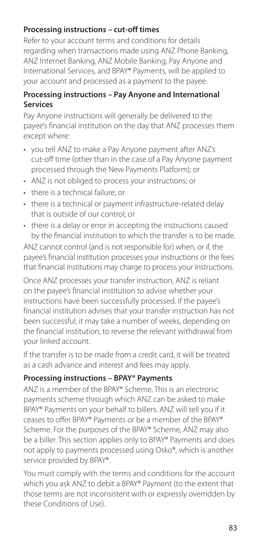# **Processing instructions – cut-off times**

Refer to your account terms and conditions for details regarding when transactions made using ANZ Phone Banking, ANZ Internet Banking, ANZ Mobile Banking, Pay Anyone and International Services, and BPAY® Payments, will be applied to your account and processed as a payment to the payee.

#### **Processing instructions – Pay Anyone and International Services**

Pay Anyone instructions will generally be delivered to the payee's financial institution on the day that ANZ processes them except where:

- you tell ANZ to make a Pay Anyone payment after ANZ's cut-of time (other than in the case of a Pay Anyone payment processed through the New Payments Platform); or
- ANZ is not obliged to process your instructions; or
- there is a technical failure; or
- there is a technical or payment infrastructure-related delay that is outside of our control; or
- there is a delay or error in accepting the instructions caused by the fnancial institution to which the transfer is to be made.

ANZ cannot control (and is not responsible for) when, or if, the payee's financial institution processes your instructions or the fees that financial institutions may charge to process your instructions.

Once ANZ processes your transfer instruction, ANZ is reliant on the payee's financial institution to advise whether your instructions have been successfully processed. If the payee's financial institution advises that your transfer instruction has not been successful, it may take a number of weeks, depending on the financial institution, to reverse the relevant withdrawal from your linked account.

If the transfer is to be made from a credit card, it will be treated as a cash advance and interest and fees may apply.

# **Processing instructions – BPAY® Payments**

ANZ is a member of the BPAY® Scheme. This is an electronic payments scheme through which ANZ can be asked to make BPAY® Payments on your behalf to billers. ANZ will tell you if it ceases to offer BPAY® Payments or be a member of the BPAY® Scheme. For the purposes of the BPAY® Scheme, ANZ may also be a biller. This section applies only to BPAY® Payments and does not apply to payments processed using Osko®, which is another service provided by BPAY®.

You must comply with the terms and conditions for the account which you ask ANZ to debit a BPAY® Payment (to the extent that those terms are not inconsistent with or expressly overridden by these Conditions of Use).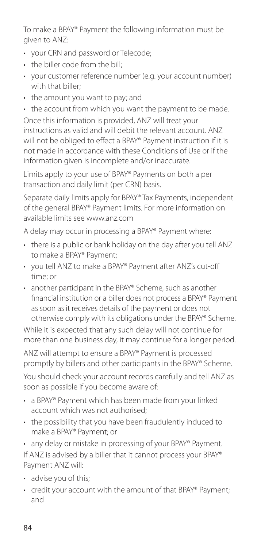To make a BPAY® Payment the following information must be given to ANZ:

- your CRN and password or Telecode;
- the biller code from the bill:
- your customer reference number (e.g. your account number) with that biller;
- the amount you want to pay; and

• the account from which you want the payment to be made. Once this information is provided, ANZ will treat your instructions as valid and will debit the relevant account. ANZ will not be obliged to effect a BPAY® Payment instruction if it is not made in accordance with these Conditions of Use or if the information given is incomplete and/or inaccurate.

Limits apply to your use of BPAY® Payments on both a per transaction and daily limit (per CRN) basis.

Separate daily limits apply for BPAY® Tax Payments, independent of the general BPAY® Payment limits. For more information on available limits see [www.anz.com](http://www.anz.com)

A delay may occur in processing a BPAY® Payment where:

- there is a public or bank holiday on the day after you tell ANZ to make a BPAY® Payment;
- you tell ANZ to make a BPAY® Payment after ANZ's cut-off time; or
- another participant in the BPAY® Scheme, such as another fnancial institution or a biller does not process a BPAY® Payment as soon as it receives details of the payment or does not otherwise comply with its obligations under the BPAY® Scheme.

While it is expected that any such delay will not continue for more than one business day, it may continue for a longer period.

ANZ will attempt to ensure a BPAY® Payment is processed promptly by billers and other participants in the BPAY® Scheme.

You should check your account records carefully and tell ANZ as soon as possible if you become aware of:

- a BPAY® Payment which has been made from your linked account which was not authorised;
- the possibility that you have been fraudulently induced to make a BPAY® Payment; or
- any delay or mistake in processing of your BPAY® Payment.

If ANZ is advised by a biller that it cannot process your BPAY® Payment ANZ will:

- advise you of this;
- credit your account with the amount of that BPAY® Payment; and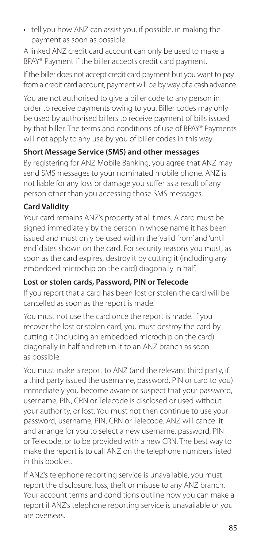• tell you how ANZ can assist you, if possible, in making the payment as soon as possible.

A linked ANZ credit card account can only be used to make a BPAY® Payment if the biller accepts credit card payment.

If the biller does not accept credit card payment but you want to pay from a credit card account, payment will be by way of a cash advance.

You are not authorised to give a biller code to any person in order to receive payments owing to you. Biller codes may only be used by authorised billers to receive payment of bills issued by that biller. The terms and conditions of use of BPAY® Payments will not apply to any use by you of biller codes in this way.

# **Short Message Service (SMS) and other messages**

By registering for ANZ Mobile Banking, you agree that ANZ may send SMS messages to your nominated mobile phone. ANZ is not liable for any loss or damage you suffer as a result of any person other than you accessing those SMS messages.

# **Card Validity**

Your card remains ANZ's property at all times. A card must be signed immediately by the person in whose name it has been issued and must only be used within the 'valid from' and 'until end' dates shown on the card. For security reasons you must, as soon as the card expires, destroy it by cutting it (including any embedded microchip on the card) diagonally in half.

# **Lost or stolen cards, Password, PIN or Telecode**

If you report that a card has been lost or stolen the card will be cancelled as soon as the report is made.

You must not use the card once the report is made. If you recover the lost or stolen card, you must destroy the card by cutting it (including an embedded microchip on the card) diagonally in half and return it to an ANZ branch as soon as possible.

You must make a report to ANZ (and the relevant third party, if a third party issued the username, password, PIN or card to you) immediately you become aware or suspect that your password, username, PIN, CRN or Telecode is disclosed or used without your authority, or lost. You must not then continue to use your password, username, PIN, CRN or Telecode. ANZ will cancel it and arrange for you to select a new username, password, PIN or Telecode, or to be provided with a new CRN. The best way to make the report is to call ANZ on the telephone numbers listed in this booklet.

If ANZ's telephone reporting service is unavailable, you must report the disclosure, loss, theft or misuse to any ANZ branch. Your account terms and conditions outline how you can make a report if ANZ's telephone reporting service is unavailable or you are overseas.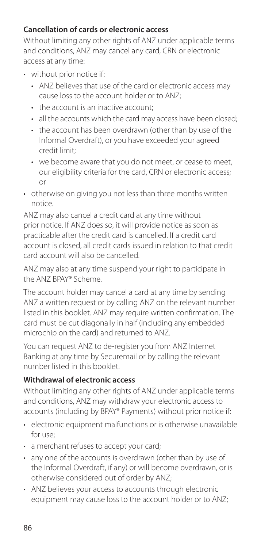# **Cancellation of cards or electronic access**

Without limiting any other rights of ANZ under applicable terms and conditions, ANZ may cancel any card, CRN or electronic access at any time:

- without prior notice if:
	- ANZ believes that use of the card or electronic access may cause loss to the account holder or to ANZ;
	- the account is an inactive account;
	- all the accounts which the card may access have been closed;
	- the account has been overdrawn (other than by use of the Informal Overdraft), or you have exceeded your agreed credit limit;
	- we become aware that you do not meet, or cease to meet, our eligibility criteria for the card, CRN or electronic access; or
- otherwise on giving you not less than three months written notice.

ANZ may also cancel a credit card at any time without prior notice. If ANZ does so, it will provide notice as soon as practicable after the credit card is cancelled. If a credit card account is closed, all credit cards issued in relation to that credit card account will also be cancelled.

ANZ may also at any time suspend your right to participate in the ANZ BPAY® Scheme.

The account holder may cancel a card at any time by sending ANZ a written request or by calling ANZ on the relevant number listed in this booklet. ANZ may require written confirmation. The card must be cut diagonally in half (including any embedded microchip on the card) and returned to ANZ.

You can request ANZ to de-register you from ANZ Internet Banking at any time by Securemail or by calling the relevant number listed in this booklet.

# **Withdrawal of electronic access**

Without limiting any other rights of ANZ under applicable terms and conditions, ANZ may withdraw your electronic access to accounts (including by BPAY® Payments) without prior notice if:

- electronic equipment malfunctions or is otherwise unavailable for use;
- a merchant refuses to accept your card;
- any one of the accounts is overdrawn (other than by use of the Informal Overdraft, if any) or will become overdrawn, or is otherwise considered out of order by ANZ;
- ANZ believes your access to accounts through electronic equipment may cause loss to the account holder or to ANZ;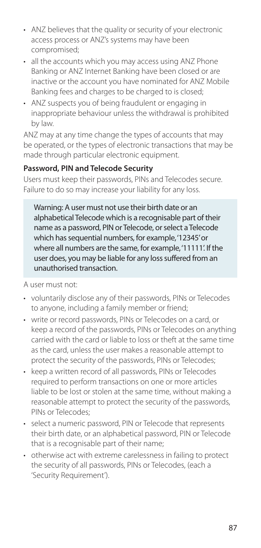- ANZ believes that the quality or security of your electronic access process or ANZ's systems may have been compromised;
- all the accounts which you may access using ANZ Phone Banking or ANZ Internet Banking have been closed or are inactive or the account you have nominated for ANZ Mobile Banking fees and charges to be charged to is closed;
- ANZ suspects you of being fraudulent or engaging in inappropriate behaviour unless the withdrawal is prohibited by law.

ANZ may at any time change the types of accounts that may be operated, or the types of electronic transactions that may be made through particular electronic equipment.

# **Password, PIN and Telecode Security**

Users must keep their passwords, PINs and Telecodes secure. Failure to do so may increase your liability for any loss.

Warning: A user must not use their birth date or an alphabetical Telecode which is a recognisable part of their name as a password, PIN or Telecode, or select a Telecode which has sequential numbers, for example, '12345' or where all numbers are the same, for example, '11111'. If the user does, you may be liable for any loss suffered from an unauthorised transaction.

A user must not:

- voluntarily disclose any of their passwords, PINs or Telecodes to anyone, including a family member or friend;
- write or record passwords, PINs or Telecodes on a card, or keep a record of the passwords, PINs or Telecodes on anything carried with the card or liable to loss or theft at the same time as the card, unless the user makes a reasonable attempt to protect the security of the passwords, PINs or Telecodes;
- keep a written record of all passwords, PINs or Telecodes required to perform transactions on one or more articles liable to be lost or stolen at the same time, without making a reasonable attempt to protect the security of the passwords, PINs or Telecodes;
- select a numeric password, PIN or Telecode that represents their birth date, or an alphabetical password, PIN or Telecode that is a recognisable part of their name;
- otherwise act with extreme carelessness in failing to protect the security of all passwords, PINs or Telecodes, (each a 'Security Requirement').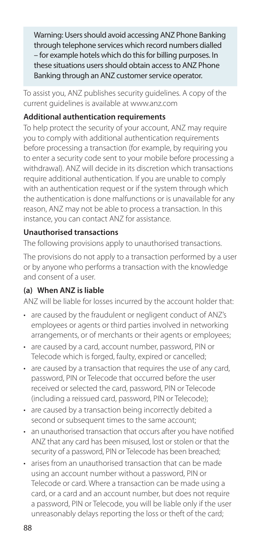Warning: Users should avoid accessing ANZ Phone Banking through telephone services which record numbers dialled – for example hotels which do this for billing purposes. In these situations users should obtain access to ANZ Phone Banking through an ANZ customer service operator.

To assist you, ANZ publishes security guidelines. A copy of the current guidelines is available at [www.anz.com](http://www.anz.com)

# **Additional authentication requirements**

To help protect the security of your account, ANZ may require you to comply with additional authentication requirements before processing a transaction (for example, by requiring you to enter a security code sent to your mobile before processing a withdrawal). ANZ will decide in its discretion which transactions require additional authentication. If you are unable to comply with an authentication request or if the system through which the authentication is done malfunctions or is unavailable for any reason, ANZ may not be able to process a transaction. In this instance, you can contact ANZ for assistance.

# **Unauthorised transactions**

The following provisions apply to unauthorised transactions.

The provisions do not apply to a transaction performed by a user or by anyone who performs a transaction with the knowledge and consent of a user.

# **(a) When ANZ is liable**

ANZ will be liable for losses incurred by the account holder that:

- are caused by the fraudulent or negligent conduct of ANZ's employees or agents or third parties involved in networking arrangements, or of merchants or their agents or employees;
- are caused by a card, account number, password, PIN or Telecode which is forged, faulty, expired or cancelled;
- are caused by a transaction that requires the use of any card, password, PIN or Telecode that occurred before the user received or selected the card, password, PIN or Telecode (including a reissued card, password, PIN or Telecode);
- are caused by a transaction being incorrectly debited a second or subsequent times to the same account;
- an unauthorised transaction that occurs after you have notifed ANZ that any card has been misused, lost or stolen or that the security of a password, PIN or Telecode has been breached;
- arises from an unauthorised transaction that can be made using an account number without a password, PIN or Telecode or card. Where a transaction can be made using a card, or a card and an account number, but does not require a password, PIN or Telecode, you will be liable only if the user unreasonably delays reporting the loss or theft of the card;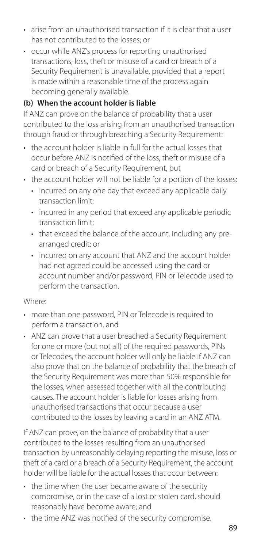- arise from an unauthorised transaction if it is clear that a user has not contributed to the losses; or
- occur while ANZ's process for reporting unauthorised transactions, loss, theft or misuse of a card or breach of a Security Requirement is unavailable, provided that a report is made within a reasonable time of the process again becoming generally available.

# **(b) When the account holder is liable**

If ANZ can prove on the balance of probability that a user contributed to the loss arising from an unauthorised transaction through fraud or through breaching a Security Requirement:

- the account holder is liable in full for the actual losses that occur before ANZ is notifed of the loss, theft or misuse of a card or breach of a Security Requirement, but
- the account holder will not be liable for a portion of the losses:
	- incurred on any one day that exceed any applicable daily transaction limit;
	- incurred in any period that exceed any applicable periodic transaction limit;
	- that exceed the balance of the account, including any prearranged credit; or
	- incurred on any account that ANZ and the account holder had not agreed could be accessed using the card or account number and/or password, PIN or Telecode used to perform the transaction.

#### Where:

- more than one password, PIN or Telecode is required to perform a transaction, and
- ANZ can prove that a user breached a Security Requirement for one or more (but not all) of the required passwords, PINs or Telecodes, the account holder will only be liable if ANZ can also prove that on the balance of probability that the breach of the Security Requirement was more than 50% responsible for the losses, when assessed together with all the contributing causes. The account holder is liable for losses arising from unauthorised transactions that occur because a user contributed to the losses by leaving a card in an ANZ ATM.

If ANZ can prove, on the balance of probability that a user contributed to the losses resulting from an unauthorised transaction by unreasonably delaying reporting the misuse, loss or theft of a card or a breach of a Security Requirement, the account holder will be liable for the actual losses that occur between:

- the time when the user became aware of the security compromise, or in the case of a lost or stolen card, should reasonably have become aware; and
- the time ANZ was notifed of the security compromise.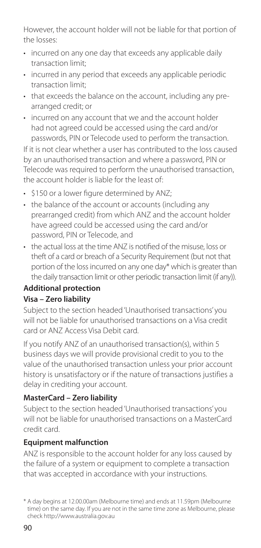However, the account holder will not be liable for that portion of the losses:

- incurred on any one day that exceeds any applicable daily transaction limit;
- incurred in any period that exceeds any applicable periodic transaction limit;
- that exceeds the balance on the account, including any prearranged credit; or
- incurred on any account that we and the account holder had not agreed could be accessed using the card and/or passwords, PIN or Telecode used to perform the transaction.

If it is not clear whether a user has contributed to the loss caused by an unauthorised transaction and where a password, PIN or Telecode was required to perform the unauthorised transaction, the account holder is liable for the least of:

- \$150 or a lower figure determined by ANZ;
- the balance of the account or accounts (including any prearranged credit) from which ANZ and the account holder have agreed could be accessed using the card and/or password, PIN or Telecode, and
- the actual loss at the time ANZ is notifed of the misuse, loss or theft of a card or breach of a Security Requirement (but not that portion of the loss incurred on any one day\* which is greater than the daily transaction limit or other periodic transaction limit (if any)).

# **Additional protection Visa – Zero liability**

Subject to the section headed 'Unauthorised transactions' you will not be liable for unauthorised transactions on a Visa credit card or ANZ Access Visa Debit card.

If you notify ANZ of an unauthorised transaction(s), within 5 business days we will provide provisional credit to you to the value of the unauthorised transaction unless your prior account history is unsatisfactory or if the nature of transactions justifies a delay in crediting your account.

# **MasterCard – Zero liability**

Subject to the section headed 'Unauthorised transactions' you will not be liable for unauthorised transactions on a MasterCard credit card.

# **Equipment malfunction**

ANZ is responsible to the account holder for any loss caused by the failure of a system or equipment to complete a transaction that was accepted in accordance with your instructions.

<sup>\*</sup> A day begins at 12.00.00am (Melbourne time) and ends at 11.59pm (Melbourne time) on the same day. If you are not in the same time zone as Melbourne, please check <http://www.australia.gov.au>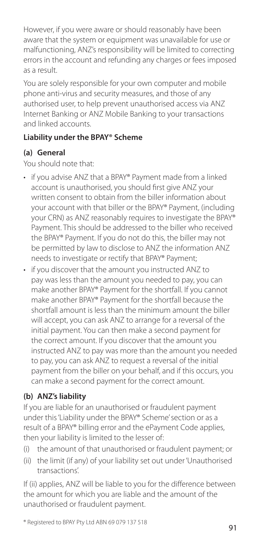However, if you were aware or should reasonably have been aware that the system or equipment was unavailable for use or malfunctioning, ANZ's responsibility will be limited to correcting errors in the account and refunding any charges or fees imposed as a result.

You are solely responsible for your own computer and mobile phone anti-virus and security measures, and those of any authorised user, to help prevent unauthorised access via ANZ Internet Banking or ANZ Mobile Banking to your transactions and linked accounts.

# **Liability under the BPAY® Scheme**

# **(a) General**

You should note that:

- if you advise ANZ that a BPAY® Payment made from a linked account is unauthorised, you should frst give ANZ your written consent to obtain from the biller information about your account with that biller or the BPAY® Payment, (including your CRN) as ANZ reasonably requires to investigate the BPAY® Payment. This should be addressed to the biller who received the BPAY® Payment. If you do not do this, the biller may not be permitted by law to disclose to ANZ the information ANZ needs to investigate or rectify that BPAY® Payment;
- if you discover that the amount you instructed ANZ to pay was less than the amount you needed to pay, you can make another BPAY® Payment for the shortfall. If you cannot make another BPAY® Payment for the shortfall because the shortfall amount is less than the minimum amount the biller will accept, you can ask ANZ to arrange for a reversal of the initial payment. You can then make a second payment for the correct amount. If you discover that the amount you instructed ANZ to pay was more than the amount you needed to pay, you can ask ANZ to request a reversal of the initial payment from the biller on your behalf, and if this occurs, you can make a second payment for the correct amount.

# **(b) ANZ's liability**

If you are liable for an unauthorised or fraudulent payment under this 'Liability under the BPAY® Scheme' section or as a result of a BPAY® billing error and the ePayment Code applies, then your liability is limited to the lesser of:

- (i) the amount of that unauthorised or fraudulent payment; or
- (ii) the limit (if any) of your liability set out under 'Unauthorised transactions'.

If (ii) applies, ANZ will be liable to you for the difference between the amount for which you are liable and the amount of the unauthorised or fraudulent payment.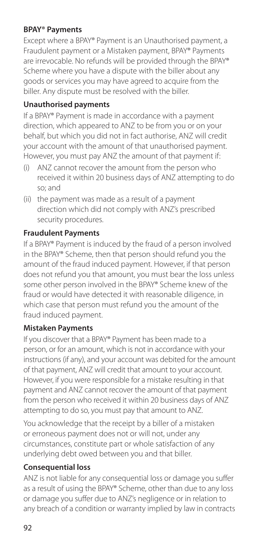#### **BPAY® Payments**

Except where a BPAY® Payment is an Unauthorised payment, a Fraudulent payment or a Mistaken payment, BPAY® Payments are irrevocable. No refunds will be provided through the BPAY® Scheme where you have a dispute with the biller about any goods or services you may have agreed to acquire from the biller. Any dispute must be resolved with the biller.

# **Unauthorised payments**

If a BPAY® Payment is made in accordance with a payment direction, which appeared to ANZ to be from you or on your behalf, but which you did not in fact authorise, ANZ will credit your account with the amount of that unauthorised payment. However, you must pay ANZ the amount of that payment if:

- (i) ANZ cannot recover the amount from the person who received it within 20 business days of ANZ attempting to do so; and
- (ii) the payment was made as a result of a payment direction which did not comply with ANZ's prescribed security procedures.

# **Fraudulent Payments**

If a BPAY® Payment is induced by the fraud of a person involved in the BPAY® Scheme, then that person should refund you the amount of the fraud induced payment. However, if that person does not refund you that amount, you must bear the loss unless some other person involved in the BPAY® Scheme knew of the fraud or would have detected it with reasonable diligence, in which case that person must refund you the amount of the fraud induced payment.

# **Mistaken Payments**

If you discover that a BPAY® Payment has been made to a person, or for an amount, which is not in accordance with your instructions (if any), and your account was debited for the amount of that payment, ANZ will credit that amount to your account. However, if you were responsible for a mistake resulting in that payment and ANZ cannot recover the amount of that payment from the person who received it within 20 business days of ANZ attempting to do so, you must pay that amount to ANZ.

You acknowledge that the receipt by a biller of a mistaken or erroneous payment does not or will not, under any circumstances, constitute part or whole satisfaction of any underlying debt owed between you and that biller.

#### **Consequential loss**

ANZ is not liable for any consequential loss or damage you suffer as a result of using the BPAY® Scheme, other than due to any loss or damage you suffer due to ANZ's negligence or in relation to any breach of a condition or warranty implied by law in contracts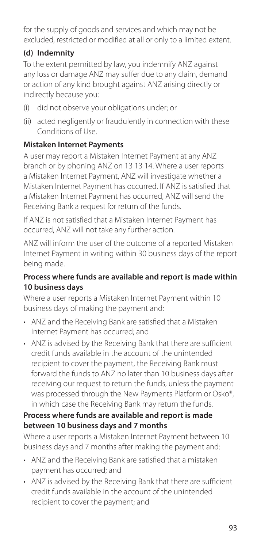for the supply of goods and services and which may not be excluded, restricted or modified at all or only to a limited extent.

# **(d) Indemnity**

To the extent permitted by law, you indemnify ANZ against any loss or damage ANZ may suffer due to any claim, demand or action of any kind brought against ANZ arising directly or indirectly because you:

- (i) did not observe your obligations under; or
- (ii) acted negligently or fraudulently in connection with these Conditions of Use.

# **Mistaken Internet Payments**

A user may report a Mistaken Internet Payment at any ANZ branch or by phoning ANZ on 13 13 14. Where a user reports a Mistaken Internet Payment, ANZ will investigate whether a Mistaken Internet Payment has occurred. If ANZ is satisfied that a Mistaken Internet Payment has occurred, ANZ will send the Receiving Bank a request for return of the funds.

If ANZ is not satisfied that a Mistaken Internet Payment has occurred, ANZ will not take any further action.

ANZ will inform the user of the outcome of a reported Mistaken Internet Payment in writing within 30 business days of the report being made.

#### **Process where funds are available and report is made within 10 business days**

Where a user reports a Mistaken Internet Payment within 10 business days of making the payment and:

- ANZ and the Receiving Bank are satisfed that a Mistaken Internet Payment has occurred; and
- ANZ is advised by the Receiving Bank that there are sufficient credit funds available in the account of the unintended recipient to cover the payment, the Receiving Bank must forward the funds to ANZ no later than 10 business days after receiving our request to return the funds, unless the payment was processed through the New Payments Platform or Osko®, in which case the Receiving Bank may return the funds.

#### **Process where funds are available and report is made between 10 business days and 7 months**

Where a user reports a Mistaken Internet Payment between 10 business days and 7 months after making the payment and:

- ANZ and the Receiving Bank are satisfed that a mistaken payment has occurred; and
- ANZ is advised by the Receiving Bank that there are sufficient credit funds available in the account of the unintended recipient to cover the payment; and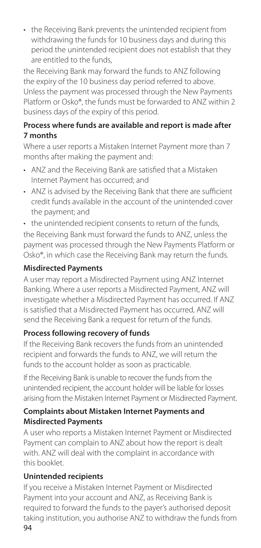• the Receiving Bank prevents the unintended recipient from withdrawing the funds for 10 business days and during this period the unintended recipient does not establish that they are entitled to the funds,

the Receiving Bank may forward the funds to ANZ following the expiry of the 10 business day period referred to above. Unless the payment was processed through the New Payments Platform or Osko®, the funds must be forwarded to ANZ within 2 business days of the expiry of this period.

# **Process where funds are available and report is made after 7 months**

Where a user reports a Mistaken Internet Payment more than 7 months after making the payment and:

- ANZ and the Receiving Bank are satisfed that a Mistaken Internet Payment has occurred; and
- ANZ is advised by the Receiving Bank that there are sufficient credit funds available in the account of the unintended cover the payment; and
- the unintended recipient consents to return of the funds,

the Receiving Bank must forward the funds to ANZ, unless the payment was processed through the New Payments Platform or Osko®, in which case the Receiving Bank may return the funds.

# **Misdirected Payments**

A user may report a Misdirected Payment using ANZ Internet Banking. Where a user reports a Misdirected Payment, ANZ will investigate whether a Misdirected Payment has occurred. If ANZ is satisfied that a Misdirected Payment has occurred, ANZ will send the Receiving Bank a request for return of the funds.

# **Process following recovery of funds**

If the Receiving Bank recovers the funds from an unintended recipient and forwards the funds to ANZ, we will return the funds to the account holder as soon as practicable.

If the Receiving Bank is unable to recover the funds from the unintended recipient, the account holder will be liable for losses arising from the Mistaken Internet Payment or Misdirected Payment.

#### **Complaints about Mistaken Internet Payments and Misdirected Payments**

A user who reports a Mistaken Internet Payment or Misdirected Payment can complain to ANZ about how the report is dealt with. ANZ will deal with the complaint in accordance with this booklet.

# **Unintended recipients**

If you receive a Mistaken Internet Payment or Misdirected Payment into your account and ANZ, as Receiving Bank is required to forward the funds to the payer's authorised deposit taking institution, you authorise ANZ to withdraw the funds from 94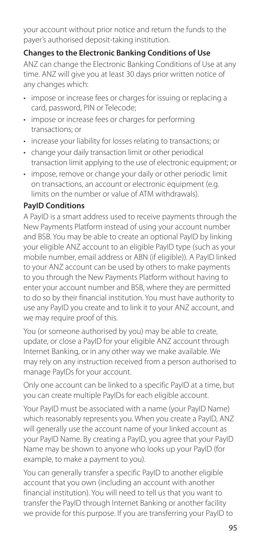your account without prior notice and return the funds to the payer's authorised deposit-taking institution.

# **Changes to the Electronic Banking Conditions of Use**

ANZ can change the Electronic Banking Conditions of Use at any time. ANZ will give you at least 30 days prior written notice of any changes which:

- impose or increase fees or charges for issuing or replacing a card, password, PIN or Telecode;
- impose or increase fees or charges for performing transactions; or
- increase your liability for losses relating to transactions; or
- change your daily transaction limit or other periodical transaction limit applying to the use of electronic equipment; or
- impose, remove or change your daily or other periodic limit on transactions, an account or electronic equipment (e.g. limits on the number or value of ATM withdrawals).

# **PayID Conditions**

A PayID is a smart address used to receive payments through the New Payments Platform instead of using your account number and BSB. You may be able to create an optional PayID by linking your eligible ANZ account to an eligible PayID type (such as your mobile number, email address or ABN (if eligible)). A PayID linked to your ANZ account can be used by others to make payments to you through the New Payments Platform without having to enter your account number and BSB, where they are permitted to do so by their financial institution. You must have authority to use any PayID you create and to link it to your ANZ account, and we may require proof of this.

You (or someone authorised by you) may be able to create, update, or close a PayID for your eligible ANZ account through Internet Banking, or in any other way we make available. We may rely on any instruction received from a person authorised to manage PayIDs for your account.

Only one account can be linked to a specific PayID at a time, but you can create multiple PayIDs for each eligible account.

Your PayID must be associated with a name (your PayID Name) which reasonably represents you. When you create a PayID, ANZ will generally use the account name of your linked account as your PayID Name. By creating a PayID, you agree that your PayID Name may be shown to anyone who looks up your PayID (for example, to make a payment to you).

You can generally transfer a specific PayID to another eligible account that you own (including an account with another financial institution). You will need to tell us that you want to transfer the PayID through Internet Banking or another facility we provide for this purpose. If you are transferring your PayID to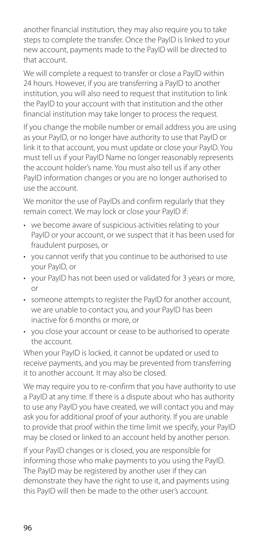another financial institution, they may also require you to take steps to complete the transfer. Once the PayID is linked to your new account, payments made to the PayID will be directed to that account.

We will complete a request to transfer or close a PayID within 24 hours. However, if you are transferring a PayID to another institution, you will also need to request that institution to link the PayID to your account with that institution and the other financial institution may take longer to process the request.

If you change the mobile number or email address you are using as your PayID, or no longer have authority to use that PayID or link it to that account, you must update or close your PayID. You must tell us if your PayID Name no longer reasonably represents the account holder's name. You must also tell us if any other PayID information changes or you are no longer authorised to use the account.

We monitor the use of PayIDs and confirm regularly that they remain correct. We may lock or close your PayID if:

- we become aware of suspicious activities relating to your PayID or your account, or we suspect that it has been used for fraudulent purposes, or
- you cannot verify that you continue to be authorised to use your PayID, or
- your PayID has not been used or validated for 3 years or more, or
- someone attempts to register the PayID for another account, we are unable to contact you, and your PayID has been inactive for 6 months or more, or
- you close your account or cease to be authorised to operate the account.

When your PayID is locked, it cannot be updated or used to receive payments, and you may be prevented from transferring it to another account. It may also be closed.

We may require you to re-confirm that you have authority to use a PayID at any time. If there is a dispute about who has authority to use any PayID you have created, we will contact you and may ask you for additional proof of your authority. If you are unable to provide that proof within the time limit we specify, your PayID may be closed or linked to an account held by another person.

If your PayID changes or is closed, you are responsible for informing those who make payments to you using the PayID. The PayID may be registered by another user if they can demonstrate they have the right to use it, and payments using this PayID will then be made to the other user's account.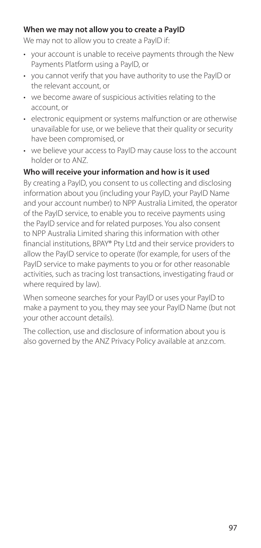#### **When we may not allow you to create a PayID**

We may not to allow you to create a PayID if:

- your account is unable to receive payments through the New Payments Platform using a PayID, or
- you cannot verify that you have authority to use the PayID or the relevant account, or
- we become aware of suspicious activities relating to the account, or
- electronic equipment or systems malfunction or are otherwise unavailable for use, or we believe that their quality or security have been compromised, or
- we believe your access to PayID may cause loss to the account holder or to ANZ.

# **Who will receive your information and how is it used**

By creating a PayID, you consent to us collecting and disclosing information about you (including your PayID, your PayID Name and your account number) to NPP Australia Limited, the operator of the PayID service, to enable you to receive payments using the PayID service and for related purposes. You also consent to NPP Australia Limited sharing this information with other financial institutions, BPAY® Pty Ltd and their service providers to allow the PayID service to operate (for example, for users of the PayID service to make payments to you or for other reasonable activities, such as tracing lost transactions, investigating fraud or where required by law).

When someone searches for your PayID or uses your PayID to make a payment to you, they may see your PayID Name (but not your other account details).

The collection, use and disclosure of information about you is also governed by the ANZ Privacy Policy available at [anz.com.](http://anz.com)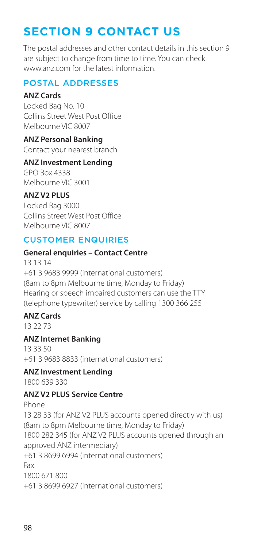# **SECTION 9 CONTACT US**

The postal addresses and other contact details in this section 9 are subject to change from time to time. You can check [www.anz.com](http://www.anz.com) for the latest information.

# POSTAL ADDRESSES

#### **ANZ Cards**

Locked Bag No. 10 Collins Street West Post Office Melbourne VIC 8007

## **ANZ Personal Banking**

Contact your nearest branch

#### **ANZ Investment Lending**

GPO Box 4338 Melbourne VIC 3001

# **ANZ V2 PLUS**

Locked Bag 3000 Collins Street West Post Office Melbourne VIC 8007

# CUSTOMER ENQUIRIES

#### **General enquiries – Contact Centre**

13 13 14 +61 3 9683 9999 (international customers) (8am to 8pm Melbourne time, Monday to Friday) Hearing or speech impaired customers can use the TTY (telephone typewriter) service by calling 1300 366 255

#### **ANZ Cards**

13 22 73

# **ANZ Internet Banking**

13 33 50 +61 3 9683 8833 (international customers)

# **ANZ Investment Lending**

1800 639 330

# **ANZ V2 PLUS Service Centre**

Phone 13 28 33 (for ANZ V2 PLUS accounts opened directly with us) (8am to 8pm Melbourne time, Monday to Friday) 1800 282 345 (for ANZ V2 PLUS accounts opened through an approved ANZ intermediary) +61 3 8699 6994 (international customers) Fax 1800 671 800 +61 3 8699 6927 (international customers)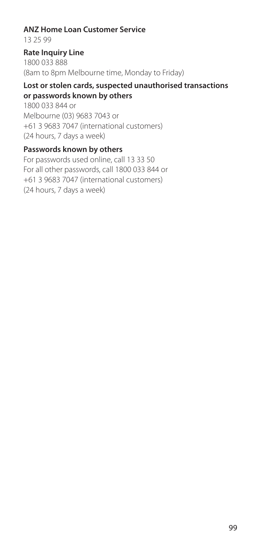#### **ANZ Home Loan Customer Service**

13 25 99

#### **Rate Inquiry Line**

1800 033 888 (8am to 8pm Melbourne time, Monday to Friday)

#### **Lost or stolen cards, suspected unauthorised transactions or passwords known by others**

1800 033 844 or Melbourne (03) 9683 7043 or +61 3 9683 7047 (international customers) (24 hours, 7 days a week)

#### **Passwords known by others**

For passwords used online, call 13 33 50 For all other passwords, call 1800 033 844 or +61 3 9683 7047 (international customers) (24 hours, 7 days a week)